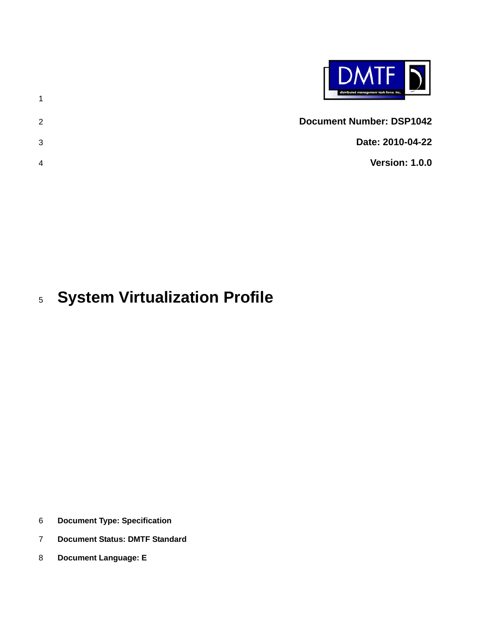| <b>DMTF</b><br>distributed management task force, inc. |  |
|--------------------------------------------------------|--|
| <b>Document Number: DSP1042</b><br>$\mathcal{P}$       |  |
| Date: 2010-04-22<br>3                                  |  |
| <b>Version: 1.0.0</b><br>4                             |  |
|                                                        |  |

#### 5 **System Virtualization Profile**

6 **Document Type: Specification** 

- 7 **Document Status: DMTF Standard**
- 8 **Document Language: E**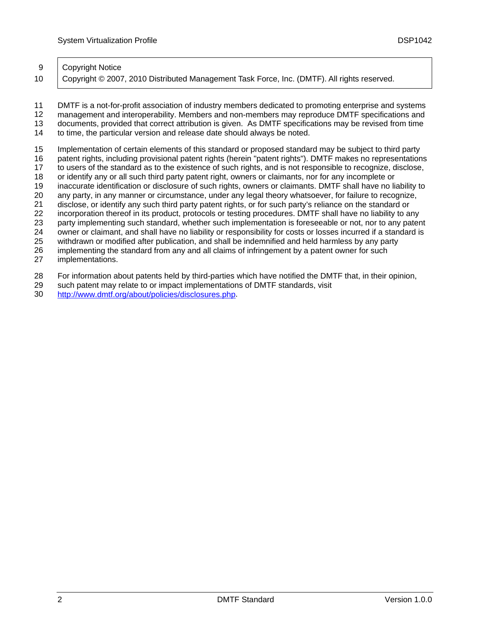#### 9 | Copyright Notice

10 | Copyright © 2007, 2010 Distributed Management Task Force, Inc. (DMTF). All rights reserved.

11 12 13 14 DMTF is a not-for-profit association of industry members dedicated to promoting enterprise and systems management and interoperability. Members and non-members may reproduce DMTF specifications and documents, provided that correct attribution is given. As DMTF specifications may be revised from time to time, the particular version and release date should always be noted.

15 Implementation of certain elements of this standard or proposed standard may be subject to third party

16 patent rights, including provisional patent rights (herein "patent rights"). DMTF makes no representations

17 18 to users of the standard as to the existence of such rights, and is not responsible to recognize, disclose, or identify any or all such third party patent right, owners or claimants, nor for any incomplete or

19 inaccurate identification or disclosure of such rights, owners or claimants. DMTF shall have no liability to

20 any party, in any manner or circumstance, under any legal theory whatsoever, for failure to recognize,

21 disclose, or identify any such third party patent rights, or for such party's reliance on the standard or

22 incorporation thereof in its product, protocols or testing procedures. DMTF shall have no liability to any

23 party implementing such standard, whether such implementation is foreseeable or not, nor to any patent

24 owner or claimant, and shall have no liability or responsibility for costs or losses incurred if a standard is

25 withdrawn or modified after publication, and shall be indemnified and held harmless by any party

26 implementing the standard from any and all claims of infringement by a patent owner for such

27 implementations.

28 For information about patents held by third-parties which have notified the DMTF that, in their opinion,

29 such patent may relate to or impact implementations of DMTF standards, visit

30 <http://www.dmtf.org/about/policies/disclosures.php>.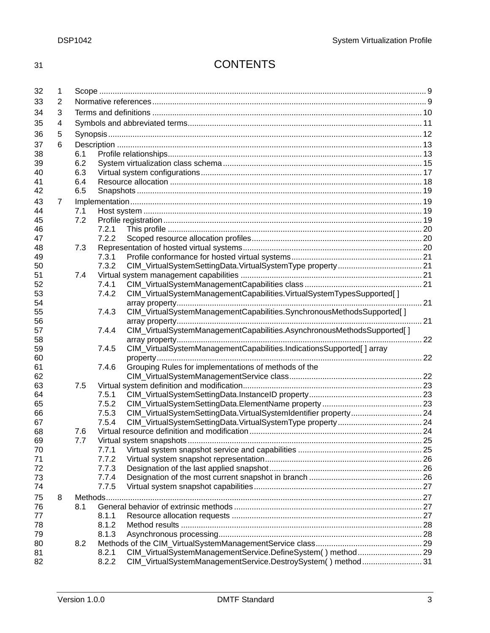# 31 CONTENTS

| 32       | 1 |            |       |                                                                        |  |  |
|----------|---|------------|-------|------------------------------------------------------------------------|--|--|
| 33       | 2 |            |       |                                                                        |  |  |
| 34       | 3 |            |       |                                                                        |  |  |
| 35       | 4 |            |       |                                                                        |  |  |
| 36       | 5 |            |       |                                                                        |  |  |
|          |   |            |       |                                                                        |  |  |
| 37       | 6 |            |       |                                                                        |  |  |
| 38<br>39 |   | 6.1<br>6.2 |       |                                                                        |  |  |
| 40       |   | 6.3        |       |                                                                        |  |  |
| 41       |   | 6.4        |       |                                                                        |  |  |
| 42       |   | 6.5        |       |                                                                        |  |  |
| 43       | 7 |            |       |                                                                        |  |  |
| 44       |   | 7.1        |       |                                                                        |  |  |
| 45       |   | 7.2        |       |                                                                        |  |  |
| 46       |   |            | 7.2.1 |                                                                        |  |  |
| 47       |   |            | 7.2.2 |                                                                        |  |  |
| 48       |   | 7.3        |       |                                                                        |  |  |
| 49       |   |            | 7.3.1 |                                                                        |  |  |
| 50       |   |            | 7.3.2 |                                                                        |  |  |
| 51       |   | 7.4        |       |                                                                        |  |  |
| 52       |   |            | 7.4.1 |                                                                        |  |  |
| 53       |   |            | 7.4.2 | CIM_VirtualSystemManagementCapabilities.VirtualSystemTypesSupported[]  |  |  |
| 54       |   |            |       |                                                                        |  |  |
| 55       |   |            | 7.4.3 | CIM_VirtualSystemManagementCapabilities.SynchronousMethodsSupported[]  |  |  |
| 56       |   |            |       |                                                                        |  |  |
| 57       |   |            | 7.4.4 | CIM_VirtualSystemManagementCapabilities.AsynchronousMethodsSupported[] |  |  |
| 58       |   |            |       |                                                                        |  |  |
| 59       |   |            | 7.4.5 | CIM_VirtualSystemManagementCapabilities.IndicationsSupported[] array   |  |  |
| 60       |   |            |       |                                                                        |  |  |
| 61       |   |            | 7.4.6 | Grouping Rules for implementations of methods of the                   |  |  |
| 62       |   |            |       |                                                                        |  |  |
| 63       |   | 7.5        |       |                                                                        |  |  |
| 64       |   |            | 7.5.1 |                                                                        |  |  |
| 65       |   |            | 7.5.2 |                                                                        |  |  |
| 66       |   |            | 7.5.3 | CIM_VirtualSystemSettingData.VirtualSystemIdentifier property 24       |  |  |
| 67       |   |            | 7.5.4 |                                                                        |  |  |
| 68<br>69 |   | 7.6        |       |                                                                        |  |  |
| 70       |   | 7.7        | 7.7.1 |                                                                        |  |  |
| 71       |   |            | 7.7.2 |                                                                        |  |  |
| 72       |   |            | 7.7.3 |                                                                        |  |  |
| 73       |   |            | 7.7.4 |                                                                        |  |  |
| 74       |   |            | 7.7.5 |                                                                        |  |  |
| 75       | 8 | Methods    |       |                                                                        |  |  |
| 76       |   | 8.1        |       |                                                                        |  |  |
| 77       |   |            | 8.1.1 |                                                                        |  |  |
| 78       |   |            | 8.1.2 |                                                                        |  |  |
| 79       |   |            | 8.1.3 |                                                                        |  |  |
| 80       |   | 8.2        |       |                                                                        |  |  |
| 81       |   |            | 8.2.1 | CIM_VirtualSystemManagementService.DefineSystem() method 29            |  |  |
| 82       |   |            | 8.2.2 | CIM_VirtualSystemManagementService.DestroySystem() method31            |  |  |
|          |   |            |       |                                                                        |  |  |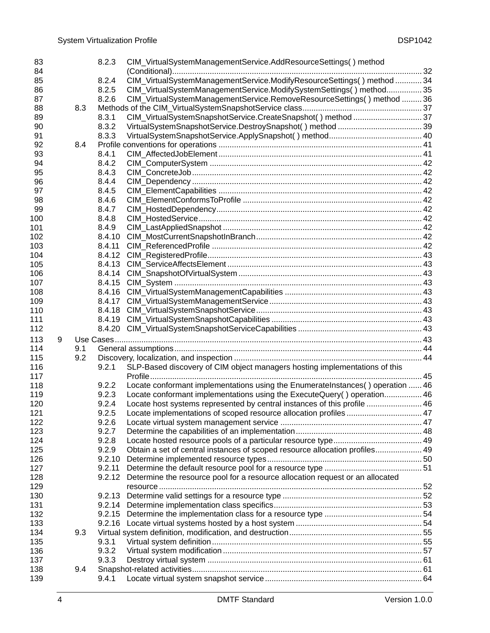| 83       |   |     | 8.2.3  | CIM_VirtualSystemManagementService.AddResourceSettings() method                      |  |
|----------|---|-----|--------|--------------------------------------------------------------------------------------|--|
| 84       |   |     |        |                                                                                      |  |
| 85       |   |     | 8.2.4  | CIM_VirtualSystemManagementService.ModifyResourceSettings() method  34               |  |
| 86       |   |     | 8.2.5  | CIM_VirtualSystemManagementService.ModifySystemSettings() method 35                  |  |
| 87       |   |     | 8.2.6  | CIM_VirtualSystemManagementService.RemoveResourceSettings() method  36               |  |
| 88       |   | 8.3 |        |                                                                                      |  |
| 89       |   |     | 8.3.1  | CIM_VirtualSystemSnapshotService.CreateSnapshot() method  37                         |  |
| 90       |   |     | 8.3.2  |                                                                                      |  |
| 91       |   |     | 8.3.3  |                                                                                      |  |
| 92       |   | 8.4 |        |                                                                                      |  |
| 93       |   |     | 8.4.1  |                                                                                      |  |
| 94       |   |     | 8.4.2  |                                                                                      |  |
| 95       |   |     | 8.4.3  |                                                                                      |  |
| 96       |   |     | 8.4.4  |                                                                                      |  |
| 97       |   |     | 8.4.5  |                                                                                      |  |
|          |   |     | 8.4.6  |                                                                                      |  |
| 98<br>99 |   |     |        |                                                                                      |  |
|          |   |     | 8.4.7  |                                                                                      |  |
| 100      |   |     | 8.4.8  |                                                                                      |  |
| 101      |   |     | 8.4.9  |                                                                                      |  |
| 102      |   |     | 8.4.10 |                                                                                      |  |
| 103      |   |     | 8.4.11 |                                                                                      |  |
| 104      |   |     |        |                                                                                      |  |
| 105      |   |     | 8.4.13 |                                                                                      |  |
| 106      |   |     |        |                                                                                      |  |
| 107      |   |     |        |                                                                                      |  |
| 108      |   |     |        |                                                                                      |  |
| 109      |   |     |        |                                                                                      |  |
| 110      |   |     |        |                                                                                      |  |
| 111      |   |     |        |                                                                                      |  |
| 112      |   |     |        |                                                                                      |  |
| 113      | 9 |     |        |                                                                                      |  |
| 114      |   | 9.1 |        |                                                                                      |  |
| 115      |   | 9.2 |        |                                                                                      |  |
| 116      |   |     | 9.2.1  | SLP-Based discovery of CIM object managers hosting implementations of this           |  |
| 117      |   |     |        |                                                                                      |  |
| 118      |   |     | 9.2.2  | Locate conformant implementations using the EnumerateInstances() operation  46       |  |
| 119      |   |     | 9.2.3  | Locate conformant implementations using the ExecuteQuery() operation 46              |  |
| 120      |   |     | 9.2.4  | Locate host systems represented by central instances of this profile  46             |  |
| 121      |   |     | 9.2.5  | Locate implementations of scoped resource allocation profiles  47                    |  |
| 122      |   |     | 9.2.6  |                                                                                      |  |
| 123      |   |     | 9.2.7  |                                                                                      |  |
| 124      |   |     | 9.2.8  |                                                                                      |  |
| 125      |   |     | 9.2.9  | Obtain a set of central instances of scoped resource allocation profiles 49          |  |
|          |   |     | 9.2.10 |                                                                                      |  |
| 126      |   |     |        |                                                                                      |  |
| 127      |   |     | 9.2.11 | 9.2.12 Determine the resource pool for a resource allocation request or an allocated |  |
| 128      |   |     |        |                                                                                      |  |
| 129      |   |     |        |                                                                                      |  |
| 130      |   |     |        |                                                                                      |  |
| 131      |   |     |        |                                                                                      |  |
| 132      |   |     |        |                                                                                      |  |
| 133      |   |     |        |                                                                                      |  |
| 134      |   | 9.3 |        |                                                                                      |  |
| 135      |   |     | 9.3.1  |                                                                                      |  |
| 136      |   |     | 9.3.2  |                                                                                      |  |
| 137      |   |     | 9.3.3  |                                                                                      |  |
| 138      |   | 9.4 |        |                                                                                      |  |
| 139      |   |     | 9.4.1  |                                                                                      |  |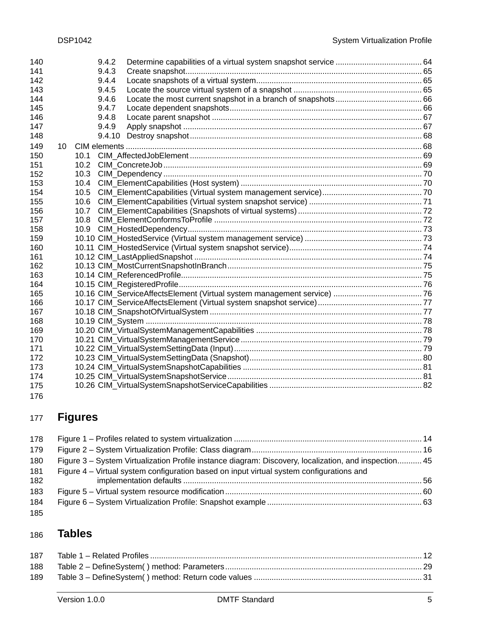| 140        |                 |              | 9.4.2          |  |
|------------|-----------------|--------------|----------------|--|
| 141        |                 |              | 9.4.3          |  |
| 142        |                 |              | 9.4.4          |  |
| 143<br>144 |                 |              | 9.4.5          |  |
| 145        |                 |              | 9.4.6<br>9.4.7 |  |
| 146        |                 |              | 9.4.8          |  |
| 147        |                 |              | 9.4.9          |  |
| 148        |                 |              | 9.4.10         |  |
|            |                 |              |                |  |
| 149        | 10 <sup>1</sup> |              |                |  |
| 150        |                 | 10.1         |                |  |
| 151        |                 | 10.2         |                |  |
| 152        |                 | 10.3         |                |  |
| 153        |                 | 10.4         |                |  |
| 154        |                 | 10.5         |                |  |
| 155        |                 | 10.6         |                |  |
| 156<br>157 |                 | 10.7<br>10.8 |                |  |
|            |                 |              |                |  |
| 158<br>159 |                 | 10.9         |                |  |
| 160        |                 |              |                |  |
| 161        |                 |              |                |  |
| 162        |                 |              |                |  |
| 163        |                 |              |                |  |
| 164        |                 |              |                |  |
| 165        |                 |              |                |  |
| 166        |                 |              |                |  |
| 167        |                 |              |                |  |
| 168        |                 |              |                |  |
| 169        |                 |              |                |  |
| 170        |                 |              |                |  |
| 171        |                 |              |                |  |
| 172        |                 |              |                |  |
| 173        |                 |              |                |  |
| 174        |                 |              |                |  |
| 175        |                 |              |                |  |
| 176        |                 |              |                |  |

### 177 **Figures**

| 178        |                                                                                                      |  |
|------------|------------------------------------------------------------------------------------------------------|--|
| 179        |                                                                                                      |  |
| 180        | Figure 3 – System Virtualization Profile instance diagram: Discovery, localization, and inspection45 |  |
| 181<br>182 | Figure 4 – Virtual system configuration based on input virtual system configurations and             |  |
| 183        |                                                                                                      |  |
| 184        |                                                                                                      |  |
| 185        |                                                                                                      |  |

#### 186 **Tables**

| 188 |  |
|-----|--|
| 189 |  |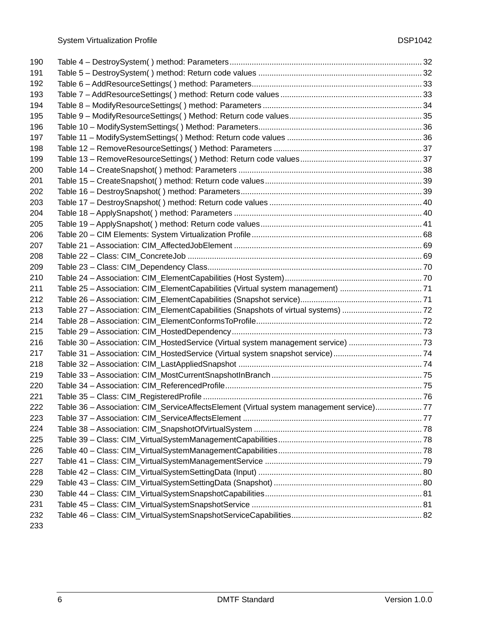| 190 |                                                                                         |  |
|-----|-----------------------------------------------------------------------------------------|--|
| 191 |                                                                                         |  |
| 192 |                                                                                         |  |
| 193 |                                                                                         |  |
| 194 |                                                                                         |  |
| 195 |                                                                                         |  |
| 196 |                                                                                         |  |
| 197 |                                                                                         |  |
| 198 |                                                                                         |  |
| 199 |                                                                                         |  |
| 200 |                                                                                         |  |
| 201 |                                                                                         |  |
| 202 |                                                                                         |  |
| 203 |                                                                                         |  |
| 204 |                                                                                         |  |
| 205 |                                                                                         |  |
| 206 |                                                                                         |  |
| 207 |                                                                                         |  |
| 208 |                                                                                         |  |
| 209 |                                                                                         |  |
| 210 |                                                                                         |  |
| 211 | Table 25 - Association: CIM_ElementCapabilities (Virtual system management) 71          |  |
| 212 |                                                                                         |  |
| 213 | Table 27 - Association: CIM_ElementCapabilities (Snapshots of virtual systems)  72      |  |
| 214 |                                                                                         |  |
| 215 |                                                                                         |  |
| 216 | Table 30 - Association: CIM_HostedService (Virtual system management service) 73        |  |
| 217 |                                                                                         |  |
| 218 |                                                                                         |  |
| 219 |                                                                                         |  |
| 220 |                                                                                         |  |
| 221 |                                                                                         |  |
| 222 | Table 36 - Association: CIM_ServiceAffectsElement (Virtual system management service)77 |  |
| 223 |                                                                                         |  |
| 224 |                                                                                         |  |
| 225 |                                                                                         |  |
| 226 |                                                                                         |  |
| 227 |                                                                                         |  |
| 228 |                                                                                         |  |
| 229 |                                                                                         |  |
| 230 |                                                                                         |  |
| 231 |                                                                                         |  |
| 232 |                                                                                         |  |
| 233 |                                                                                         |  |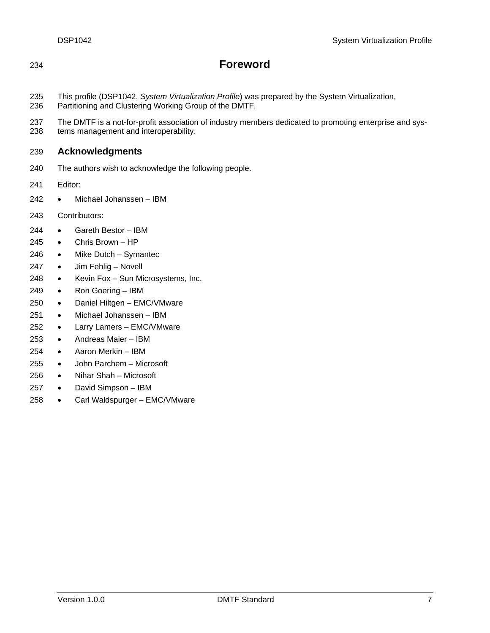## **Foreword**

- This profile (DSP1042, *System Virtualization Profile*) was prepared by the System Virtualization,
- Partitioning and Clustering Working Group of the DMTF.
- The DMTF is a not-for-profit association of industry members dedicated to promoting enterprise and systems management and interoperability.

#### **Acknowledgments**

- The authors wish to acknowledge the following people.
- Editor:
- Michael Johanssen IBM
- Contributors:
- Gareth Bestor IBM
- Chris Brown HP
- Mike Dutch Symantec
- 247 Jim Fehlig Novell
- Kevin Fox Sun Microsystems, Inc.
- Ron Goering IBM
- Daniel Hiltgen EMC/VMware
- Michael Johanssen IBM
- Larry Lamers EMC/VMware
- Andreas Maier IBM
- Aaron Merkin IBM
- John Parchem Microsoft
- Nihar Shah Microsoft
- David Simpson IBM
- Carl Waldspurger EMC/VMware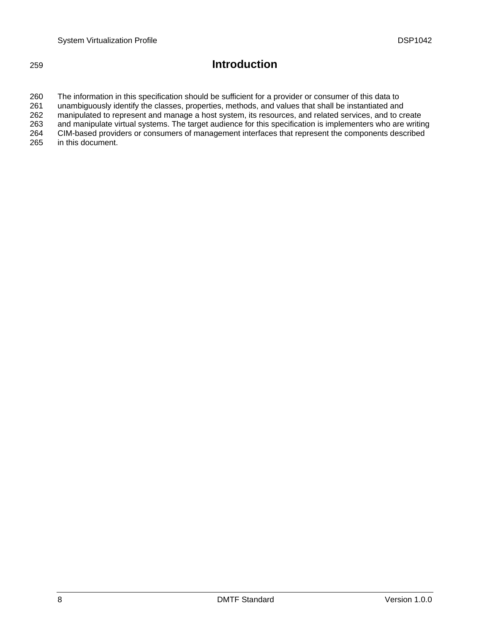## 259 **Introduction**

260 261 262 263 264 265 The information in this specification should be sufficient for a provider or consumer of this data to unambiguously identify the classes, properties, methods, and values that shall be instantiated and manipulated to represent and manage a host system, its resources, and related services, and to create and manipulate virtual systems. The target audience for this specification is implementers who are writing CIM-based providers or consumers of management interfaces that represent the components described in this document.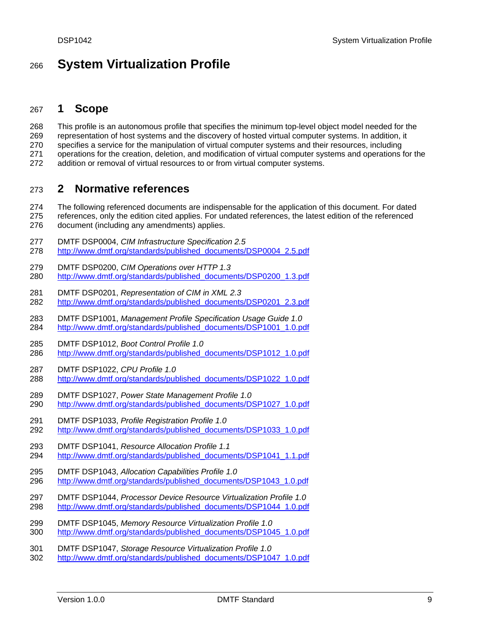## <span id="page-8-0"></span><sup>266</sup>**System Virtualization Profile**

### 267 **1 Scope**

268 This profile is an autonomous profile that specifies the minimum top-level object model needed for the

- 269 representation of host systems and the discovery of hosted virtual computer systems. In addition, it
- 270 specifies a service for the manipulation of virtual computer systems and their resources, including
- 271 operations for the creation, deletion, and modification of virtual computer systems and operations for the
- 272 addition or removal of virtual resources to or from virtual computer systems.

### 273 **2 Normative references**

274 275 The following referenced documents are indispensable for the application of this document. For dated references, only the edition cited applies. For undated references, the latest edition of the referenced

- 276 document (including any amendments) applies.
- 277 DMTF DSP0004, *CIM Infrastructure Specification 2.5*
- 278 [http://www.dmtf.org/standards/published\\_documents/DSP0004\\_2.5.pdf](http://www.dmtf.org/standards/published_documents/DSP0004_2.5.pdf)
- 279 DMTF DSP0200, *CIM Operations over HTTP 1.3* 280 [http://www.dmtf.org/standards/published\\_documents/DSP0200\\_1.3.pdf](http://www.dmtf.org/standards/published_documents/DSP0200_1.3.pdf)
- 281 DMTF DSP0201, *Representation of CIM in XML 2.3* 282 [http://www.dmtf.org/standards/published\\_documents/DSP0201\\_2.3.pdf](http://www.dmtf.org/standards/published_documents/DSP0201_2.3.pdf)
- 283 DMTF DSP1001, *Management Profile Specification Usage Guide 1.0*  284 [http://www.dmtf.org/standards/published\\_documents/DSP1001\\_1.0.pdf](http://www.dmtf.org/standards/published_documents/DSP1001_1.0.pdf)
- 285 DMTF DSP1012, *Boot Control Profile 1.0*  286 [http://www.dmtf.org/standards/published\\_documents/DSP1012\\_1.0.pdf](http://www.dmtf.org/standards/published_documents/DSP1012_1.0.pdf)
- 287 DMTF DSP1022, *CPU Profile 1.0*  288 [http://www.dmtf.org/standards/published\\_documents/DSP1022\\_1.0.pdf](http://www.dmtf.org/standards/published_documents/DSP1022_1.0.pdf)
- 289 DMTF DSP1027, *Power State Management Profile 1.0*  290 [http://www.dmtf.org/standards/published\\_documents/DSP1027\\_1.0.pdf](http://www.dmtf.org/standards/published_documents/DSP1027_1.0.pdf)
- 291 DMTF DSP1033, *Profile Registration Profile 1.0*
- 292 [http://www.dmtf.org/standards/published\\_documents/DSP1033\\_1.0.pdf](http://www.dmtf.org/standards/published_documents/DSP1033_1.0.pdf)
- 293 DMTF DSP1041, *Resource Allocation Profile 1.1*
- 294 [http://www.dmtf.org/standards/published\\_documents/DSP1041\\_1.1.pdf](http://www.dmtf.org/standards/published_documents/DSP1041_1.1.pdf)
- 295 DMTF DSP1043, *Allocation Capabilities Profile 1.0*  296 [http://www.dmtf.org/standards/published\\_documents/DSP1043\\_1.0.pdf](http://www.dmtf.org/standards/published_documents/DSP1043_1.0.pdf)
- 297 DMTF DSP1044, *Processor Device Resource Virtualization Profile 1.0*  298 [http://www.dmtf.org/standards/published\\_documents/DSP1044\\_1.0.pdf](http://www.dmtf.org/standards/published_documents/DSP1044_1.0.pdf)
- 299 DMTF DSP1045, *Memory Resource Virtualization Profile 1.0*
- 300 [http://www.dmtf.org/standards/published\\_documents/DSP1045\\_1.0.pdf](http://www.dmtf.org/standards/published_documents/DSP1045_1.0.pdf)

#### 301 DMTF DSP1047, *Storage Resource Virtualization Profile 1.0*  302 [http://www.dmtf.org/standards/published\\_documents/DSP1047\\_1.0.pdf](http://www.dmtf.org/standards/published_documents/DSP1047_1.0.pdf)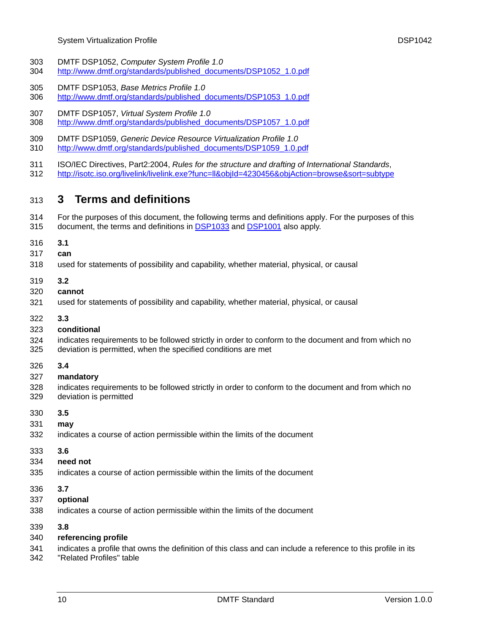- <span id="page-9-0"></span>303 DMTF DSP1052, *Computer System Profile 1.0*
- 304 [http://www.dmtf.org/standards/published\\_documents/DSP1052\\_1.0.pdf](http://www.dmtf.org/standards/published_documents/DSP1052_1.0.pdf)
- 305 DMTF DSP1053, *Base Metrics Profile 1.0*
- 306 [http://www.dmtf.org/standards/published\\_documents/DSP1053\\_1.0.pdf](http://www.dmtf.org/standards/published_documents/DSP1053_1.0.pdf)
- 307 DMTF DSP1057, *Virtual System Profile 1.0*  308 [http://www.dmtf.org/standards/published\\_documents/DSP1057\\_1.0.pdf](http://www.dmtf.org/standards/published_documents/DSP1057_1.0.pdf)
- 309 DMTF DSP1059, *Generic Device Resource Virtualization Profile 1.0*
- 310 [http://www.dmtf.org/standards/published\\_documents/DSP1059\\_1.0.pdf](http://www.dmtf.org/standards/published_documents/DSP1059_1.0.pdf)
- 311 ISO/IEC Directives, Part2:2004, *Rules for the structure and drafting of International Standards*,
- 312 <http://isotc.iso.org/livelink/livelink.exe?func=ll&objId=4230456&objAction=browse&sort=subtype>

## 313 **3 Terms and definitions**

- 314 For the purposes of this document, the following terms and definitions apply. For the purposes of this 315 document, the terms and definitions in [DSP1033](#page-8-0) and [DSP1001](#page-8-0) also apply.
- 316 **3.1**
- 317 **can**
- 318 used for statements of possibility and capability, whether material, physical, or causal
- 319 **3.2**
- 320 **cannot**
- 321 used for statements of possibility and capability, whether material, physical, or causal
- 322 **3.3**
- 323 **conditional**
- 324 indicates requirements to be followed strictly in order to conform to the document and from which no
- 325 deviation is permitted, when the specified conditions are met
- 326 **3.4**
- 327 **mandatory**
- 328 329 indicates requirements to be followed strictly in order to conform to the document and from which no deviation is permitted
- 330 **3.5**
- 331 **may**
- 332 indicates a course of action permissible within the limits of the document
- 333 **3.6**
- 334 **need not**
- 335 indicates a course of action permissible within the limits of the document
- 336 **3.7**
- 337 **optional**
- 338 indicates a course of action permissible within the limits of the document
- 339 **3.8**
- 340 **referencing profile**
- 341 indicates a profile that owns the definition of this class and can include a reference to this profile in its
- 342 "Related Profiles" table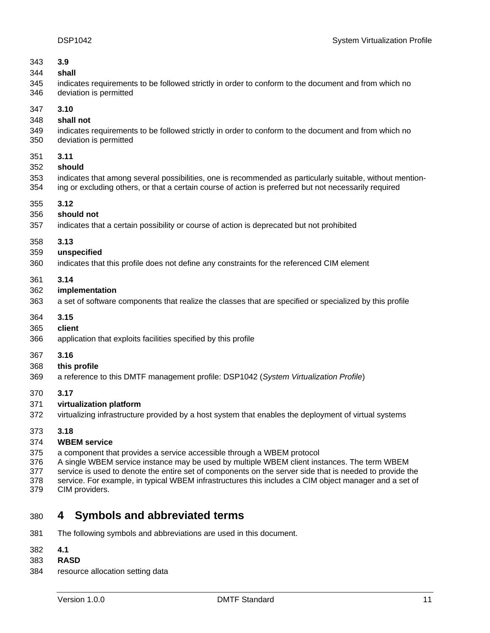<span id="page-10-0"></span>

| 343 | 3.9                                                                                                       |
|-----|-----------------------------------------------------------------------------------------------------------|
| 344 | shall                                                                                                     |
| 345 | indicates requirements to be followed strictly in order to conform to the document and from which no      |
| 346 | deviation is permitted                                                                                    |
| 347 | 3.10                                                                                                      |
| 348 | shall not                                                                                                 |
| 349 | indicates requirements to be followed strictly in order to conform to the document and from which no      |
| 350 | deviation is permitted                                                                                    |
| 351 | 3.11                                                                                                      |
| 352 | should                                                                                                    |
| 353 | indicates that among several possibilities, one is recommended as particularly suitable, without mention- |
| 354 | ing or excluding others, or that a certain course of action is preferred but not necessarily required     |
| 355 | 3.12                                                                                                      |
| 356 | should not                                                                                                |
| 357 | indicates that a certain possibility or course of action is deprecated but not prohibited                 |
| 358 | 3.13                                                                                                      |
| 359 | unspecified                                                                                               |
| 360 | indicates that this profile does not define any constraints for the referenced CIM element                |
| 361 | 3.14                                                                                                      |
| 362 | implementation                                                                                            |
| 363 | a set of software components that realize the classes that are specified or specialized by this profile   |
| 364 | 3.15                                                                                                      |
| 365 | client                                                                                                    |
| 366 | application that exploits facilities specified by this profile                                            |
| 367 | 3.16                                                                                                      |
| 368 | this profile                                                                                              |
| 369 | a reference to this DMTF management profile: DSP1042 (System Virtualization Profile)                      |
| 370 | 3.17                                                                                                      |
| 371 | virtualization platform                                                                                   |
| 372 | virtualizing infrastructure provided by a host system that enables the deployment of virtual systems      |
| 373 | 3.18                                                                                                      |
| 374 | <b>WBEM</b> service                                                                                       |
| 375 | a component that provides a service accessible through a WBEM protocol                                    |
| 376 | A single WBEM service instance may be used by multiple WBEM client instances. The term WBEM               |
| 377 | service is used to denote the entire set of components on the server side that is needed to provide the   |
| 378 | service. For example, in typical WBEM infrastructures this includes a CIM object manager and a set of     |
| 379 | CIM providers.                                                                                            |

# 380 **4 Symbols and abbreviated terms**

- 381 The following symbols and abbreviations are used in this document.
- 382 **4.1**
- 383 **RASD**
- 384 resource allocation setting data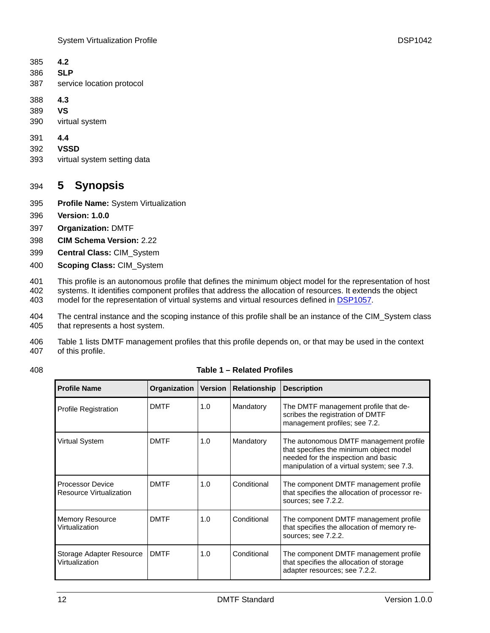<span id="page-11-0"></span>

| 385 4.2 |                           |
|---------|---------------------------|
|         | 386 <b>SLP</b>            |
| 387     | service location protocol |

- 388 **4.3**
- 389 **VS**
- 390 virtual system
- 391 **4.4**
- 392 **VSSD**
- 393 virtual system setting data

## 394 **5 Synopsis**

- 395 **Profile Name:** System Virtualization
- 396 **Version: 1.0.0**
- 397 **Organization:** DMTF
- 398 **CIM Schema Version:** 2.22
- 399 **Central Class:** CIM\_System
- 400 **Scoping Class:** CIM\_System

401 402 This profile is an autonomous profile that defines the minimum object model for the representation of host systems. It identifies component profiles that address the allocation of resources. It extends the object

- 403 model for the representation of virtual systems and virtual resources defined in [DSP1057](#page-9-0).
- 404 405 The central instance and the scoping instance of this profile shall be an instance of the CIM\_System class that represents a host system.
- 406 407 [Table 1](#page-11-1) lists DMTF management profiles that this profile depends on, or that may be used in the context of this profile.

<span id="page-11-1"></span>

**Table 1 – Related Profiles** 

| <b>Profile Name</b>                                | Organization | <b>Version</b> | <b>Relationship</b> | <b>Description</b>                                                                                                                                                     |
|----------------------------------------------------|--------------|----------------|---------------------|------------------------------------------------------------------------------------------------------------------------------------------------------------------------|
| <b>Profile Registration</b>                        | <b>DMTF</b>  | 1.0            | Mandatory           | The DMTF management profile that de-<br>scribes the registration of DMTF<br>management profiles; see 7.2.                                                              |
| Virtual System                                     | <b>DMTF</b>  | 1.0            | Mandatory           | The autonomous DMTF management profile<br>that specifies the minimum object model<br>needed for the inspection and basic<br>manipulation of a virtual system; see 7.3. |
| <b>Processor Device</b><br>Resource Virtualization | <b>DMTF</b>  | 1.0            | Conditional         | The component DMTF management profile<br>that specifies the allocation of processor re-<br>sources; see 7.2.2.                                                         |
| <b>Memory Resource</b><br>Virtualization           | <b>DMTF</b>  | 1.0            | Conditional         | The component DMTF management profile<br>that specifies the allocation of memory re-<br>sources; see 7.2.2.                                                            |
| Storage Adapter Resource<br>Virtualization         | <b>DMTF</b>  | 1.0            | Conditional         | The component DMTF management profile<br>that specifies the allocation of storage<br>adapter resources; see 7.2.2.                                                     |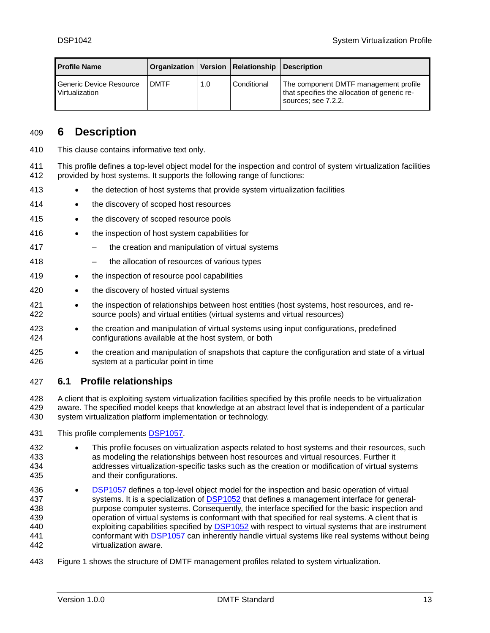<span id="page-12-0"></span>

| <b>Profile Name</b>                       |             |     | Organization   Version   Relationship   Description |                                                                                                              |
|-------------------------------------------|-------------|-----|-----------------------------------------------------|--------------------------------------------------------------------------------------------------------------|
| Generic Device Resource<br>Virtualization | <b>DMTF</b> | 1.0 | Conditional                                         | The component DMTF management profile<br>that specifies the allocation of generic re-<br>sources; see 7.2.2. |

### 409 **6 Description**

- 410 This clause contains informative text only.
- 411 412 This profile defines a top-level object model for the inspection and control of system virtualization facilities provided by host systems. It supports the following range of functions:
- 413 • the detection of host systems that provide system virtualization facilities
- 414 • the discovery of scoped host resources
- 415 • the discovery of scoped resource pools
- 416 • the inspection of host system capabilities for
- 417 the creation and manipulation of virtual systems
- 418 – the allocation of resources of various types
- 419 • the inspection of resource pool capabilities
- 420 • the discovery of hosted virtual systems
- 421 422 • the inspection of relationships between host entities (host systems, host resources, and resource pools) and virtual entities (virtual systems and virtual resources)
- 423 424 • the creation and manipulation of virtual systems using input configurations, predefined configurations available at the host system, or both
- 425 426 • the creation and manipulation of snapshots that capture the configuration and state of a virtual system at a particular point in time

#### 427 **6.1 Profile relationships**

428 429 430 A client that is exploiting system virtualization facilities specified by this profile needs to be virtualization aware. The specified model keeps that knowledge at an abstract level that is independent of a particular system virtualization platform implementation or technology.

431 This profile complements **DSP1057**.

432 433 434 435 • This profile focuses on virtualization aspects related to host systems and their resources, such as modeling the relationships between host resources and virtual resources. Further it addresses virtualization-specific tasks such as the creation or modification of virtual systems and their configurations.

- [DSP1057](#page-9-0) defines a top-level object model for the inspection and basic operation of virtual systems. It is a specialization of [DSP1052](#page-9-0) that defines a management interface for general-436 purpose computer systems. Consequently, the interface specified for the basic inspection and operation of virtual systems is conformant with that specified for real systems. A client that is exploiting capabilities specified by **DSP1052** with respect to virtual systems that are instrument 437 438 439 conformant with **[DSP1057](#page-9-0)** can inherently handle virtual systems like real systems without being 440 virtualization aware. 441 442
- 443 [Figure 1](#page-13-1) shows the structure of DMTF management profiles related to system virtualization.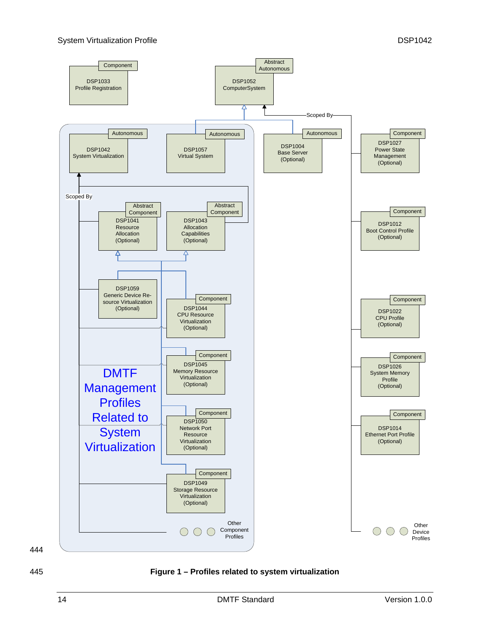<span id="page-13-0"></span>

444

<span id="page-13-1"></span>445 **Figure 1 – Profiles related to system virtualization**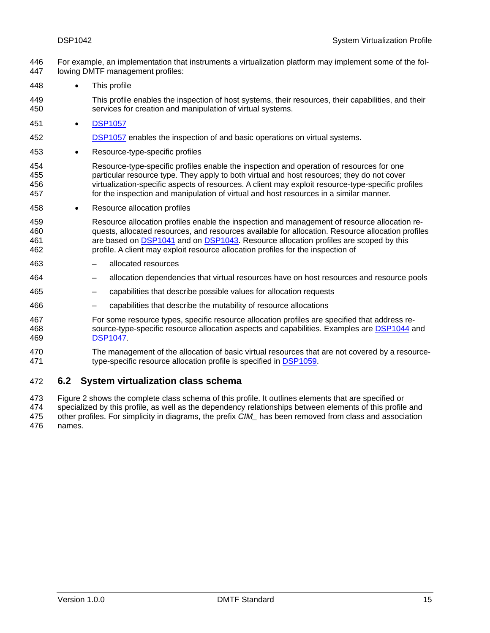- <span id="page-14-0"></span>For example, an implementation that instruments a virtualization platform may implement some of the following DMTF management profiles: 446 447
- 448 • This profile
- 449 450 This profile enables the inspection of host systems, their resources, their capabilities, and their services for creation and manipulation of virtual systems.
- 451 [DSP1057](#page-9-0)

#### 452 [DSP1057](#page-9-0) enables the inspection of and basic operations on virtual systems.

- 453 Resource-type-specific profiles
- 454 455 456 457 Resource-type-specific profiles enable the inspection and operation of resources for one particular resource type. They apply to both virtual and host resources; they do not cover virtualization-specific aspects of resources. A client may exploit resource-type-specific profiles for the inspection and manipulation of virtual and host resources in a similar manner.
- 458 • Resource allocation profiles
- 459 460 Resource allocation profiles enable the inspection and management of resource allocation requests, allocated resources, and resources available for allocation. Resource allocation profiles are based on [DSP1041](#page-8-0) and on [DSP1043](#page-8-0). Resource allocation profiles are scoped by this profile. A client may exploit resource allocation profiles for the inspection of 461 462
- 463 – allocated resources
- 464 – allocation dependencies that virtual resources have on host resources and resource pools
- 465 – capabilities that describe possible values for allocation requests
- 466 – capabilities that describe the mutability of resource allocations
- 467 For some resource types, specific resource allocation profiles are specified that address re-468 source-type-specific resource allocation aspects and capabilities. Examples are [DSP1044](#page-8-0) and 469 [DSP1047.](#page-8-0)
- 470 The management of the allocation of basic virtual resources that are not covered by a resource-471 type-specific resource allocation profile is specified in [DSP1059.](#page-9-0)

#### 472 **6.2 System virtualization class schema**

473 474 [Figure 2](#page-15-1) shows the complete class schema of this profile. It outlines elements that are specified or specialized by this profile, as well as the dependency relationships between elements of this profile and

475 476 other profiles. For simplicity in diagrams, the prefix *CIM\_* has been removed from class and association names.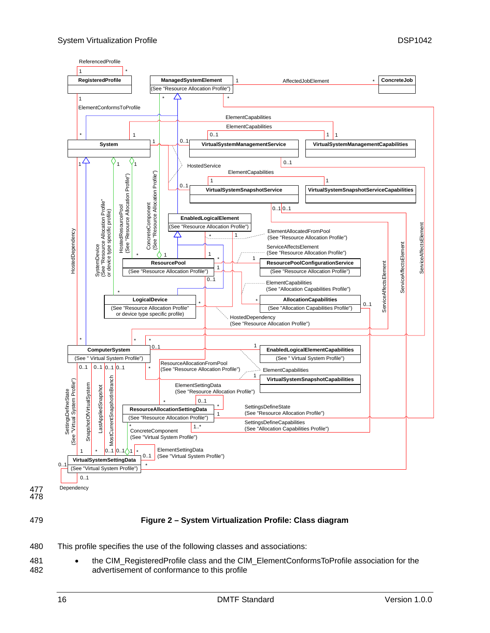<span id="page-15-0"></span>

477 478

<span id="page-15-1"></span>479

#### **Figure 2 – System Virtualization Profile: Class diagram**

- 480 This profile specifies the use of the following classes and associations:
- 481 482 • the CIM\_RegisteredProfile class and the CIM\_ElementConformsToProfile association for the advertisement of conformance to this profile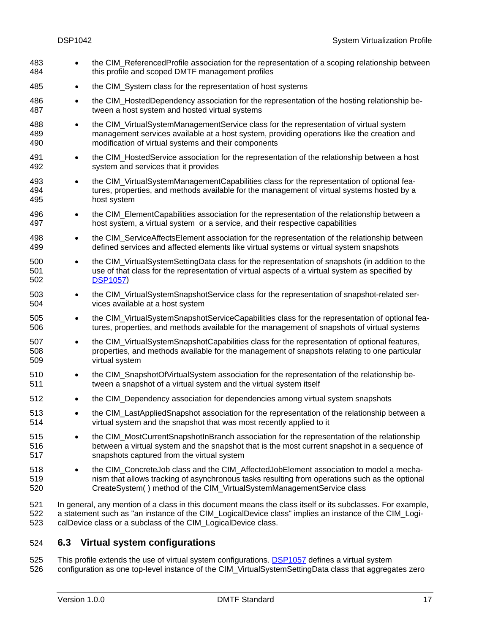<span id="page-16-0"></span>

| 483<br>484        | $\bullet$ | the CIM_ReferencedProfile association for the representation of a scoping relationship between<br>this profile and scoped DMTF management profiles                                                                                                                                   |
|-------------------|-----------|--------------------------------------------------------------------------------------------------------------------------------------------------------------------------------------------------------------------------------------------------------------------------------------|
| 485               | $\bullet$ | the CIM_System class for the representation of host systems                                                                                                                                                                                                                          |
| 486<br>487        | $\bullet$ | the CIM_HostedDependency association for the representation of the hosting relationship be-<br>tween a host system and hosted virtual systems                                                                                                                                        |
| 488<br>489<br>490 | $\bullet$ | the CIM_VirtualSystemManagementService class for the representation of virtual system<br>management services available at a host system, providing operations like the creation and<br>modification of virtual systems and their components                                          |
| 491<br>492        | $\bullet$ | the CIM_HostedService association for the representation of the relationship between a host<br>system and services that it provides                                                                                                                                                  |
| 493<br>494<br>495 | $\bullet$ | the CIM_VirtualSystemManagementCapabilities class for the representation of optional fea-<br>tures, properties, and methods available for the management of virtual systems hosted by a<br>host system                                                                               |
| 496<br>497        | $\bullet$ | the CIM_ElementCapabilities association for the representation of the relationship between a<br>host system, a virtual system or a service, and their respective capabilities                                                                                                        |
| 498<br>499        | $\bullet$ | the CIM_ServiceAffectsElement association for the representation of the relationship between<br>defined services and affected elements like virtual systems or virtual system snapshots                                                                                              |
| 500<br>501<br>502 | $\bullet$ | the CIM_VirtualSystemSettingData class for the representation of snapshots (in addition to the<br>use of that class for the representation of virtual aspects of a virtual system as specified by<br><b>DSP1057)</b>                                                                 |
| 503<br>504        | $\bullet$ | the CIM_VirtualSystemSnapshotService class for the representation of snapshot-related ser-<br>vices available at a host system                                                                                                                                                       |
| 505<br>506        | $\bullet$ | the CIM_VirtualSystemSnapshotServiceCapabilities class for the representation of optional fea-<br>tures, properties, and methods available for the management of snapshots of virtual systems                                                                                        |
| 507<br>508<br>509 | $\bullet$ | the CIM_VirtualSystemSnapshotCapabilities class for the representation of optional features,<br>properties, and methods available for the management of snapshots relating to one particular<br>virtual system                                                                       |
| 510<br>511        | $\bullet$ | the CIM_SnapshotOfVirtualSystem association for the representation of the relationship be-<br>tween a snapshot of a virtual system and the virtual system itself                                                                                                                     |
| 512               |           | the CIM_Dependency association for dependencies among virtual system snapshots                                                                                                                                                                                                       |
| 513<br>514        |           | the CIM_LastAppliedSnapshot association for the representation of the relationship between a<br>virtual system and the snapshot that was most recently applied to it                                                                                                                 |
| 515<br>516<br>517 |           | the CIM_MostCurrentSnapshotInBranch association for the representation of the relationship<br>between a virtual system and the snapshot that is the most current snapshot in a sequence of<br>snapshots captured from the virtual system                                             |
| 518<br>519<br>520 | $\bullet$ | the CIM_ConcreteJob class and the CIM_AffectedJobElement association to model a mecha-<br>nism that allows tracking of asynchronous tasks resulting from operations such as the optional<br>CreateSystem() method of the CIM_VirtualSystemManagementService class                    |
| 521<br>522<br>523 |           | In general, any mention of a class in this document means the class itself or its subclasses. For example,<br>a statement such as "an instance of the CIM_LogicalDevice class" implies an instance of the CIM_Logi-<br>calDevice class or a subclass of the CIM_LogicalDevice class. |

### 524 **6.3 Virtual system configurations**

This profile extends the use of virtual system configurations. [DSP1057](#page-9-0) defines a virtual system configuration as one top-level instance of the CIM\_VirtualSystemSettingData class that aggregates zero 525 526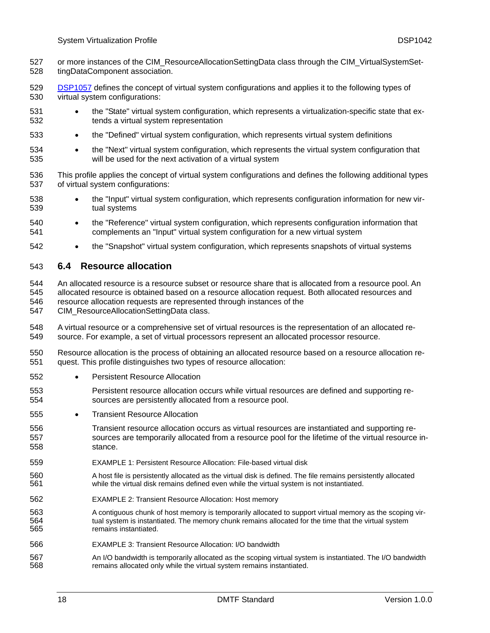- <span id="page-17-0"></span>or more instances of the CIM\_ResourceAllocationSettingData class through the CIM\_VirtualSystemSettingDataComponent association. 527 528
- [DSP1057](#page-9-0) defines the concept of virtual system configurations and applies it to the following types of virtual system configurations: 529 530
- 531 532 • the "State" virtual system configuration, which represents a virtualization-specific state that extends a virtual system representation
- 533 • the "Defined" virtual system configuration, which represents virtual system definitions
- 534 535 • the "Next" virtual system configuration, which represents the virtual system configuration that will be used for the next activation of a virtual system
- 536 537 This profile applies the concept of virtual system configurations and defines the following additional types of virtual system configurations:
- 538 539 • the "Input" virtual system configuration, which represents configuration information for new virtual systems
- 540 541 • the "Reference" virtual system configuration, which represents configuration information that complements an "Input" virtual system configuration for a new virtual system
- 542 • the "Snapshot" virtual system configuration, which represents snapshots of virtual systems

#### 543 **6.4 Resource allocation**

544 545 546 An allocated resource is a resource subset or resource share that is allocated from a resource pool. An allocated resource is obtained based on a resource allocation request. Both allocated resources and resource allocation requests are represented through instances of the

- 547 CIM\_ResourceAllocationSettingData class.
- 548 549 A virtual resource or a comprehensive set of virtual resources is the representation of an allocated resource. For example, a set of virtual processors represent an allocated processor resource.
- 550 551 Resource allocation is the process of obtaining an allocated resource based on a resource allocation request. This profile distinguishes two types of resource allocation:
- 552 • Persistent Resource Allocation
- 553 554 Persistent resource allocation occurs while virtual resources are defined and supporting resources are persistently allocated from a resource pool.
- 555 **Transient Resource Allocation**
- 556 557 558 Transient resource allocation occurs as virtual resources are instantiated and supporting resources are temporarily allocated from a resource pool for the lifetime of the virtual resource instance.
- 559 EXAMPLE 1: Persistent Resource Allocation: File-based virtual disk
- 560 561 A host file is persistently allocated as the virtual disk is defined. The file remains persistently allocated while the virtual disk remains defined even while the virtual system is not instantiated.
- 562 EXAMPLE 2: Transient Resource Allocation: Host memory
- 563 564 565 A contiguous chunk of host memory is temporarily allocated to support virtual memory as the scoping virtual system is instantiated. The memory chunk remains allocated for the time that the virtual system remains instantiated.
- 566 EXAMPLE 3: Transient Resource Allocation: I/O bandwidth
- 567 568 An I/O bandwidth is temporarily allocated as the scoping virtual system is instantiated. The I/O bandwidth remains allocated only while the virtual system remains instantiated.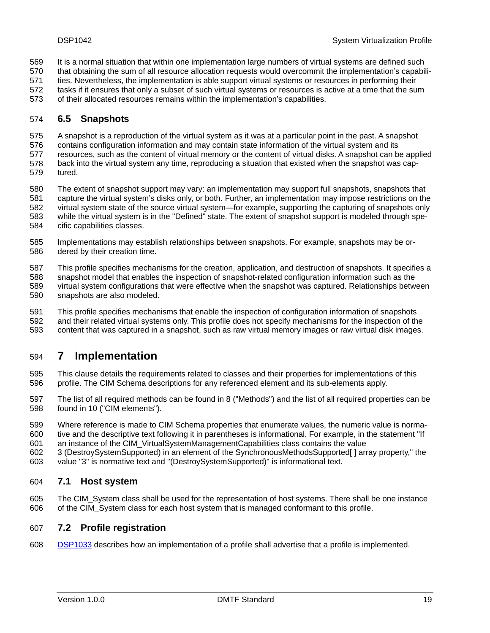- <span id="page-18-0"></span>It is a normal situation that within one implementation large numbers of virtual systems are defined such 569
- that obtaining the sum of all resource allocation requests would overcommit the implementation's capabili-570
- ties. Nevertheless, the implementation is able support virtual systems or resources in performing their 571
- tasks if it ensures that only a subset of such virtual systems or resources is active at a time that the sum 572
- of their allocated resources remains within the implementation's capabilities. 573

#### 574 **6.5 Snapshots**

- 575 A snapshot is a reproduction of the virtual system as it was at a particular point in the past. A snapshot
- 576 contains configuration information and may contain state information of the virtual system and its
- 577 578 resources, such as the content of virtual memory or the content of virtual disks. A snapshot can be applied back into the virtual system any time, reproducing a situation that existed when the snapshot was cap-
- 579 tured.
- 580 581 582 583 584 The extent of snapshot support may vary: an implementation may support full snapshots, snapshots that capture the virtual system's disks only, or both. Further, an implementation may impose restrictions on the virtual system state of the source virtual system—for example, supporting the capturing of snapshots only while the virtual system is in the "Defined" state. The extent of snapshot support is modeled through specific capabilities classes.
- 585 586 Implementations may establish relationships between snapshots. For example, snapshots may be ordered by their creation time.
- 587 588 589 590 This profile specifies mechanisms for the creation, application, and destruction of snapshots. It specifies a snapshot model that enables the inspection of snapshot-related configuration information such as the virtual system configurations that were effective when the snapshot was captured. Relationships between snapshots are also modeled.
- 591 592 593 This profile specifies mechanisms that enable the inspection of configuration information of snapshots and their related virtual systems only. This profile does not specify mechanisms for the inspection of the content that was captured in a snapshot, such as raw virtual memory images or raw virtual disk images.

## 594 **7 Implementation**

- 595 596 This clause details the requirements related to classes and their properties for implementations of this profile. The CIM Schema descriptions for any referenced element and its sub-elements apply.
- 597 598 The list of all required methods can be found in [8](#page-26-1) ("[Methods](#page-26-1)") and the list of all required properties can be found in [10](#page-67-1) (["CIM elements"](#page-67-1)).
- 599 600 Where reference is made to CIM Schema properties that enumerate values, the numeric value is normative and the descriptive text following it in parentheses is informational. For example, in the statement "If
- 601 an instance of the CIM\_VirtualSystemManagementCapabilities class contains the value
- 602 3 (DestroySystemSupported) in an element of the SynchronousMethodsSupported[ ] array property," the
- 603 value "3" is normative text and "(DestroySystemSupported)" is informational text.

### 604 **7.1 Host system**

605 606 The CIM\_System class shall be used for the representation of host systems. There shall be one instance of the CIM\_System class for each host system that is managed conformant to this profile.

### <span id="page-18-1"></span>607 **7.2 Profile registration**

608 [DSP1033](#page-8-0) describes how an implementation of a profile shall advertise that a profile is implemented.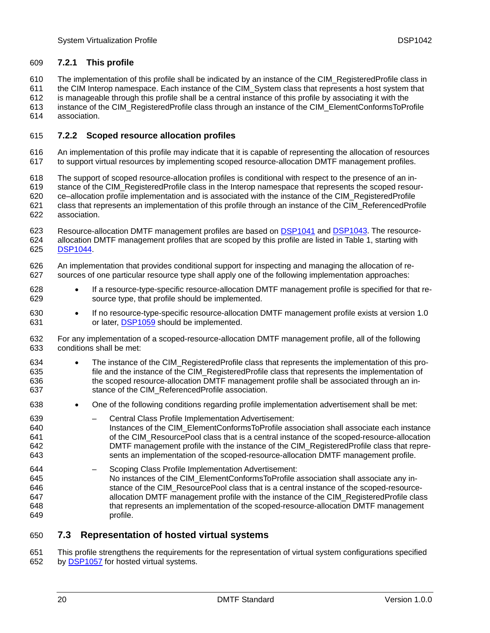#### <span id="page-19-0"></span>609 **7.2.1 This profile**

The implementation of this profile shall be indicated by an instance of the CIM\_RegisteredProfile class in 610

the CIM Interop namespace. Each instance of the CIM\_System class that represents a host system that 611

is manageable through this profile shall be a central instance of this profile by associating it with the 612

instance of the CIM\_RegisteredProfile class through an instance of the CIM\_ElementConformsToProfile 613

association. 614

#### <span id="page-19-2"></span>615 **7.2.2 Scoped resource allocation profiles**

616 617 An implementation of this profile may indicate that it is capable of representing the allocation of resources to support virtual resources by implementing scoped resource-allocation DMTF management profiles.

618 The support of scoped resource-allocation profiles is conditional with respect to the presence of an in-

619 stance of the CIM\_RegisteredProfile class in the Interop namespace that represents the scoped resour-

620 ce–allocation profile implementation and is associated with the instance of the CIM\_RegisteredProfile

- 621 622 class that represents an implementation of this profile through an instance of the CIM\_ReferencedProfile association.
- Resource-allocation DMTF management profiles are based on [DSP1041](#page-8-0) and [DSP1043.](#page-8-0) The resource-624 allocation DMTF management profiles that are scoped by this profile are listed in [Table 1](#page-11-1), starting with 623 625 [DSP1044.](#page-8-0)
- 626 627 An implementation that provides conditional support for inspecting and managing the allocation of resources of one particular resource type shall apply one of the following implementation approaches:
- 628 629 • If a resource-type-specific resource-allocation DMTF management profile is specified for that resource type, that profile should be implemented.
- 630 • If no resource-type-specific resource-allocation DMTF management profile exists at version 1.0 631 or later, [DSP1059](#page-9-0) should be implemented.
- 632 633 For any implementation of a scoped-resource-allocation DMTF management profile, all of the following conditions shall be met:
- 634 635 636 637 The instance of the CIM\_RegisteredProfile class that represents the implementation of this profile and the instance of the CIM\_RegisteredProfile class that represents the implementation of the scoped resource-allocation DMTF management profile shall be associated through an instance of the CIM\_ReferencedProfile association.
- 638 • One of the following conditions regarding profile implementation advertisement shall be met:
- 639 640 641 642 643 – Central Class Profile Implementation Advertisement: Instances of the CIM\_ElementConformsToProfile association shall associate each instance of the CIM\_ResourcePool class that is a central instance of the scoped-resource-allocation DMTF management profile with the instance of the CIM\_RegisteredProfile class that represents an implementation of the scoped-resource-allocation DMTF management profile.
- 644 645 646 647 648 649 – Scoping Class Profile Implementation Advertisement: No instances of the CIM\_ElementConformsToProfile association shall associate any instance of the CIM\_ResourcePool class that is a central instance of the scoped-resourceallocation DMTF management profile with the instance of the CIM\_RegisteredProfile class that represents an implementation of the scoped-resource-allocation DMTF management profile.

### <span id="page-19-1"></span>650 **7.3 Representation of hosted virtual systems**

651 This profile strengthens the requirements for the representation of virtual system configurations specified 652 by [DSP1057](#page-9-0) for hosted virtual systems.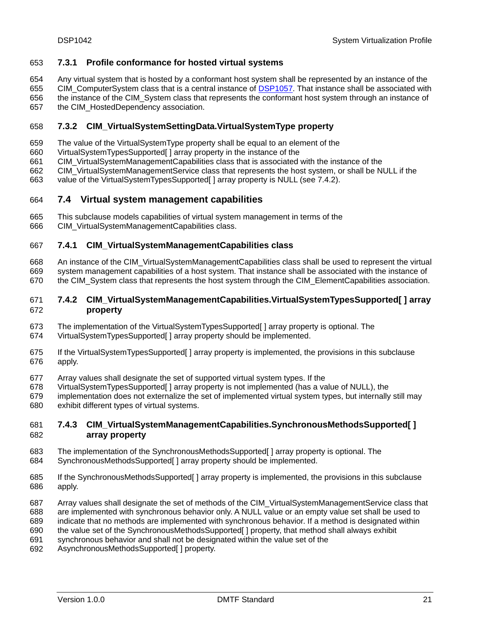#### <span id="page-20-0"></span>653 **7.3.1 Profile conformance for hosted virtual systems**

Any virtual system that is hosted by a conformant host system shall be represented by an instance of the 654

CIM\_ComputerSystem class that is a central instance of **DSP1057**. That instance shall be associated with 655

- the instance of the CIM\_System class that represents the conformant host system through an instance of 656
- the CIM\_HostedDependency association. 657

#### 658 **7.3.2 CIM\_VirtualSystemSettingData.VirtualSystemType property**

- 659 The value of the VirtualSystemType property shall be equal to an element of the
- 660 VirtualSystemTypesSupported[ ] array property in the instance of the
- 661 CIM\_VirtualSystemManagementCapabilities class that is associated with the instance of the
- 662 CIM\_VirtualSystemManagementService class that represents the host system, or shall be NULL if the
- 663 value of the VirtualSystemTypesSupported[] array property is NULL (see [7.4.2](#page-20-1)).

#### 664 **7.4 Virtual system management capabilities**

- 665 This subclause models capabilities of virtual system management in terms of the
- 666 CIM\_VirtualSystemManagementCapabilities class.

#### 667 **7.4.1 CIM\_VirtualSystemManagementCapabilities class**

- 668 669 An instance of the CIM\_VirtualSystemManagementCapabilities class shall be used to represent the virtual system management capabilities of a host system. That instance shall be associated with the instance of
- 670 the CIM\_System class that represents the host system through the CIM\_ElementCapabilities association.

#### <span id="page-20-1"></span>672 671 **7.4.2 CIM\_VirtualSystemManagementCapabilities.VirtualSystemTypesSupported[ ] array property**

- 673 The implementation of the VirtualSystemTypesSupported[ ] array property is optional. The
- 674 VirtualSystemTypesSupported[ ] array property should be implemented.
- 675 676 If the VirtualSystemTypesSupported[ ] array property is implemented, the provisions in this subclause apply.
- 677 Array values shall designate the set of supported virtual system types. If the
- 678 VirtualSystemTypesSupported[ ] array property is not implemented (has a value of NULL), the
- 679 680 implementation does not externalize the set of implemented virtual system types, but internally still may exhibit different types of virtual systems.

#### 682 681 **7.4.3 CIM\_VirtualSystemManagementCapabilities.SynchronousMethodsSupported[ ] array property**

- 683 684 The implementation of the SynchronousMethodsSupported[ ] array property is optional. The SynchronousMethodsSupported[] array property should be implemented.
- 685 686 If the SynchronousMethodsSupported[ ] array property is implemented, the provisions in this subclause apply.
- 687 Array values shall designate the set of methods of the CIM\_VirtualSystemManagementService class that
- 688 are implemented with synchronous behavior only. A NULL value or an empty value set shall be used to
- 689 indicate that no methods are implemented with synchronous behavior. If a method is designated within
- 690 the value set of the SynchronousMethodsSupported[ ] property, that method shall always exhibit
- 691 synchronous behavior and shall not be designated within the value set of the
- 692 AsynchronousMethodsSupported[ ] property.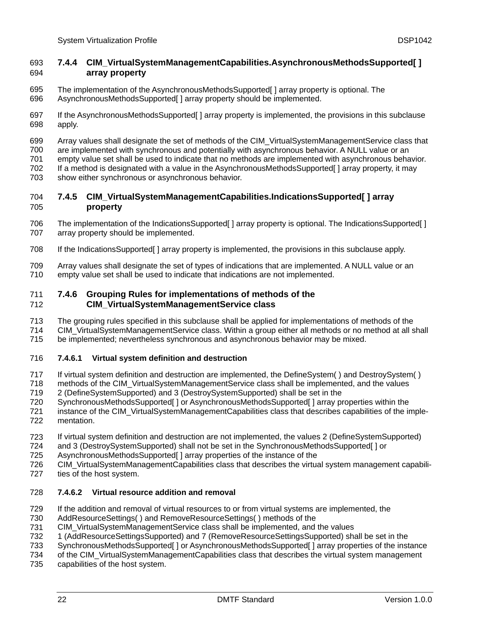#### <span id="page-21-1"></span><span id="page-21-0"></span>693 **7.4.4 CIM\_VirtualSystemManagementCapabilities.AsynchronousMethodsSupported[ ]**  694 **array property**

- 695 696 The implementation of the AsynchronousMethodsSupported[ ] array property is optional. The AsynchronousMethodsSupported[ ] array property should be implemented.
- 697 698 If the AsynchronousMethodsSupported[ ] array property is implemented, the provisions in this subclause apply.
- 699 Array values shall designate the set of methods of the CIM\_VirtualSystemManagementService class that
- 700 are implemented with synchronous and potentially with asynchronous behavior. A NULL value or an
- 701 empty value set shall be used to indicate that no methods are implemented with asynchronous behavior.
- 702 703 If a method is designated with a value in the AsynchronousMethodsSupported[ ] array property, it may
- show either synchronous or asynchronous behavior.

#### 705 704 **7.4.5 CIM\_VirtualSystemManagementCapabilities.IndicationsSupported[ ] array property**

- 706 707 The implementation of the IndicationsSupported[ ] array property is optional. The IndicationsSupported[ ] array property should be implemented.
- 708 If the IndicationsSupported[ ] array property is implemented, the provisions in this subclause apply.
- 709 710 Array values shall designate the set of types of indications that are implemented. A NULL value or an empty value set shall be used to indicate that indications are not implemented.

#### 712 711 **7.4.6 Grouping Rules for implementations of methods of the CIM\_VirtualSystemManagementService class**

- 713 The grouping rules specified in this subclause shall be applied for implementations of methods of the
- 714 CIM\_VirtualSystemManagementService class. Within a group either all methods or no method at all shall
- 715 be implemented; nevertheless synchronous and asynchronous behavior may be mixed.

#### <span id="page-21-2"></span>716 **7.4.6.1 Virtual system definition and destruction**

- 717 If virtual system definition and destruction are implemented, the DefineSystem( ) and DestroySystem( )
- 718 719 methods of the CIM\_VirtualSystemManagementService class shall be implemented, and the values 2 (DefineSystemSupported) and 3 (DestroySystemSupported) shall be set in the
- 720 SynchronousMethodsSupported[ ] or AsynchronousMethodsSupported[ ] array properties within the
- 721 722 instance of the CIM VirtualSystemManagementCapabilities class that describes capabilities of the implementation.
- 723 If virtual system definition and destruction are not implemented, the values 2 (DefineSystemSupported)
- 724 and 3 (DestroySystemSupported) shall not be set in the SynchronousMethodsSupported[ ] or
- 725 AsynchronousMethodsSupported[ ] array properties of the instance of the
- 726 727 CIM\_VirtualSystemManagementCapabilities class that describes the virtual system management capabilities of the host system.

#### <span id="page-21-3"></span>728 **7.4.6.2 Virtual resource addition and removal**

- 729 If the addition and removal of virtual resources to or from virtual systems are implemented, the
- 730 AddResourceSettings( ) and RemoveResourceSettings( ) methods of the
- 731 CIM\_VirtualSystemManagementService class shall be implemented, and the values
- 732 1 (AddResourceSettingsSupported) and 7 (RemoveResourceSettingsSupported) shall be set in the
- 733 SynchronousMethodsSupported[ ] or AsynchronousMethodsSupported[ ] array properties of the instance
- 734 of the CIM\_VirtualSystemManagementCapabilities class that describes the virtual system management
- 735 capabilities of the host system.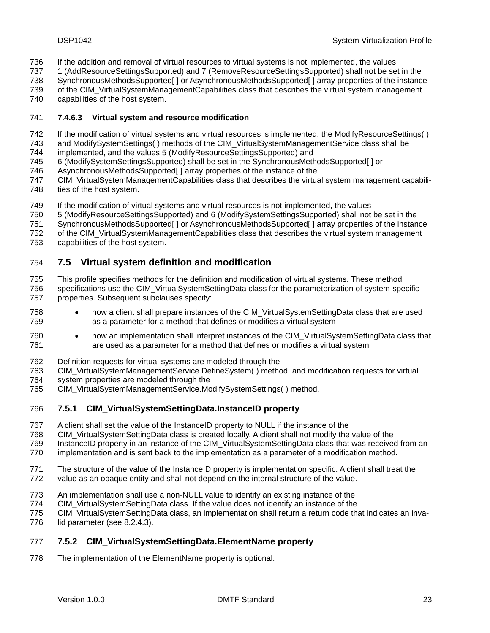- <span id="page-22-0"></span>If the addition and removal of virtual resources to virtual systems is not implemented, the values 736
- 1 (AddResourceSettingsSupported) and 7 (RemoveResourceSettingsSupported) shall not be set in the 737
- SynchronousMethodsSupported[ ] or AsynchronousMethodsSupported[ ] array properties of the instance 738
- of the CIM\_VirtualSystemManagementCapabilities class that describes the virtual system management 739
- capabilities of the host system. 740

#### <span id="page-22-1"></span>741 **7.4.6.3 Virtual system and resource modification**

- 742 If the modification of virtual systems and virtual resources is implemented, the ModifyResourceSettings( )
- 743 and ModifySystemSettings( ) methods of the CIM\_VirtualSystemManagementService class shall be
- 744 implemented, and the values 5 (ModifyResourceSettingsSupported) and
- 745 6 (ModifySystemSettingsSupported) shall be set in the SynchronousMethodsSupported[ ] or
- 746 AsynchronousMethodsSupported[ ] array properties of the instance of the
- 747 748 CIM\_VirtualSystemManagementCapabilities class that describes the virtual system management capabilities of the host system.
- 749 If the modification of virtual systems and virtual resources is not implemented, the values
- 750 5 (ModifyResourceSettingsSupported) and 6 (ModifySystemSettingsSupported) shall not be set in the
- 751 SynchronousMethodsSupported[ ] or AsynchronousMethodsSupported[ ] array properties of the instance
- 752 of the CIM\_VirtualSystemManagementCapabilities class that describes the virtual system management
- 753 capabilities of the host system.

### 754 **7.5 Virtual system definition and modification**

- 755 756 This profile specifies methods for the definition and modification of virtual systems. These method specifications use the CIM\_VirtualSystemSettingData class for the parameterization of system-specific
- 757 properties. Subsequent subclauses specify:
- 758 759 • how a client shall prepare instances of the CIM\_VirtualSystemSettingData class that are used as a parameter for a method that defines or modifies a virtual system
- 760 761 • how an implementation shall interpret instances of the CIM VirtualSystemSettingData class that are used as a parameter for a method that defines or modifies a virtual system
- 762 Definition requests for virtual systems are modeled through the
- 763 CIM\_VirtualSystemManagementService.DefineSystem( ) method, and modification requests for virtual
- 764 system properties are modeled through the
- 765 CIM\_VirtualSystemManagementService.ModifySystemSettings( ) method.

#### 766 **7.5.1 CIM\_VirtualSystemSettingData.InstanceID property**

- 767 A client shall set the value of the InstanceID property to NULL if the instance of the
- 768 CIM\_VirtualSystemSettingData class is created locally. A client shall not modify the value of the
- 769 InstanceID property in an instance of the CIM\_VirtualSystemSettingData class that was received from an
- 770 implementation and is sent back to the implementation as a parameter of a modification method.
- 771 The structure of the value of the InstanceID property is implementation specific. A client shall treat the
- 772 value as an opaque entity and shall not depend on the internal structure of the value.
- 773 An implementation shall use a non-NULL value to identify an existing instance of the
- 774 CIM\_VirtualSystemSettingData class. If the value does not identify an instance of the
- 775 CIM\_VirtualSystemSettingData class, an implementation shall return a return code that indicates an inva-
- 776 lid parameter (see [8.2.4.3\)](#page-34-1).

#### 777 **7.5.2 CIM\_VirtualSystemSettingData.ElementName property**

778 The implementation of the ElementName property is optional.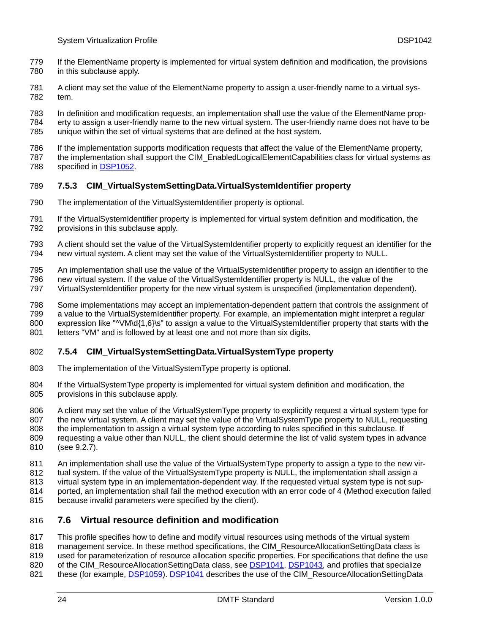- <span id="page-23-0"></span>If the ElementName property is implemented for virtual system definition and modification, the provisions in this subclause apply. 779 780
- 781 782 A client may set the value of the ElementName property to assign a user-friendly name to a virtual system.
- 783 In definition and modification requests, an implementation shall use the value of the ElementName prop-
- 784 785 erty to assign a user-friendly name to the new virtual system. The user-friendly name does not have to be unique within the set of virtual systems that are defined at the host system.
- 786 787 If the implementation supports modification requests that affect the value of the ElementName property, the implementation shall support the CIM\_EnabledLogicalElementCapabilities class for virtual systems as
- 788 specified in [DSP1052.](#page-9-0)

#### 789 **7.5.3 CIM\_VirtualSystemSettingData.VirtualSystemIdentifier property**

- 790 The implementation of the VirtualSystemIdentifier property is optional.
- 791 792 If the VirtualSystemIdentifier property is implemented for virtual system definition and modification, the provisions in this subclause apply.
- 793 794 A client should set the value of the VirtualSystemIdentifier property to explicitly request an identifier for the new virtual system. A client may set the value of the VirtualSystemIdentifier property to NULL.
- 795 796 An implementation shall use the value of the VirtualSystemIdentifier property to assign an identifier to the new virtual system. If the value of the VirtualSystemIdentifier property is NULL, the value of the
- 797 VirtualSystemIdentifier property for the new virtual system is unspecified (implementation dependent).
- 798 799 800 801 Some implementations may accept an implementation-dependent pattern that controls the assignment of a value to the VirtualSystemIdentifier property. For example, an implementation might interpret a regular expression like "^VM\d{1,6}\s" to assign a value to the VirtualSystemIdentifier property that starts with the letters "VM" and is followed by at least one and not more than six digits.

#### 802 **7.5.4 CIM\_VirtualSystemSettingData.VirtualSystemType property**

- 803 The implementation of the VirtualSystemType property is optional.
- 804 805 If the VirtualSystemType property is implemented for virtual system definition and modification, the provisions in this subclause apply.
- 806 807 808 809 810 A client may set the value of the VirtualSystemType property to explicitly request a virtual system type for the new virtual system. A client may set the value of the VirtualSystemType property to NULL, requesting the implementation to assign a virtual system type according to rules specified in this subclause. If requesting a value other than NULL, the client should determine the list of valid system types in advance (see [9.2.7](#page-47-1)).
- 811 An implementation shall use the value of the VirtualSystemType property to assign a type to the new vir-
- 812 tual system. If the value of the VirtualSystemType property is NULL, the implementation shall assign a
- 813 virtual system type in an implementation-dependent way. If the requested virtual system type is not sup-
- 814 ported, an implementation shall fail the method execution with an error code of 4 (Method execution failed
- 815 because invalid parameters were specified by the client).

### 816 **7.6 Virtual resource definition and modification**

- 817 This profile specifies how to define and modify virtual resources using methods of the virtual system
- 818 management service. In these method specifications, the CIM\_ResourceAllocationSettingData class is
- 819 used for parameterization of resource allocation specific properties. For specifications that define the use
- of the CIM\_ResourceAllocationSettingData class, see [DSP1041, DSP1043](#page-8-0), and profiles that specialize 820
- 821 these (for example, [DSP1059](#page-9-0)). [DSP1041](#page-8-0) describes the use of the CIM\_ResourceAllocationSettingData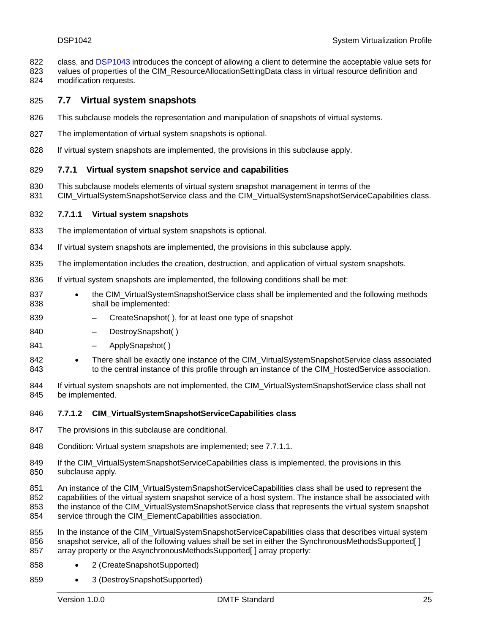- <span id="page-24-0"></span>class, and [DSP1043](#page-8-0) introduces the concept of allowing a client to determine the acceptable value sets for 822
- values of properties of the CIM\_ResourceAllocationSettingData class in virtual resource definition and modification requests. 823 824

#### 825 **7.7 Virtual system snapshots**

- 826 This subclause models the representation and manipulation of snapshots of virtual systems.
- 827 The implementation of virtual system snapshots is optional.
- 828 If virtual system snapshots are implemented, the provisions in this subclause apply.

#### 829 **7.7.1 Virtual system snapshot service and capabilities**

- 830 This subclause models elements of virtual system snapshot management in terms of the
- 831 CIM\_VirtualSystemSnapshotService class and the CIM\_VirtualSystemSnapshotServiceCapabilities class.

#### <span id="page-24-1"></span>832 **7.7.1.1 Virtual system snapshots**

- 833 The implementation of virtual system snapshots is optional.
- 834 If virtual system snapshots are implemented, the provisions in this subclause apply.
- 835 The implementation includes the creation, destruction, and application of virtual system snapshots.
- 836 If virtual system snapshots are implemented, the following conditions shall be met:
- 837 838 • the CIM\_VirtualSystemSnapshotService class shall be implemented and the following methods shall be implemented:
- 839 – CreateSnapshot( ), for at least one type of snapshot
- 840 DestroySnapshot()
- 841 – ApplySnapshot( )
- 842 843 • There shall be exactly one instance of the CIM\_VirtualSystemSnapshotService class associated to the central instance of this profile through an instance of the CIM\_HostedService association.
- 844 845 If virtual system snapshots are not implemented, the CIM\_VirtualSystemSnapshotService class shall not be implemented.
- 846 **7.7.1.2 CIM\_VirtualSystemSnapshotServiceCapabilities class**
- 847 The provisions in this subclause are conditional.
- 848 Condition: Virtual system snapshots are implemented; see [7.7.1.1.](#page-24-1)
- 849 850 If the CIM\_VirtualSystemSnapshotServiceCapabilities class is implemented, the provisions in this subclause apply.
- 851 852 853 854 An instance of the CIM\_VirtualSystemSnapshotServiceCapabilities class shall be used to represent the capabilities of the virtual system snapshot service of a host system. The instance shall be associated with the instance of the CIM\_VirtualSystemSnapshotService class that represents the virtual system snapshot service through the CIM\_ElementCapabilities association.
- 855 856 857 In the instance of the CIM\_VirtualSystemSnapshotServiceCapabilities class that describes virtual system snapshot service, all of the following values shall be set in either the SynchronousMethodsSupported[ ] array property or the AsynchronousMethodsSupported[ ] array property:
- 858 • 2 (CreateSnapshotSupported)
- 859 • 3 (DestroySnapshotSupported)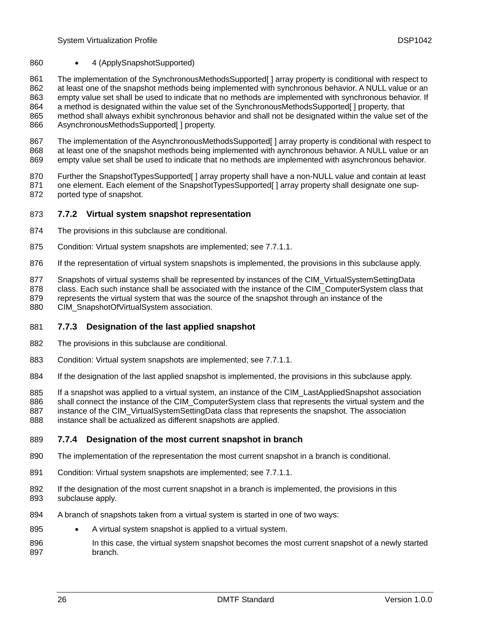#### <span id="page-25-0"></span>860 • 4 (ApplySnapshotSupported)

861 862 863 864 865 866 The implementation of the SynchronousMethodsSupported[ ] array property is conditional with respect to at least one of the snapshot methods being implemented with synchronous behavior. A NULL value or an empty value set shall be used to indicate that no methods are implemented with synchronous behavior. If a method is designated within the value set of the SynchronousMethodsSupported[ ] property, that method shall always exhibit synchronous behavior and shall not be designated within the value set of the AsynchronousMethodsSupported[ ] property.

867 868 869 The implementation of the AsynchronousMethodsSupported[ ] array property is conditional with respect to at least one of the snapshot methods being implemented with aynchronous behavior. A NULL value or an empty value set shall be used to indicate that no methods are implemented with asynchronous behavior.

870 871 872 Further the SnapshotTypesSupported[] array property shall have a non-NULL value and contain at least one element. Each element of the SnapshotTypesSupported[ ] array property shall designate one supported type of snapshot.

#### 873 **7.7.2 Virtual system snapshot representation**

- 874 The provisions in this subclause are conditional.
- 875 Condition: Virtual system snapshots are implemented; see [7.7.1.1.](#page-24-1)
- 876 If the representation of virtual system snapshots is implemented, the provisions in this subclause apply.
- 877 Snapshots of virtual systems shall be represented by instances of the CIM\_VirtualSystemSettingData
- 878 class. Each such instance shall be associated with the instance of the CIM\_ComputerSystem class that
- 879 represents the virtual system that was the source of the snapshot through an instance of the
- 880 CIM\_SnapshotOfVirtualSystem association.

#### 881 **7.7.3 Designation of the last applied snapshot**

- 882 The provisions in this subclause are conditional.
- 883 Condition: Virtual system snapshots are implemented; see [7.7.1.1.](#page-24-1)
- 884 If the designation of the last applied snapshot is implemented, the provisions in this subclause apply.
- 885 If a snapshot was applied to a virtual system, an instance of the CIM\_LastAppliedSnapshot association
- 886 shall connect the instance of the CIM\_ComputerSystem class that represents the virtual system and the
- 887 888 instance of the CIM VirtualSystemSettingData class that represents the snapshot. The association instance shall be actualized as different snapshots are applied.

#### 889 **7.7.4 Designation of the most current snapshot in branch**

- 890 The implementation of the representation the most current snapshot in a branch is conditional.
- 891 Condition: Virtual system snapshots are implemented; see [7.7.1.1.](#page-24-1)
- 892 893 If the designation of the most current snapshot in a branch is implemented, the provisions in this subclause apply.
- 894 A branch of snapshots taken from a virtual system is started in one of two ways:
- 895 • A virtual system snapshot is applied to a virtual system.
- 896 897 In this case, the virtual system snapshot becomes the most current snapshot of a newly started branch.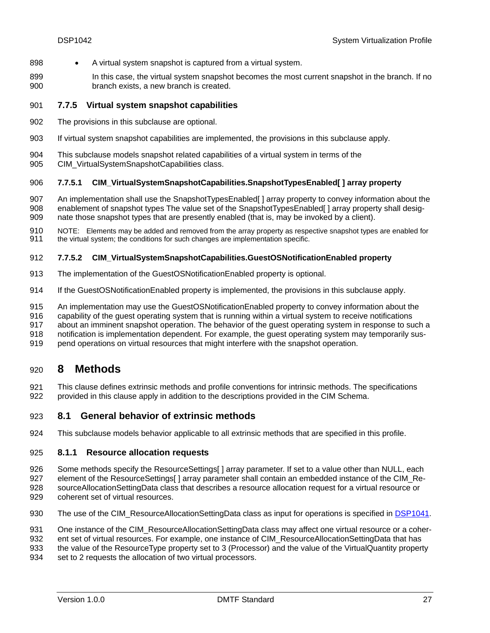- <span id="page-26-0"></span>898 • A virtual system snapshot is captured from a virtual system.
- 899 900 In this case, the virtual system snapshot becomes the most current snapshot in the branch. If no branch exists, a new branch is created.

#### 901 **7.7.5 Virtual system snapshot capabilities**

- 902 The provisions in this subclause are optional.
- 903 If virtual system snapshot capabilities are implemented, the provisions in this subclause apply.
- 904 This subclause models snapshot related capabilities of a virtual system in terms of the
- 905 CIM\_VirtualSystemSnapshotCapabilities class.

#### 906 **7.7.5.1 CIM\_VirtualSystemSnapshotCapabilities.SnapshotTypesEnabled[ ] array property**

- 907 908 909 An implementation shall use the SnapshotTypesEnabled[ ] array property to convey information about the enablement of snapshot types The value set of the SnapshotTypesEnabled[] array property shall designate those snapshot types that are presently enabled (that is, may be invoked by a client).
- 910 911 NOTE: Elements may be added and removed from the array property as respective snapshot types are enabled for the virtual system; the conditions for such changes are implementation specific.

#### 912 **7.7.5.2 CIM\_VirtualSystemSnapshotCapabilities.GuestOSNotificationEnabled property**

- 913 The implementation of the GuestOSNotificationEnabled property is optional.
- 914 If the GuestOSNotificationEnabled property is implemented, the provisions in this subclause apply.
- 915 An implementation may use the GuestOSNotificationEnabled property to convey information about the
- 916 capability of the guest operating system that is running within a virtual system to receive notifications
- 917 about an imminent snapshot operation. The behavior of the guest operating system in response to such a
- 918 notification is implementation dependent. For example, the guest operating system may temporarily sus-
- 919 pend operations on virtual resources that might interfere with the snapshot operation.

### <span id="page-26-1"></span>920 **8 Methods**

921 922 This clause defines extrinsic methods and profile conventions for intrinsic methods. The specifications provided in this clause apply in addition to the descriptions provided in the CIM Schema.

#### 923 **8.1 General behavior of extrinsic methods**

924 This subclause models behavior applicable to all extrinsic methods that are specified in this profile.

#### <span id="page-26-2"></span>925 **8.1.1 Resource allocation requests**

- 926 Some methods specify the ResourceSettings[ ] array parameter. If set to a value other than NULL, each
- 927 element of the ResourceSettings[ ] array parameter shall contain an embedded instance of the CIM\_Re-
- 928 929 sourceAllocationSettingData class that describes a resource allocation request for a virtual resource or coherent set of virtual resources.
- 930 The use of the CIM\_ResourceAllocationSettingData class as input for operations is specified in [DSP1041.](#page-8-0)
- 931 One instance of the CIM\_ResourceAllocationSettingData class may affect one virtual resource or a coher-
- 932 ent set of virtual resources. For example, one instance of CIM\_ResourceAllocationSettingData that has
- 933 the value of the ResourceType property set to 3 (Processor) and the value of the VirtualQuantity property
- 934 set to 2 requests the allocation of two virtual processors.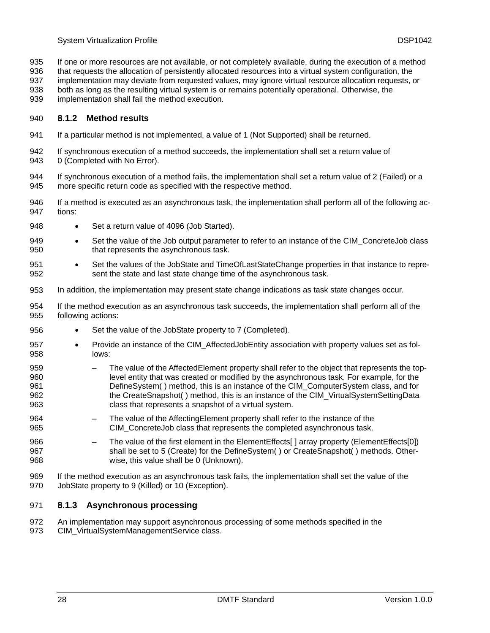- <span id="page-27-0"></span>If one or more resources are not available, or not completely available, during the execution of a method 935
- that requests the allocation of persistently allocated resources into a virtual system configuration, the 936
- implementation may deviate from requested values, may ignore virtual resource allocation requests, or both as long as the resulting virtual system is or remains potentially operational. Otherwise, the 937 938
- 
- implementation shall fail the method execution. 939

#### <span id="page-27-1"></span>940 **8.1.2 Method results**

- 941 If a particular method is not implemented, a value of 1 (Not Supported) shall be returned.
- 942 943 If synchronous execution of a method succeeds, the implementation shall set a return value of 0 (Completed with No Error).
- 944 945 If synchronous execution of a method fails, the implementation shall set a return value of 2 (Failed) or a more specific return code as specified with the respective method.
- 946 947 If a method is executed as an asynchronous task, the implementation shall perform all of the following actions:
- 948 • Set a return value of 4096 (Job Started).
- 949 950 • Set the value of the Job output parameter to refer to an instance of the CIM ConcreteJob class that represents the asynchronous task.
- 951 952 • Set the values of the JobState and TimeOfLastStateChange properties in that instance to represent the state and last state change time of the asynchronous task.
- 953 In addition, the implementation may present state change indications as task state changes occur.
- 954 955 If the method execution as an asynchronous task succeeds, the implementation shall perform all of the following actions:
- 956 Set the value of the JobState property to 7 (Completed).
- 957 958 • Provide an instance of the CIM\_AffectedJobEntity association with property values set as follows:
- 959 960 961 962 963 – The value of the AffectedElement property shall refer to the object that represents the toplevel entity that was created or modified by the asynchronous task. For example, for the DefineSystem( ) method, this is an instance of the CIM\_ComputerSystem class, and for the CreateSnapshot( ) method, this is an instance of the CIM\_VirtualSystemSettingData class that represents a snapshot of a virtual system.
- 964 965 – The value of the AffectingElement property shall refer to the instance of the CIM\_ConcreteJob class that represents the completed asynchronous task.
- 966 967 968 The value of the first element in the ElementEffects[] array property (ElementEffects[0]) shall be set to 5 (Create) for the DefineSystem( ) or CreateSnapshot( ) methods. Otherwise, this value shall be 0 (Unknown).
- 969 970 If the method execution as an asynchronous task fails, the implementation shall set the value of the JobState property to 9 (Killed) or 10 (Exception).

#### <span id="page-27-2"></span>971 **8.1.3 Asynchronous processing**

972 973 An implementation may support asynchronous processing of some methods specified in the CIM\_VirtualSystemManagementService class.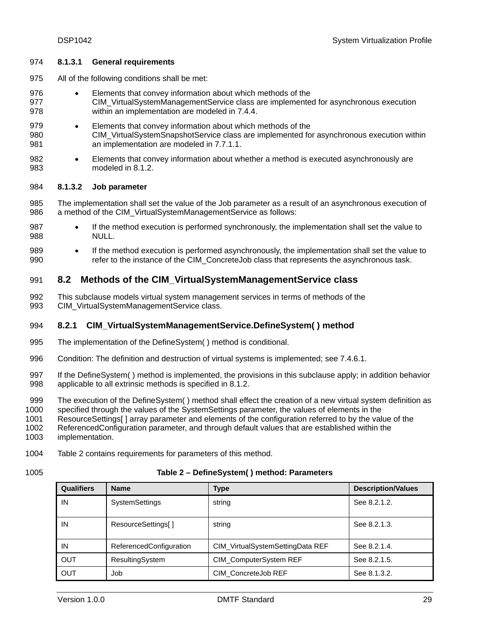#### <span id="page-28-0"></span>974 **8.1.3.1 General requirements**

- 975 All of the following conditions shall be met:
- 976 977 978 • Elements that convey information about which methods of the CIM\_VirtualSystemManagementService class are implemented for asynchronous execution within an implementation are modeled in [7.4.4](#page-21-1).
- 979 980 981 • Elements that convey information about which methods of the CIM\_VirtualSystemSnapshotService class are implemented for asynchronous execution within an implementation are modeled in [7.7.1.1](#page-24-1).
- 982 983 • Elements that convey information about whether a method is executed asynchronously are modeled in [8.1.2](#page-27-1).

#### <span id="page-28-2"></span>984 **8.1.3.2 Job parameter**

- 985 986 The implementation shall set the value of the Job parameter as a result of an asynchronous execution of a method of the CIM\_VirtualSystemManagementService as follows:
- 987 988 • If the method execution is performed synchronously, the implementation shall set the value to NULL.
- 989 990 • If the method execution is performed asynchronously, the implementation shall set the value to refer to the instance of the CIM\_ConcreteJob class that represents the asynchronous task.

#### 991 **8.2 Methods of the CIM\_VirtualSystemManagementService class**

992 993 This subclause models virtual system management services in terms of methods of the CIM\_VirtualSystemManagementService class.

#### 994 **8.2.1 CIM\_VirtualSystemManagementService.DefineSystem( ) method**

- 995 The implementation of the DefineSystem( ) method is conditional.
- 996 Condition: The definition and destruction of virtual systems is implemented; see [7.4.6.1.](#page-21-2)
- 997 998 If the DefineSystem( ) method is implemented, the provisions in this subclause apply; in addition behavior applicable to all extrinsic methods is specified in [8.1.2](#page-27-1).
- 999 The execution of the DefineSystem( ) method shall effect the creation of a new virtual system definition as
- 1000 specified through the values of the SystemSettings parameter, the values of elements in the
- 1001 ResourceSettings[ ] array parameter and elements of the configuration referred to by the value of the
- 1002 ReferencedConfiguration parameter, and through default values that are established within the
- 1003 implementation.
- 1004 [Table 2](#page-28-1) contains requirements for parameters of this method.
- <span id="page-28-1"></span>1005

#### **Table 2 – DefineSystem( ) method: Parameters**

| <b>Qualifiers</b> | <b>Name</b>             | <b>Type</b>                      | <b>Description/Values</b> |
|-------------------|-------------------------|----------------------------------|---------------------------|
| IN                | <b>SystemSettings</b>   | string                           | See 8.2.1.2.              |
| IN                | ResourceSettings[]      | string                           | See 8.2.1.3.              |
| IN                | ReferencedConfiguration | CIM_VirtualSystemSettingData REF | See 8.2.1.4.              |
| <b>OUT</b>        | ResultingSystem         | CIM_ComputerSystem REF           | See 8.2.1.5.              |
| <b>OUT</b>        | Job                     | CIM ConcreteJob REF              | See 8.1.3.2.              |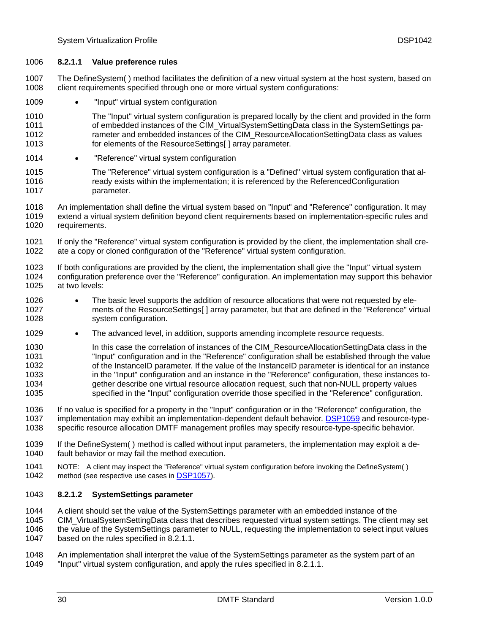#### <span id="page-29-1"></span>1006 **8.2.1.1 Value preference rules**

The DefineSystem( ) method facilitates the definition of a new virtual system at the host system, based on client requirements specified through one or more virtual system configurations: 1007 1008

- 1009 • "Input" virtual system configuration
- 1010 1011 1012 1013 The "Input" virtual system configuration is prepared locally by the client and provided in the form of embedded instances of the CIM\_VirtualSystemSettingData class in the SystemSettings parameter and embedded instances of the CIM\_ResourceAllocationSettingData class as values for elements of the ResourceSettings[] array parameter.
- 1014 • "Reference" virtual system configuration
- 1015 1016 1017 The "Reference" virtual system configuration is a "Defined" virtual system configuration that already exists within the implementation; it is referenced by the ReferencedConfiguration parameter.
- 1018 1019 1020 An implementation shall define the virtual system based on "Input" and "Reference" configuration. It may extend a virtual system definition beyond client requirements based on implementation-specific rules and requirements.
- 1021 1022 If only the "Reference" virtual system configuration is provided by the client, the implementation shall create a copy or cloned configuration of the "Reference" virtual system configuration.
- 1023 1024 1025 If both configurations are provided by the client, the implementation shall give the "Input" virtual system configuration preference over the "Reference" configuration. An implementation may support this behavior at two levels:
- 1026 1027 1028 • The basic level supports the addition of resource allocations that were not requested by elements of the ResourceSettings[ ] array parameter, but that are defined in the "Reference" virtual system configuration.
- 1029 • The advanced level, in addition, supports amending incomplete resource requests.
- 1030 1031 1032 1033 1034 1035 In this case the correlation of instances of the CIM\_ResourceAllocationSettingData class in the "Input" configuration and in the "Reference" configuration shall be established through the value of the InstanceID parameter. If the value of the InstanceID parameter is identical for an instance in the "Input" configuration and an instance in the "Reference" configuration, these instances together describe one virtual resource allocation request, such that non-NULL property values specified in the "Input" configuration override those specified in the "Reference" configuration.
- 1036 If no value is specified for a property in the "Input" configuration or in the "Reference" configuration, the implementation may exhibit an implementation-dependent default behavior. [DSP1059](#page-9-0) and resource-typespecific resource allocation DMTF management profiles may specify resource-type-specific behavior. 1037 1038
- 1039 1040 If the DefineSystem( ) method is called without input parameters, the implementation may exploit a default behavior or may fail the method execution.
- 1041<br>1042 NOTE: A client may inspect the "Reference" virtual system configuration before invoking the DefineSystem( ) method (see respective use cases in [DSP1057](#page-9-0)).

#### <span id="page-29-0"></span>1043 **8.2.1.2 SystemSettings parameter**

- 1044 A client should set the value of the SystemSettings parameter with an embedded instance of the
- 1045 1046 1047 CIM\_VirtualSystemSettingData class that describes requested virtual system settings. The client may set the value of the SystemSettings parameter to NULL, requesting the implementation to select input values based on the rules specified in [8.2.1.1](#page-29-1).
- 1048 1049 An implementation shall interpret the value of the SystemSettings parameter as the system part of an "Input" virtual system configuration, and apply the rules specified in [8.2.1.1](#page-29-1).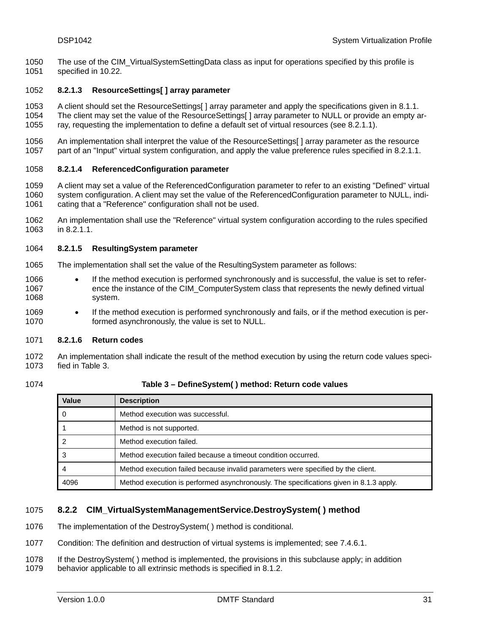<span id="page-30-0"></span>The use of the CIM\_VirtualSystemSettingData class as input for operations specified by this profile is specified in [10.22.](#page-78-1) 1050 1051

#### <span id="page-30-1"></span>1052 **8.2.1.3 ResourceSettings[ ] array parameter**

1053 1054 1055 A client should set the ResourceSettings[ ] array parameter and apply the specifications given in [8.1.1.](#page-26-2) The client may set the value of the ResourceSettings[ ] array parameter to NULL or provide an empty array, requesting the implementation to define a default set of virtual resources (see [8.2.1.1\)](#page-29-1).

1056 1057 An implementation shall interpret the value of the ResourceSettings[] array parameter as the resource part of an "Input" virtual system configuration, and apply the value preference rules specified in [8.2.1.1.](#page-29-1)

#### <span id="page-30-2"></span>1058 **8.2.1.4 ReferencedConfiguration parameter**

1059 1060 1061 A client may set a value of the ReferencedConfiguration parameter to refer to an existing "Defined" virtual system configuration. A client may set the value of the ReferencedConfiguration parameter to NULL, indicating that a "Reference" configuration shall not be used.

1062 1063 An implementation shall use the "Reference" virtual system configuration according to the rules specified in [8.2.1.1](#page-29-1).

#### <span id="page-30-3"></span>1064 **8.2.1.5 ResultingSystem parameter**

- 1065 The implementation shall set the value of the ResultingSystem parameter as follows:
- 1066 1067 1068 If the method execution is performed synchronously and is successful, the value is set to reference the instance of the CIM\_ComputerSystem class that represents the newly defined virtual system.
- 1069 1070 • If the method execution is performed synchronously and fails, or if the method execution is performed asynchronously, the value is set to NULL.

#### 1071 **8.2.1.6 Return codes**

1072 1073 An implementation shall indicate the result of the method execution by using the return code values specified in [Table 3.](#page-30-4)

<span id="page-30-4"></span>1074

**Table 3 – DefineSystem( ) method: Return code values** 

| Value | <b>Description</b>                                                                     |
|-------|----------------------------------------------------------------------------------------|
|       | Method execution was successful.                                                       |
|       | Method is not supported.                                                               |
| ົ     | Method execution failed.                                                               |
| 3     | Method execution failed because a timeout condition occurred.                          |
|       | Method execution failed because invalid parameters were specified by the client.       |
| 4096  | Method execution is performed asynchronously. The specifications given in 8.1.3 apply. |

#### 1075 **8.2.2 CIM\_VirtualSystemManagementService.DestroySystem( ) method**

1076 The implementation of the DestroySystem( ) method is conditional.

- 1077 Condition: The definition and destruction of virtual systems is implemented; see [7.4.6.1.](#page-21-2)
- 1078 If the DestroySystem( ) method is implemented, the provisions in this subclause apply; in addition
- 1079 behavior applicable to all extrinsic methods is specified in [8.1.2](#page-27-1).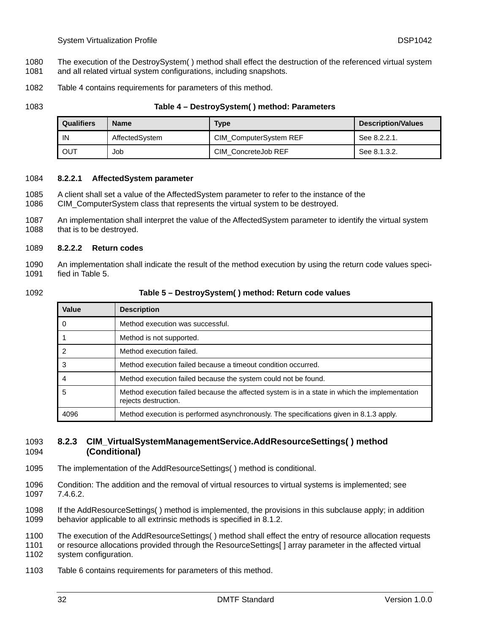- <span id="page-31-0"></span>The execution of the DestroySystem( ) method shall effect the destruction of the referenced virtual system 1080
- and all related virtual system configurations, including snapshots. 1081
- 1082 [Table 4](#page-31-1) contains requirements for parameters of this method.

<span id="page-31-1"></span>1083

#### **Table 4 – DestroySystem( ) method: Parameters**

| <b>Qualifiers</b> | <b>Name</b>    | <b>Type</b>            | <b>Description/Values</b> |
|-------------------|----------------|------------------------|---------------------------|
| IN                | AffectedSystem | CIM_ComputerSystem REF | See 8.2.2.1.              |
| OUT               | Job            | CIM ConcreteJob REF    | See 8.1.3.2.              |

#### <span id="page-31-2"></span>1084 **8.2.2.1 AffectedSystem parameter**

- A client shall set a value of the AffectedSystem parameter to refer to the instance of the 1085
- CIM\_ComputerSystem class that represents the virtual system to be destroyed. 1086

1087 1088 An implementation shall interpret the value of the AffectedSystem parameter to identify the virtual system that is to be destroyed.

#### 1089 **8.2.2.2 Return codes**

1090 1091 An implementation shall indicate the result of the method execution by using the return code values specified in [Table 5.](#page-31-3)

<span id="page-31-3"></span>1092

#### **Table 5 – DestroySystem( ) method: Return code values**

| Value | <b>Description</b>                                                                                                    |
|-------|-----------------------------------------------------------------------------------------------------------------------|
| 0     | Method execution was successful.                                                                                      |
|       | Method is not supported.                                                                                              |
| 2     | Method execution failed.                                                                                              |
| 3     | Method execution failed because a timeout condition occurred.                                                         |
| 4     | Method execution failed because the system could not be found.                                                        |
| 5     | Method execution failed because the affected system is in a state in which the implementation<br>rejects destruction. |
| 4096  | Method execution is performed asynchronously. The specifications given in 8.1.3 apply.                                |

#### 1093 **8.2.3 CIM\_VirtualSystemManagementService.AddResourceSettings( ) method**  1094 **(Conditional)**

- 1095 The implementation of the AddResourceSettings( ) method is conditional.
- 1096 1097 Condition: The addition and the removal of virtual resources to virtual systems is implemented; see [7.4.6.2.](#page-21-3)

1098 1099 If the AddResourceSettings( ) method is implemented, the provisions in this subclause apply; in addition behavior applicable to all extrinsic methods is specified in [8.1.2](#page-27-1).

1100 The execution of the AddResourceSettings( ) method shall effect the entry of resource allocation requests

1101 1102 or resource allocations provided through the ResourceSettings[ ] array parameter in the affected virtual system configuration.

1103 [Table 6](#page-32-1) contains requirements for parameters of this method.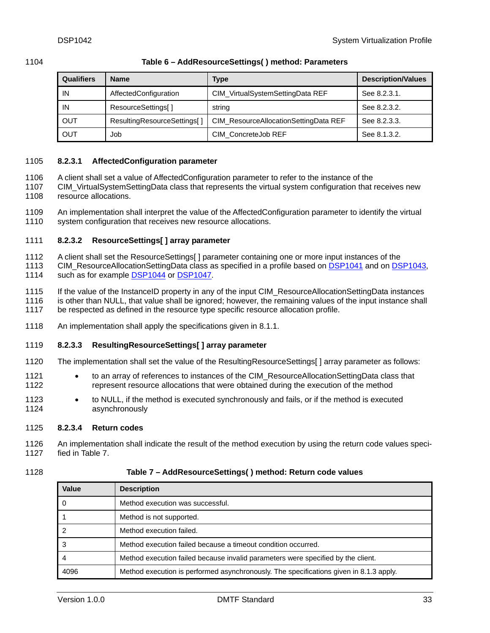<span id="page-32-1"></span>

#### <span id="page-32-0"></span>1104 **Table 6 – AddResourceSettings( ) method: Parameters**

| <b>Qualifiers</b> | <b>Name</b>                 | Type                                  | <b>Description/Values</b> |
|-------------------|-----------------------------|---------------------------------------|---------------------------|
| IN                | AffectedConfiguration       | CIM_VirtualSystemSettingData REF      | See 8.2.3.1.              |
| IN                | ResourceSettings[]          | string                                | See 8.2.3.2.              |
| OUT               | ResultingResourceSettings[] | CIM_ResourceAllocationSettingData REF | See 8.2.3.3.              |
| OUT               | Job                         | CIM ConcreteJob REF                   | See 8.1.3.2.              |

#### <span id="page-32-2"></span>1105 **8.2.3.1 AffectedConfiguration parameter**

- A client shall set a value of AffectedConfiguration parameter to refer to the instance of the 1106
- CIM\_VirtualSystemSettingData class that represents the virtual system configuration that receives new resource allocations. 1107 1108
- 1109 1110 An implementation shall interpret the value of the AffectedConfiguration parameter to identify the virtual system configuration that receives new resource allocations.

#### <span id="page-32-3"></span>1111 **8.2.3.2 ResourceSettings[ ] array parameter**

- 1112 A client shall set the ResourceSettings[ ] parameter containing one or more input instances of the
- CIM\_ResourceAllocationSettingData class as specified in a profile based on [DSP1041](#page-8-0) and on [DSP1043,](#page-8-0) 1114 such as for example **[DSP1044](#page-8-0)** or **[DSP1047](#page-8-0)**. 1113
- 1115 1116 If the value of the InstanceID property in any of the input CIM\_ResourceAllocationSettingData instances is other than NULL, that value shall be ignored; however, the remaining values of the input instance shall
- 1117 be respected as defined in the resource type specific resource allocation profile.
- 1118 An implementation shall apply the specifications given in [8.1.1](#page-26-2).

#### <span id="page-32-4"></span>1119 **8.2.3.3 ResultingResourceSettings[ ] array parameter**

- 1120 The implementation shall set the value of the ResultingResourceSettings[ ] array parameter as follows:
- 1121 1122 • to an array of references to instances of the CIM\_ResourceAllocationSettingData class that represent resource allocations that were obtained during the execution of the method
- 1123 1124 • to NULL, if the method is executed synchronously and fails, or if the method is executed asynchronously

#### 1125 **8.2.3.4 Return codes**

- 1126 1127 An implementation shall indicate the result of the method execution by using the return code values specified in [Table 7.](#page-32-5)
- <span id="page-32-5"></span>1128

#### **Table 7 – AddResourceSettings( ) method: Return code values**

| Value | <b>Description</b>                                                                     |
|-------|----------------------------------------------------------------------------------------|
|       | Method execution was successful.                                                       |
|       | Method is not supported.                                                               |
|       | Method execution failed.                                                               |
|       | Method execution failed because a timeout condition occurred.                          |
|       | Method execution failed because invalid parameters were specified by the client.       |
| 4096  | Method execution is performed asynchronously. The specifications given in 8.1.3 apply. |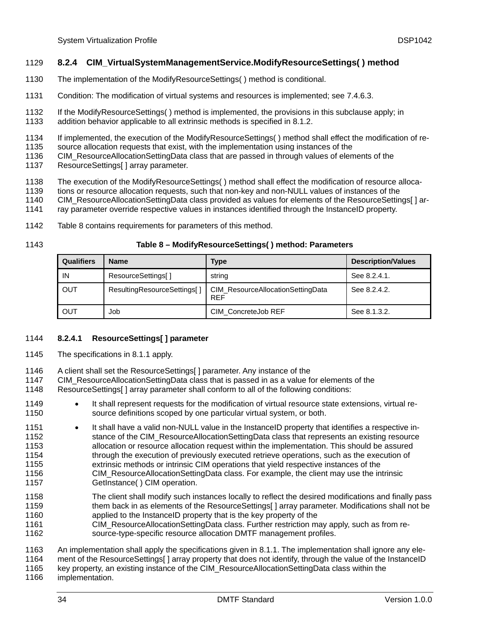#### <span id="page-33-0"></span>1129 **8.2.4 CIM\_VirtualSystemManagementService.ModifyResourceSettings( ) method**

- 1130 The implementation of the ModifyResourceSettings( ) method is conditional.
- 1131 Condition: The modification of virtual systems and resources is implemented; see [7.4.6.3](#page-22-1).
- 1132 1133 If the ModifyResourceSettings( ) method is implemented, the provisions in this subclause apply; in addition behavior applicable to all extrinsic methods is specified in [8.1.2](#page-27-1).
- 1134 If implemented, the execution of the ModifyResourceSettings( ) method shall effect the modification of re-
- 1135 source allocation requests that exist, with the implementation using instances of the
- 1136 CIM\_ResourceAllocationSettingData class that are passed in through values of elements of the
- 1137 ResourceSettings[] array parameter.
- 1138 The execution of the ModifyResourceSettings( ) method shall effect the modification of resource alloca-
- 1139 tions or resource allocation requests, such that non-key and non-NULL values of instances of the
- 1140 CIM\_ResourceAllocationSettingData class provided as values for elements of the ResourceSettings[ ] ar-
- 1141 ray parameter override respective values in instances identified through the InstanceID property.
- 1142 [Table 8](#page-33-1) contains requirements for parameters of this method.
- <span id="page-33-1"></span>1143

#### **Table 8 – ModifyResourceSettings( ) method: Parameters**

| <b>Qualifiers</b> | <b>Name</b>                 | Type                                            | <b>Description/Values</b> |
|-------------------|-----------------------------|-------------------------------------------------|---------------------------|
| IN                | ResourceSettings[]          | string                                          | See 8.2.4.1.              |
| OUT               | ResultingResourceSettings[] | CIM ResourceAllocationSettingData<br><b>REF</b> | See 8.2.4.2.              |
| OUT               | Job                         | CIM_ConcreteJob REF                             | See 8.1.3.2.              |

#### <span id="page-33-2"></span>1144 **8.2.4.1 ResourceSettings[ ] parameter**

- 1145 The specifications in [8.1.1](#page-26-2) apply.
- 1146 A client shall set the ResourceSettings[ ] parameter. Any instance of the
- 1147 CIM\_ResourceAllocationSettingData class that is passed in as a value for elements of the
- 1148 ResourceSettings[ ] array parameter shall conform to all of the following conditions:
- 1149 1150 It shall represent requests for the modification of virtual resource state extensions, virtual resource definitions scoped by one particular virtual system, or both.
- 1151 1152 1153 1154 1155 1156 1157 • It shall have a valid non-NULL value in the InstanceID property that identifies a respective instance of the CIM\_ResourceAllocationSettingData class that represents an existing resource allocation or resource allocation request within the implementation. This should be assured through the execution of previously executed retrieve operations, such as the execution of extrinsic methods or intrinsic CIM operations that yield respective instances of the CIM\_ResourceAllocationSettingData class. For example, the client may use the intrinsic GetInstance( ) CIM operation.
- 1158 1159 1160 The client shall modify such instances locally to reflect the desired modifications and finally pass them back in as elements of the ResourceSettings[ ] array parameter. Modifications shall not be applied to the InstanceID property that is the key property of the
- 1161 1162 CIM\_ResourceAllocationSettingData class. Further restriction may apply, such as from resource-type-specific resource allocation DMTF management profiles.

1163 An implementation shall apply the specifications given in [8.1.1](#page-26-2). The implementation shall ignore any ele-

1164 ment of the ResourceSettings[ ] array property that does not identify, through the value of the InstanceID

1165 1166 key property, an existing instance of the CIM\_ResourceAllocationSettingData class within the implementation.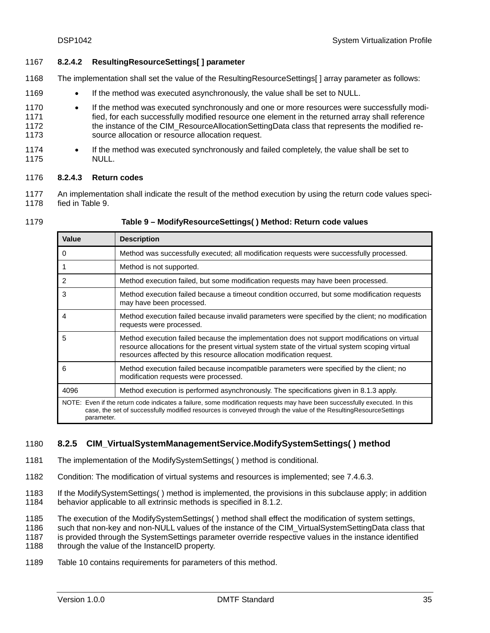#### <span id="page-34-2"></span><span id="page-34-0"></span>1167 **8.2.4.2 ResultingResourceSettings[ ] parameter**

- 1168 The implementation shall set the value of the ResultingResourceSettings[ ] array parameter as follows:
- 1169 • If the method was executed asynchronously, the value shall be set to NULL.
- 1170 1171 1172 1173 • If the method was executed synchronously and one or more resources were successfully modified, for each successfully modified resource one element in the returned array shall reference the instance of the CIM\_ResourceAllocationSettingData class that represents the modified resource allocation or resource allocation request.
- 1174 1175 • If the method was executed synchronously and failed completely, the value shall be set to NULL.
- <span id="page-34-1"></span>1176 **8.2.4.3 Return codes**
- 1177 1178 An implementation shall indicate the result of the method execution by using the return code values specified in [Table 9.](#page-34-3)
- <span id="page-34-3"></span>1179

| Table 9 - ModifyResourceSettings() Method: Return code values |  |
|---------------------------------------------------------------|--|
|---------------------------------------------------------------|--|

| Value                                                                                                                                                                                                                                                       | <b>Description</b>                                                                                                                                                                                                                                                      |  |
|-------------------------------------------------------------------------------------------------------------------------------------------------------------------------------------------------------------------------------------------------------------|-------------------------------------------------------------------------------------------------------------------------------------------------------------------------------------------------------------------------------------------------------------------------|--|
| $\Omega$                                                                                                                                                                                                                                                    | Method was successfully executed; all modification requests were successfully processed.                                                                                                                                                                                |  |
|                                                                                                                                                                                                                                                             | Method is not supported.                                                                                                                                                                                                                                                |  |
| $\overline{2}$                                                                                                                                                                                                                                              | Method execution failed, but some modification requests may have been processed.                                                                                                                                                                                        |  |
| 3                                                                                                                                                                                                                                                           | Method execution failed because a timeout condition occurred, but some modification requests<br>may have been processed.                                                                                                                                                |  |
| 4                                                                                                                                                                                                                                                           | Method execution failed because invalid parameters were specified by the client; no modification<br>requests were processed.                                                                                                                                            |  |
| 5                                                                                                                                                                                                                                                           | Method execution failed because the implementation does not support modifications on virtual<br>resource allocations for the present virtual system state of the virtual system scoping virtual<br>resources affected by this resource allocation modification request. |  |
| 6                                                                                                                                                                                                                                                           | Method execution failed because incompatible parameters were specified by the client; no<br>modification requests were processed.                                                                                                                                       |  |
| 4096                                                                                                                                                                                                                                                        | Method execution is performed asynchronously. The specifications given in 8.1.3 apply.                                                                                                                                                                                  |  |
| NOTE: Even if the return code indicates a failure, some modification requests may have been successfully executed. In this<br>case, the set of successfully modified resources is conveyed through the value of the ResultingResourceSettings<br>parameter. |                                                                                                                                                                                                                                                                         |  |

#### 1180 **8.2.5 CIM\_VirtualSystemManagementService.ModifySystemSettings( ) method**

- 1181 The implementation of the ModifySystemSettings( ) method is conditional.
- 1182 Condition: The modification of virtual systems and resources is implemented; see [7.4.6.3](#page-22-1).
- 1183 1184 If the ModifySystemSettings( ) method is implemented, the provisions in this subclause apply; in addition behavior applicable to all extrinsic methods is specified in [8.1.2](#page-27-1).
- 1185 The execution of the ModifySystemSettings( ) method shall effect the modification of system settings,
- 1186 such that non-key and non-NULL values of the instance of the CIM\_VirtualSystemSettingData class that
- 1187 is provided through the SystemSettings parameter override respective values in the instance identified

1188 through the value of the InstanceID property.

1189 [Table 10](#page-35-1) contains requirements for parameters of this method.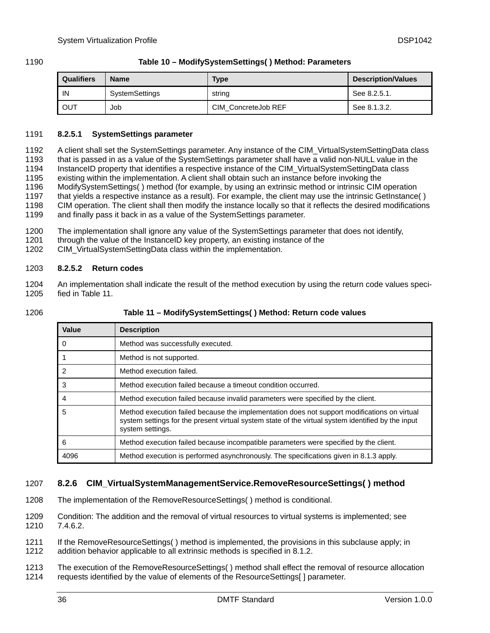#### <span id="page-35-1"></span><span id="page-35-0"></span>1190 **Table 10 – ModifySystemSettings( ) Method: Parameters**

| <b>Qualifiers</b> | <b>Name</b>    | Type                | Description/Values |
|-------------------|----------------|---------------------|--------------------|
| IN                | SystemSettings | string              | See 8.2.5.1.       |
| <b>OUT</b>        | Job            | CIM ConcreteJob REF | See 8.1.3.2.       |

#### <span id="page-35-2"></span>1191 **8.2.5.1 SystemSettings parameter**

A client shall set the SystemSettings parameter. Any instance of the CIM\_VirtualSystemSettingData class that is passed in as a value of the SystemSettings parameter shall have a valid non-NULL value in the InstanceID property that identifies a respective instance of the CIM\_VirtualSystemSettingData class existing within the implementation. A client shall obtain such an instance before invoking the ModifySystemSettings( ) method (for example, by using an extrinsic method or intrinsic CIM operation that yields a respective instance as a result). For example, the client may use the intrinsic GetInstance( ) CIM operation. The client shall then modify the instance locally so that it reflects the desired modifications and finally pass it back in as a value of the SystemSettings parameter. 1192 1193 1194 1195 1196 1197 1198 1199

- 1200 The implementation shall ignore any value of the SystemSettings parameter that does not identify,
- 1201 through the value of the InstanceID key property, an existing instance of the
- 1202 CIM\_VirtualSystemSettingData class within the implementation.

#### 1203 **8.2.5.2 Return codes**

- 1204 1205 An implementation shall indicate the result of the method execution by using the return code values specified in [Table 11.](#page-35-3)
- <span id="page-35-3"></span>1206

#### **Table 11 – ModifySystemSettings( ) Method: Return code values**

| Value | <b>Description</b>                                                                                                                                                                                                     |
|-------|------------------------------------------------------------------------------------------------------------------------------------------------------------------------------------------------------------------------|
| 0     | Method was successfully executed.                                                                                                                                                                                      |
|       | Method is not supported.                                                                                                                                                                                               |
| 2     | Method execution failed.                                                                                                                                                                                               |
| 3     | Method execution failed because a timeout condition occurred.                                                                                                                                                          |
| 4     | Method execution failed because invalid parameters were specified by the client.                                                                                                                                       |
| 5     | Method execution failed because the implementation does not support modifications on virtual<br>system settings for the present virtual system state of the virtual system identified by the input<br>system settings. |
| 6     | Method execution failed because incompatible parameters were specified by the client.                                                                                                                                  |
| 4096  | Method execution is performed asynchronously. The specifications given in 8.1.3 apply.                                                                                                                                 |

#### 1207 **8.2.6 CIM\_VirtualSystemManagementService.RemoveResourceSettings( ) method**

- 1208 The implementation of the RemoveResourceSettings( ) method is conditional.
- 1209 1210 Condition: The addition and the removal of virtual resources to virtual systems is implemented; see [7.4.6.2.](#page-21-3)
- 1211 1212 If the RemoveResourceSettings( ) method is implemented, the provisions in this subclause apply; in addition behavior applicable to all extrinsic methods is specified in [8.1.2](#page-27-1).
- 1213 1214 The execution of the RemoveResourceSettings( ) method shall effect the removal of resource allocation requests identified by the value of elements of the ResourceSettings[ ] parameter.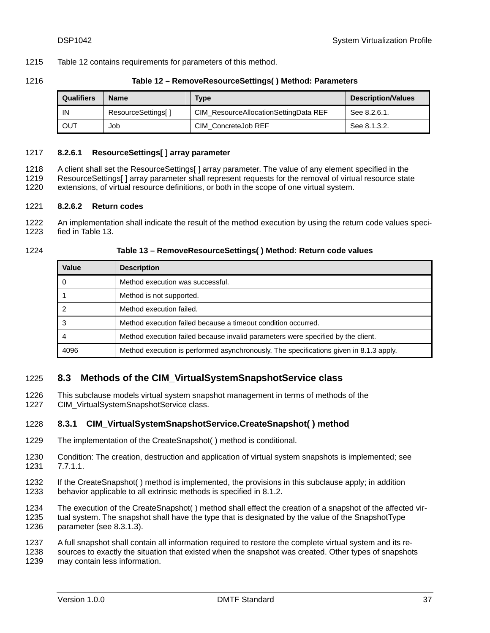1215 [Table 12](#page-36-0) contains requirements for parameters of this method.

### <span id="page-36-0"></span>1216 **Table 12 – RemoveResourceSettings( ) Method: Parameters**

| <b>Qualifiers</b> | <b>Name</b>               | Type                                  | <b>Description/Values</b> |
|-------------------|---------------------------|---------------------------------------|---------------------------|
| IN                | <b>ResourceSettings[]</b> | CIM ResourceAllocationSettingData REF | See 8.2.6.1.              |
| <b>OUT</b>        | Job                       | CIM ConcreteJob REF                   | See 8.1.3.2.              |

### <span id="page-36-1"></span>1217 **8.2.6.1 ResourceSettings[ ] array parameter**

A client shall set the ResourceSettings[ ] array parameter. The value of any element specified in the ResourceSettings[ ] array parameter shall represent requests for the removal of virtual resource state 1218 1219

extensions, of virtual resource definitions, or both in the scope of one virtual system. 1220

# 1221 **8.2.6.2 Return codes**

1222 1223 An implementation shall indicate the result of the method execution by using the return code values specified in [Table 13](#page-36-2).

#### <span id="page-36-2"></span>1224

### **Table 13 – RemoveResourceSettings( ) Method: Return code values**

| Value | <b>Description</b>                                                                     |  |
|-------|----------------------------------------------------------------------------------------|--|
|       | Method execution was successful.                                                       |  |
|       | Method is not supported.                                                               |  |
|       | Method execution failed.                                                               |  |
|       | Method execution failed because a timeout condition occurred.                          |  |
|       | Method execution failed because invalid parameters were specified by the client.       |  |
| 4096  | Method execution is performed asynchronously. The specifications given in 8.1.3 apply. |  |

# 1225 **8.3 Methods of the CIM\_VirtualSystemSnapshotService class**

This subclause models virtual system snapshot management in terms of methods of the 1226

CIM\_VirtualSystemSnapshotService class. 1227

# 1228 **8.3.1 CIM\_VirtualSystemSnapshotService.CreateSnapshot( ) method**

- 1229 The implementation of the CreateSnapshot( ) method is conditional.
- 1230 1231 Condition: The creation, destruction and application of virtual system snapshots is implemented; see [7.7.1.1.](#page-24-0)
- 1232 1233 If the CreateSnapshot( ) method is implemented, the provisions in this subclause apply; in addition behavior applicable to all extrinsic methods is specified in [8.1.2](#page-27-1).
- 1234 1235 1236 The execution of the CreateSnapshot( ) method shall effect the creation of a snapshot of the affected virtual system. The snapshot shall have the type that is designated by the value of the SnapshotType parameter (see [8.3.1.3\)](#page-37-0).
- 1237 A full snapshot shall contain all information required to restore the complete virtual system and its re-
- 1238 1239 sources to exactly the situation that existed when the snapshot was created. Other types of snapshots may contain less information.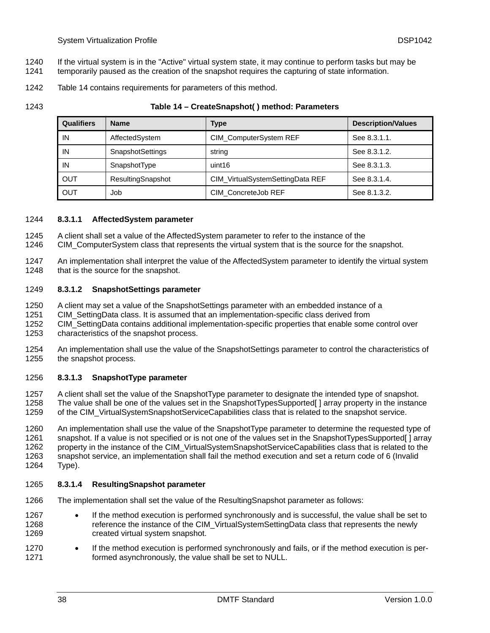- If the virtual system is in the "Active" virtual system state, it may continue to perform tasks but may be 1240
- temporarily paused as the creation of the snapshot requires the capturing of state information. 1241
- 1242 [Table 14](#page-37-1) contains requirements for parameters of this method.

<span id="page-37-1"></span>1243

### **Table 14 – CreateSnapshot( ) method: Parameters**

| <b>Qualifiers</b> | <b>Name</b>             | Type                             | <b>Description/Values</b> |  |
|-------------------|-------------------------|----------------------------------|---------------------------|--|
| IN                | AffectedSystem          | CIM_ComputerSystem REF           | See 8.3.1.1.              |  |
| IN                | <b>SnapshotSettings</b> | string                           | See 8.3.1.2.              |  |
| IN                | SnapshotType            | uint16                           | See 8.3.1.3.              |  |
| OUT               | ResultingSnapshot       | CIM_VirtualSystemSettingData REF | See 8.3.1.4.              |  |
| <b>OUT</b>        | Job                     | CIM ConcreteJob REF              | See 8.1.3.2.              |  |

# <span id="page-37-2"></span>1244 **8.3.1.1 AffectedSystem parameter**

- A client shall set a value of the AffectedSystem parameter to refer to the instance of the 1245
- CIM\_ComputerSystem class that represents the virtual system that is the source for the snapshot. 1246
- 1247 1248 An implementation shall interpret the value of the AffectedSystem parameter to identify the virtual system that is the source for the snapshot.

### <span id="page-37-3"></span>1249 **8.3.1.2 SnapshotSettings parameter**

- 1250 A client may set a value of the SnapshotSettings parameter with an embedded instance of a
- 1251 CIM\_SettingData class. It is assumed that an implementation-specific class derived from
- 1252 CIM\_SettingData contains additional implementation-specific properties that enable some control over
- 1253 characteristics of the snapshot process.
- 1254 1255 An implementation shall use the value of the SnapshotSettings parameter to control the characteristics of the snapshot process.

# <span id="page-37-0"></span>1256 **8.3.1.3 SnapshotType parameter**

- 1257 1258 1259 A client shall set the value of the SnapshotType parameter to designate the intended type of snapshot. The value shall be one of the values set in the SnapshotTypesSupported[ ] array property in the instance of the CIM\_VirtualSystemSnapshotServiceCapabilities class that is related to the snapshot service.
- 1260 1261 1262 1263 1264 An implementation shall use the value of the SnapshotType parameter to determine the requested type of snapshot. If a value is not specified or is not one of the values set in the SnapshotTypesSupported[] array property in the instance of the CIM\_VirtualSystemSnapshotServiceCapabilities class that is related to the snapshot service, an implementation shall fail the method execution and set a return code of 6 (Invalid Type).

# <span id="page-37-4"></span>1265 **8.3.1.4 ResultingSnapshot parameter**

- 1266 The implementation shall set the value of the ResultingSnapshot parameter as follows:
- 1267 1268 1269 • If the method execution is performed synchronously and is successful, the value shall be set to reference the instance of the CIM\_VirtualSystemSettingData class that represents the newly created virtual system snapshot.
- 1270 1271 • If the method execution is performed synchronously and fails, or if the method execution is performed asynchronously, the value shall be set to NULL.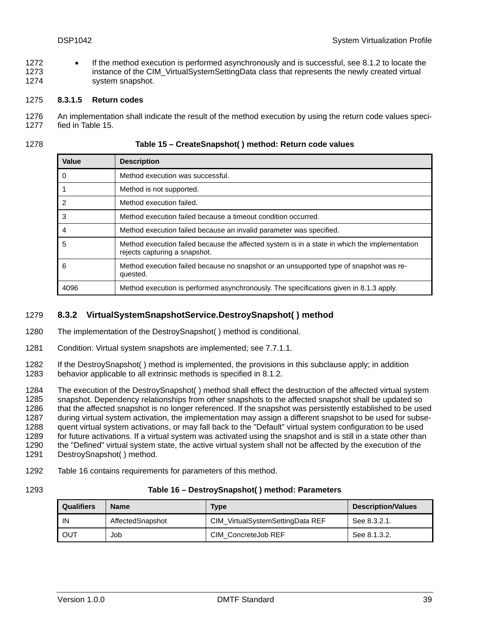• If the method execution is performed asynchronously and is successful, see [8.1.2](#page-27-1) to locate the instance of the CIM VirtualSystemSettingData class that represents the newly created virtual system snapshot. 1272 1273 1274

#### 1275 **8.3.1.5 Return codes**

1276 1277 An implementation shall indicate the result of the method execution by using the return code values specified in [Table 15](#page-38-0).

<span id="page-38-0"></span>1278

| Table 15 – CreateSnapshot() method: Return code values |
|--------------------------------------------------------|
|--------------------------------------------------------|

| Value                   | <b>Description</b>                                                                                                             |
|-------------------------|--------------------------------------------------------------------------------------------------------------------------------|
| - 0                     | Method execution was successful.                                                                                               |
| $\overline{\mathbf{1}}$ | Method is not supported.                                                                                                       |
| -2                      | Method execution failed.                                                                                                       |
| -3                      | Method execution failed because a timeout condition occurred.                                                                  |
| -4                      | Method execution failed because an invalid parameter was specified.                                                            |
| -5                      | Method execution failed because the affected system is in a state in which the implementation<br>rejects capturing a snapshot. |
| 6                       | Method execution failed because no snapshot or an unsupported type of snapshot was re-<br>quested.                             |
| 4096                    | Method execution is performed asynchronously. The specifications given in 8.1.3 apply.                                         |

# 1279 **8.3.2 VirtualSystemSnapshotService.DestroySnapshot( ) method**

1280 The implementation of the DestroySnapshot( ) method is conditional.

- 1281 Condition: Virtual system snapshots are implemented; see [7.7.1.1.](#page-24-0)
- 1282 1283 If the DestroySnapshot( ) method is implemented, the provisions in this subclause apply; in addition behavior applicable to all extrinsic methods is specified in [8.1.2](#page-27-1).

1284 1285 1286 1287 1288 1289 1290 1291 The execution of the DestroySnapshot( ) method shall effect the destruction of the affected virtual system snapshot. Dependency relationships from other snapshots to the affected snapshot shall be updated so that the affected snapshot is no longer referenced. If the snapshot was persistently established to be used during virtual system activation, the implementation may assign a different snapshot to be used for subsequent virtual system activations, or may fall back to the "Default" virtual system configuration to be used for future activations. If a virtual system was activated using the snapshot and is still in a state other than the "Defined" virtual system state, the active virtual system shall not be affected by the execution of the DestroySnapshot( ) method.

- 1292 [Table 16](#page-38-1) contains requirements for parameters of this method.
- <span id="page-38-1"></span>1293

# **Table 16 – DestroySnapshot( ) method: Parameters**

| <b>Qualifiers</b>      | <b>Name</b> | Type                             | Description/Values |  |
|------------------------|-------------|----------------------------------|--------------------|--|
| IN<br>AffectedSnapshot |             | CIM VirtualSystemSettingData REF | See 8.3.2.1.       |  |
| OUT                    | Job         | CIM ConcreteJob REF              | See 8.1.3.2.       |  |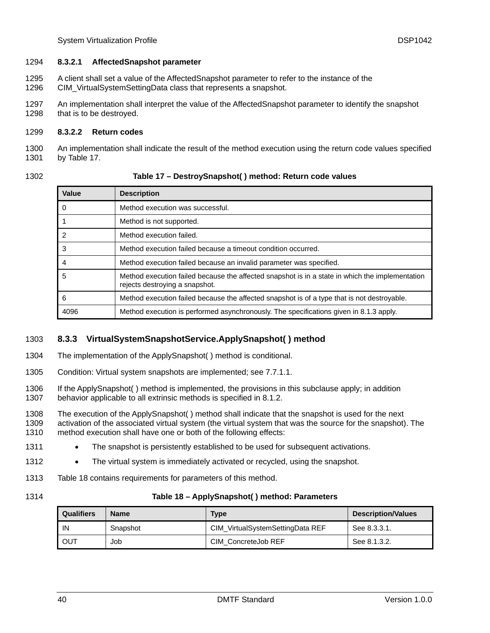### <span id="page-39-0"></span>1294 **8.3.2.1 AffectedSnapshot parameter**

- A client shall set a value of the AffectedSnapshot parameter to refer to the instance of the CIM\_VirtualSystemSettingData class that represents a snapshot. 1295 1296
- 1297 1298 An implementation shall interpret the value of the AffectedSnapshot parameter to identify the snapshot that is to be destroyed.

### 1299 **8.3.2.2 Return codes**

1300 1301 An implementation shall indicate the result of the method execution using the return code values specified by [Table 17](#page-39-1).

<span id="page-39-1"></span>1302

| Value | <b>Description</b>                                                                                                                |
|-------|-----------------------------------------------------------------------------------------------------------------------------------|
|       | Method execution was successful.                                                                                                  |
|       | Method is not supported.                                                                                                          |
| 2     | Method execution failed.                                                                                                          |
| 3     | Method execution failed because a timeout condition occurred.                                                                     |
| 4     | Method execution failed because an invalid parameter was specified.                                                               |
| 5     | Method execution failed because the affected snapshot is in a state in which the implementation<br>rejects destroying a snapshot. |
| 6     | Method execution failed because the affected snapshot is of a type that is not destroyable.                                       |
| 4096  | Method execution is performed asynchronously. The specifications given in 8.1.3 apply.                                            |

# 1303 **8.3.3 VirtualSystemSnapshotService.ApplySnapshot( ) method**

- 1304 The implementation of the ApplySnapshot( ) method is conditional.
- 1305 Condition: Virtual system snapshots are implemented; see [7.7.1.1.](#page-24-0)
- 1306 1307 If the ApplySnapshot( ) method is implemented, the provisions in this subclause apply; in addition behavior applicable to all extrinsic methods is specified in [8.1.2](#page-27-1).

1308 1309 1310 The execution of the ApplySnapshot( ) method shall indicate that the snapshot is used for the next activation of the associated virtual system (the virtual system that was the source for the snapshot). The method execution shall have one or both of the following effects:

- 1311 • The snapshot is persistently established to be used for subsequent activations.
- 1312 • The virtual system is immediately activated or recycled, using the snapshot.
- 1313 [Table 18](#page-39-2) contains requirements for parameters of this method.
- <span id="page-39-2"></span>1314

# **Table 18 – ApplySnapshot( ) method: Parameters**

| Qualifiers | <b>Name</b> | <b>Type</b>                      | <b>Description/Values</b> |
|------------|-------------|----------------------------------|---------------------------|
| IN         | Snapshot    | CIM VirtualSystemSettingData REF | See 8.3.3.1.              |
| <b>OUT</b> | Job         | CIM ConcreteJob REF              | See 8.1.3.2.              |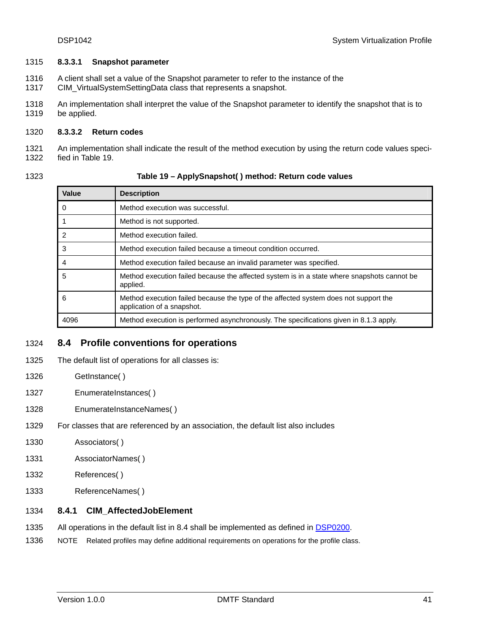### <span id="page-40-0"></span>1315 **8.3.3.1 Snapshot parameter**

- A client shall set a value of the Snapshot parameter to refer to the instance of the 1316
- CIM\_VirtualSystemSettingData class that represents a snapshot. 1317
- 1318 1319 An implementation shall interpret the value of the Snapshot parameter to identify the snapshot that is to be applied.

### 1320 **8.3.3.2 Return codes**

1321 1322 An implementation shall indicate the result of the method execution by using the return code values specified in [Table 19](#page-40-1).

<span id="page-40-1"></span>1323

### **Table 19 – ApplySnapshot( ) method: Return code values**

| Value          | <b>Description</b>                                                                                                 |  |
|----------------|--------------------------------------------------------------------------------------------------------------------|--|
| 0              | Method execution was successful.                                                                                   |  |
|                | Method is not supported.                                                                                           |  |
| $\overline{2}$ | Method execution failed.                                                                                           |  |
| 3              | Method execution failed because a timeout condition occurred.                                                      |  |
| 4              | Method execution failed because an invalid parameter was specified.                                                |  |
| 5              | Method execution failed because the affected system is in a state where snapshots cannot be<br>applied.            |  |
| 6              | Method execution failed because the type of the affected system does not support the<br>application of a snapshot. |  |
| 4096           | Method execution is performed asynchronously. The specifications given in 8.1.3 apply.                             |  |

# <span id="page-40-2"></span>1324 **8.4 Profile conventions for operations**

- 1325 The default list of operations for all classes is:
- 1326 GetInstance()
- 1327 EnumerateInstances()
- 1328 EnumerateInstanceNames()
- 1329 For classes that are referenced by an association, the default list also includes
- 1330 Associators( )
- 1331 AssociatorNames( )
- 1332 References( )
- 1333 ReferenceNames( )

# 1334 **8.4.1 CIM\_AffectedJobElement**

- 1335 All operations in the default list in [8.4](#page-40-2) shall be implemented as defined in **DSP0200**.
- 1336 NOTE Related profiles may define additional requirements on operations for the profile class.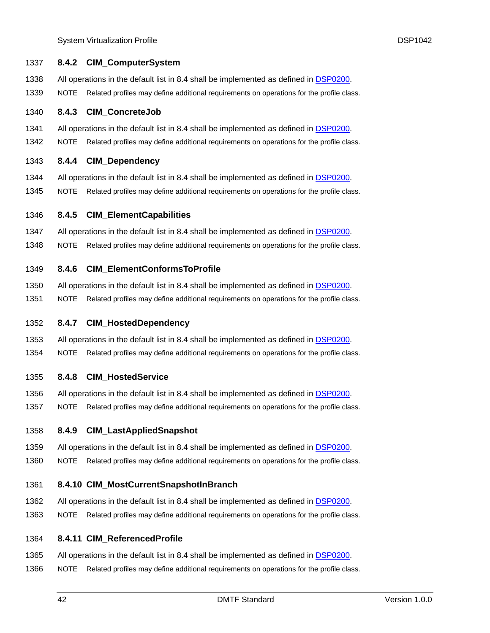System Virtualization Profile **DSP1042** 

| 1337 | 8.4.2       | <b>CIM_ComputerSystem</b>                                                                |
|------|-------------|------------------------------------------------------------------------------------------|
| 1338 |             | All operations in the default list in 8.4 shall be implemented as defined in DSP0200.    |
| 1339 | <b>NOTE</b> | Related profiles may define additional requirements on operations for the profile class. |
| 1340 | 8.4.3       | <b>CIM_ConcreteJob</b>                                                                   |
| 1341 |             | All operations in the default list in 8.4 shall be implemented as defined in DSP0200.    |
| 1342 | <b>NOTE</b> | Related profiles may define additional requirements on operations for the profile class. |
| 1343 | 8.4.4       | <b>CIM_Dependency</b>                                                                    |
| 1344 |             | All operations in the default list in 8.4 shall be implemented as defined in DSP0200.    |
| 1345 | <b>NOTE</b> | Related profiles may define additional requirements on operations for the profile class. |
| 1346 | 8.4.5       | <b>CIM_ElementCapabilities</b>                                                           |
| 1347 |             | All operations in the default list in 8.4 shall be implemented as defined in DSP0200.    |
| 1348 | <b>NOTE</b> | Related profiles may define additional requirements on operations for the profile class. |
| 1349 | 8.4.6       | <b>CIM_ElementConformsToProfile</b>                                                      |
| 1350 |             | All operations in the default list in 8.4 shall be implemented as defined in DSP0200.    |
| 1351 | <b>NOTE</b> | Related profiles may define additional requirements on operations for the profile class. |
| 1352 | 8.4.7       | <b>CIM_HostedDependency</b>                                                              |
| 1353 |             | All operations in the default list in 8.4 shall be implemented as defined in DSP0200.    |
| 1354 | <b>NOTE</b> | Related profiles may define additional requirements on operations for the profile class. |
| 1355 | 8.4.8       | <b>CIM_HostedService</b>                                                                 |
| 1356 |             | All operations in the default list in 8.4 shall be implemented as defined in DSP0200.    |
| 1357 | <b>NOTE</b> | Related profiles may define additional requirements on operations for the profile class. |
| 1358 | 8.4.9       | <b>CIM_LastAppliedSnapshot</b>                                                           |
| 1359 |             | All operations in the default list in 8.4 shall be implemented as defined in DSP0200.    |
| 1360 | <b>NOTE</b> | Related profiles may define additional requirements on operations for the profile class. |
| 1361 |             | 8.4.10 CIM_MostCurrentSnapshotInBranch                                                   |
| 1362 |             | All operations in the default list in 8.4 shall be implemented as defined in DSP0200.    |
| 1363 | <b>NOTE</b> | Related profiles may define additional requirements on operations for the profile class. |

# 1364 **8.4.11 CIM\_ReferencedProfile**

- 1365 All operations in the default list in [8.4](#page-40-2) shall be implemented as defined in [DSP0200](#page-8-0).
- 1366 NOTE Related profiles may define additional requirements on operations for the profile class.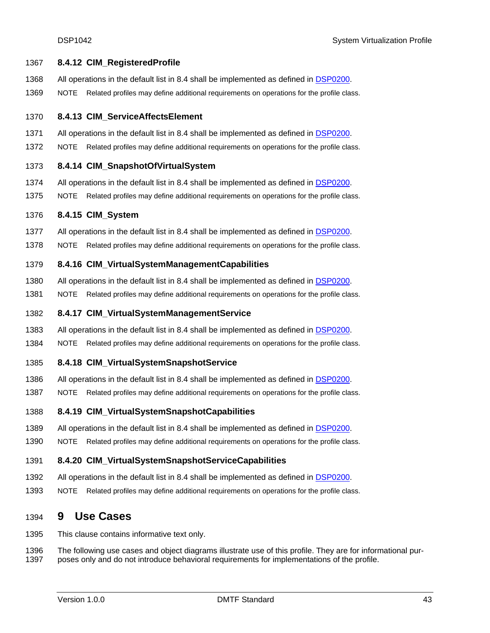### 1367 **8.4.12 CIM\_RegisteredProfile**

- 1368 All operations in the default list in [8.4](#page-40-2) shall be implemented as defined in [DSP0200](#page-8-0).
- 1369 NOTE Related profiles may define additional requirements on operations for the profile class.

#### 1370 **8.4.13 CIM\_ServiceAffectsElement**

- 1371 All operations in the default list in [8.4](#page-40-2) shall be implemented as defined in [DSP0200](#page-8-0).
- 1372 NOTE Related profiles may define additional requirements on operations for the profile class.

### 1373 **8.4.14 CIM\_SnapshotOfVirtualSystem**

- 1374 All operations in the default list in [8.4](#page-40-2) shall be implemented as defined in [DSP0200](#page-8-0).
- 1375 NOTE Related profiles may define additional requirements on operations for the profile class.

### 1376 **8.4.15 CIM\_System**

- 1377 All operations in the default list in [8.4](#page-40-2) shall be implemented as defined in [DSP0200](#page-8-0).
- 1378 NOTE Related profiles may define additional requirements on operations for the profile class.

### 1379 **8.4.16 CIM\_VirtualSystemManagementCapabilities**

- 1380 All operations in the default list in [8.4](#page-40-2) shall be implemented as defined in [DSP0200](#page-8-0).
- 1381 NOTE Related profiles may define additional requirements on operations for the profile class.

### 1382 **8.4.17 CIM\_VirtualSystemManagementService**

- 1383 All operations in the default list in [8.4](#page-40-2) shall be implemented as defined in [DSP0200](#page-8-0).
- 1384 NOTE Related profiles may define additional requirements on operations for the profile class.

### 1385 **8.4.18 CIM\_VirtualSystemSnapshotService**

- 1386 All operations in the default list in [8.4](#page-40-2) shall be implemented as defined in [DSP0200](#page-8-0).
- 1387 NOTE Related profiles may define additional requirements on operations for the profile class.
- 1388 **8.4.19 CIM\_VirtualSystemSnapshotCapabilities**
- 1389 All operations in the default list in [8.4](#page-40-2) shall be implemented as defined in [DSP0200](#page-8-0).
- 1390 NOTE Related profiles may define additional requirements on operations for the profile class.

### 1391 **8.4.20 CIM\_VirtualSystemSnapshotServiceCapabilities**

- 1392 All operations in the default list in [8.4](#page-40-2) shall be implemented as defined in [DSP0200](#page-8-0).
- 1393 NOTE Related profiles may define additional requirements on operations for the profile class.

# 1394 **9 Use Cases**

1395 This clause contains informative text only.

1396 1397 The following use cases and object diagrams illustrate use of this profile. They are for informational purposes only and do not introduce behavioral requirements for implementations of the profile.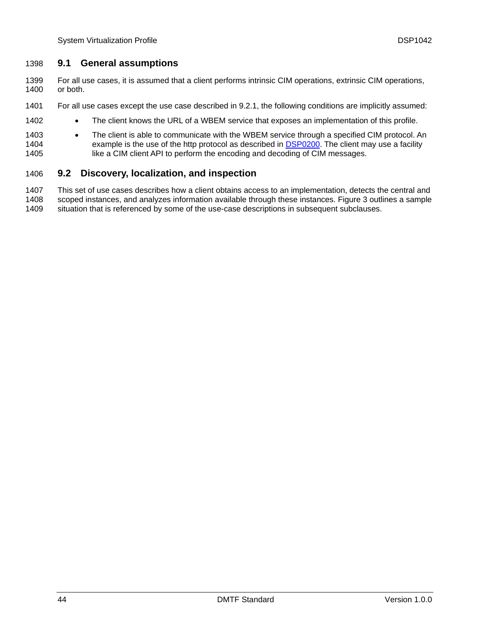# 1398 **9.1 General assumptions**

- For all use cases, it is assumed that a client performs intrinsic CIM operations, extrinsic CIM operations, or both. 1399 1400
- 1401 For all use cases except the use case described in [9.2.1](#page-44-0), the following conditions are implicitly assumed:
- 1402 • The client knows the URL of a WBEM service that exposes an implementation of this profile.
- 1403 • The client is able to communicate with the WBEM service through a specified CIM protocol. An example is the use of the http protocol as described in **DSP0200**. The client may use a facility like a CIM client API to perform the encoding and decoding of CIM messages. 1404 1405

# 1406 **9.2 Discovery, localization, and inspection**

1407 1408 1409 This set of use cases describes how a client obtains access to an implementation, detects the central and scoped instances, and analyzes information available through these instances. [Figure 3](#page-44-1) outlines a sample situation that is referenced by some of the use-case descriptions in subsequent subclauses.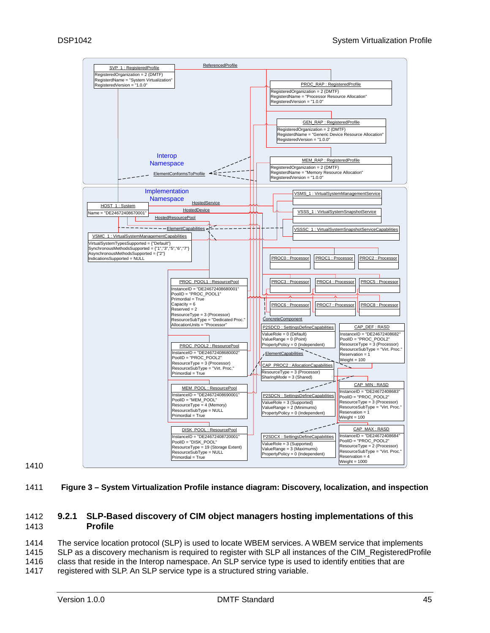

1410

<span id="page-44-1"></span>1411 **Figure 3 – System Virtualization Profile instance diagram: Discovery, localization, and inspection** 

#### <span id="page-44-0"></span>1413 1412 **9.2.1 SLP-Based discovery of CIM object managers hosting implementations of this Profile**

1414 1415 1416 The service location protocol (SLP) is used to locate WBEM services. A WBEM service that implements SLP as a discovery mechanism is required to register with SLP all instances of the CIM\_RegisteredProfile class that reside in the Interop namespace. An SLP service type is used to identify entities that are

1417 registered with SLP. An SLP service type is a structured string variable.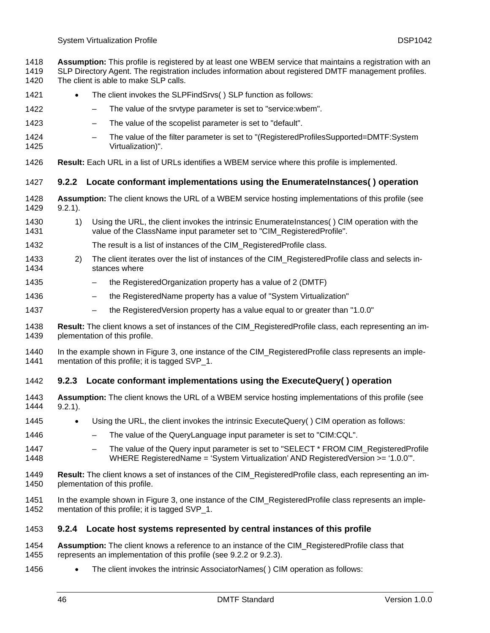- **Assumption:** This profile is registered by at least one WBEM service that maintains a registration with an 1418
- SLP Directory Agent. The registration includes information about registered DMTF management profiles. 1419
- The client is able to make SLP calls. 1420
- 1421 The client invokes the SLPFindSrvs() SLP function as follows:
- 1422 – The value of the srvtype parameter is set to "service:wbem".
- 1423 – The value of the scopelist parameter is set to "default".
- 1424 1425 – The value of the filter parameter is set to "(RegisteredProfilesSupported=DMTF:System Virtualization)".
- 1426 **Result:** Each URL in a list of URLs identifies a WBEM service where this profile is implemented.

# <span id="page-45-0"></span>1427 **9.2.2 Locate conformant implementations using the EnumerateInstances( ) operation**

- 1428 1429 **Assumption:** The client knows the URL of a WBEM service hosting implementations of this profile (see [9.2.1](#page-44-0)).
- 1430 1431 1) Using the URL, the client invokes the intrinsic EnumerateInstances( ) CIM operation with the value of the ClassName input parameter set to "CIM\_RegisteredProfile".
- 1432 The result is a list of instances of the CIM\_RegisteredProfile class.
- 1433 1434 2) The client iterates over the list of instances of the CIM\_RegisteredProfile class and selects instances where
- 1435 – the RegisteredOrganization property has a value of 2 (DMTF)
- 1436 – the RegisteredName property has a value of "System Virtualization"
- 1437 – the RegisteredVersion property has a value equal to or greater than "1.0.0"
- 1438 1439 **Result:** The client knows a set of instances of the CIM\_RegisteredProfile class, each representing an implementation of this profile.
- 1440 1441 In the example shown in [Figure 3](#page-44-1), one instance of the CIM RegisteredProfile class represents an implementation of this profile; it is tagged SVP 1.

# <span id="page-45-1"></span>1442 **9.2.3 Locate conformant implementations using the ExecuteQuery( ) operation**

- 1443 1444 **Assumption:** The client knows the URL of a WBEM service hosting implementations of this profile (see [9.2.1](#page-44-0)).
- 1445 • Using the URL, the client invokes the intrinsic ExecuteQuery( ) CIM operation as follows:
- 1446 – The value of the QueryLanguage input parameter is set to "CIM:CQL".
- 1447 1448 The value of the Query input parameter is set to "SELECT \* FROM CIM\_RegisteredProfile WHERE RegisteredName = 'System Virtualization' AND RegisteredVersion >= '1.0.0'".
- 1449 1450 **Result:** The client knows a set of instances of the CIM\_RegisteredProfile class, each representing an implementation of this profile.
- 1451 1452 In the example shown in [Figure 3](#page-44-1), one instance of the CIM RegisteredProfile class represents an implementation of this profile; it is tagged SVP\_1.

# <span id="page-45-2"></span>1453 **9.2.4 Locate host systems represented by central instances of this profile**

- 1454 1455 **Assumption:** The client knows a reference to an instance of the CIM\_RegisteredProfile class that represents an implementation of this profile (see [9.2.2](#page-45-0) or [9.2.3\)](#page-45-1).
- 1456 • The client invokes the intrinsic AssociatorNames( ) CIM operation as follows: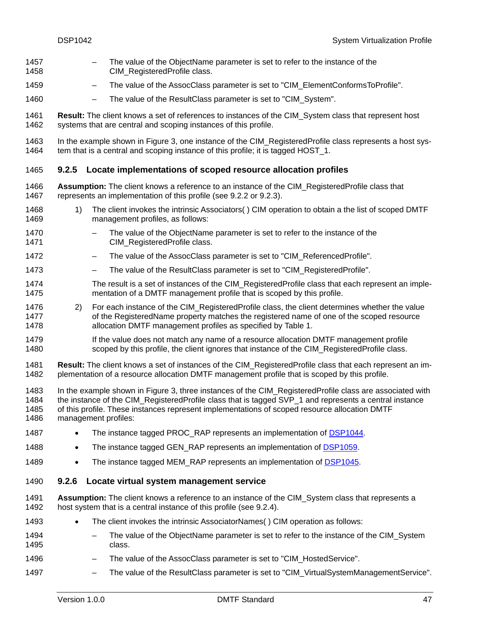- The value of the ObjectName parameter is set to refer to the instance of the CIM\_RegisteredProfile class. 1457 1458
- 1459 – The value of the AssocClass parameter is set to "CIM\_ElementConformsToProfile".
- 1460 – The value of the ResultClass parameter is set to "CIM\_System".

1461 1462 **Result:** The client knows a set of references to instances of the CIM\_System class that represent host systems that are central and scoping instances of this profile.

1463 1464 In the example shown in [Figure 3](#page-44-1), one instance of the CIM RegisteredProfile class represents a host system that is a central and scoping instance of this profile; it is tagged HOST\_1.

# <span id="page-46-0"></span>1465 **9.2.5 Locate implementations of scoped resource allocation profiles**

- 1466 1467 **Assumption:** The client knows a reference to an instance of the CIM\_RegisteredProfile class that represents an implementation of this profile (see [9.2.2](#page-45-0) or [9.2.3\)](#page-45-1).
- 1468 1469 1) The client invokes the intrinsic Associators( ) CIM operation to obtain a the list of scoped DMTF management profiles, as follows:
- 1470 1471 The value of the ObjectName parameter is set to refer to the instance of the CIM\_RegisteredProfile class.
- 1472 – The value of the AssocClass parameter is set to "CIM\_ReferencedProfile".
- 1473 The value of the ResultClass parameter is set to "CIM\_RegisteredProfile".
- 1474 1475 The result is a set of instances of the CIM\_RegisteredProfile class that each represent an implementation of a DMTF management profile that is scoped by this profile.
- 1476 1477 1478 2) For each instance of the CIM RegisteredProfile class, the client determines whether the value of the RegisteredName property matches the registered name of one of the scoped resource allocation DMTF management profiles as specified by [Table 1](#page-11-0).
- 1479 1480 If the value does not match any name of a resource allocation DMTF management profile scoped by this profile, the client ignores that instance of the CIM RegisteredProfile class.
- 1481 1482 **Result:** The client knows a set of instances of the CIM\_RegisteredProfile class that each represent an implementation of a resource allocation DMTF management profile that is scoped by this profile.
- 1483 1484 1485 1486 In the example shown in [Figure 3](#page-44-1), three instances of the CIM\_RegisteredProfile class are associated with the instance of the CIM\_RegisteredProfile class that is tagged SVP\_1 and represents a central instance of this profile. These instances represent implementations of scoped resource allocation DMTF management profiles:
- 1487 The instance tagged PROC\_RAP represents an implementation of [DSP1044](#page-8-0).
- 1488 The instance tagged GEN RAP represents an implementation of [DSP1059.](#page-9-0)
- 1489 The instance tagged MEM\_RAP represents an implementation of [DSP1045.](#page-8-0)

### <span id="page-46-1"></span>1490 **9.2.6 Locate virtual system management service**

- 1491 1492 **Assumption:** The client knows a reference to an instance of the CIM\_System class that represents a host system that is a central instance of this profile (see [9.2.4\)](#page-45-2).
- 1493 • The client invokes the intrinsic AssociatorNames () CIM operation as follows:
- 1494 1495 The value of the ObjectName parameter is set to refer to the instance of the CIM System class.
- 1496 – The value of the AssocClass parameter is set to "CIM\_HostedService".
- 1497 – The value of the ResultClass parameter is set to "CIM\_VirtualSystemManagementService".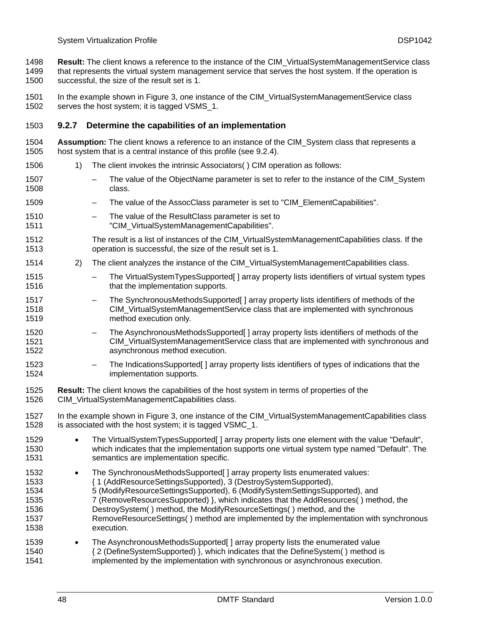**Result:** The client knows a reference to the instance of the CIM\_VirtualSystemManagementService class that represents the virtual system management service that serves the host system. If the operation is successful, the size of the result set is 1. 1498 1499 1500

1501 1502 In the example shown in [Figure 3](#page-44-1), one instance of the CIM\_VirtualSystemManagementService class serves the host system; it is tagged VSMS\_1.

# 1503 **9.2.7 Determine the capabilities of an implementation**

- 1504 1505 **Assumption:** The client knows a reference to an instance of the CIM\_System class that represents a host system that is a central instance of this profile (see [9.2.4\)](#page-45-2).
- 1506 1) The client invokes the intrinsic Associators( ) CIM operation as follows:
- 1507 1508 The value of the ObjectName parameter is set to refer to the instance of the CIM System class.
- 1509 The value of the AssocClass parameter is set to "CIM\_ElementCapabilities".
- 1510 1511 – The value of the ResultClass parameter is set to "CIM\_VirtualSystemManagementCapabilities".
- 1512 1513 The result is a list of instances of the CIM\_VirtualSystemManagementCapabilities class. If the operation is successful, the size of the result set is 1.
- 1514 2) The client analyzes the instance of the CIM VirtualSystemManagementCapabilities class.
- 1515 1516 – The VirtualSystemTypesSupported[ ] array property lists identifiers of virtual system types that the implementation supports.
- 1517 1518 1519 – The SynchronousMethodsSupported[ ] array property lists identifiers of methods of the CIM\_VirtualSystemManagementService class that are implemented with synchronous method execution only.
- 1520 1521 1522 – The AsynchronousMethodsSupported[ ] array property lists identifiers of methods of the CIM\_VirtualSystemManagementService class that are implemented with synchronous and asynchronous method execution.
- 1523 1524 – The IndicationsSupported[ ] array property lists identifiers of types of indications that the implementation supports.
- 1525 1526 **Result:** The client knows the capabilities of the host system in terms of properties of the CIM\_VirtualSystemManagementCapabilities class.
- 1527 1528 In the example shown in [Figure 3](#page-44-1), one instance of the CIM VirtualSystemManagementCapabilities class is associated with the host system; it is tagged VSMC 1.
- 1529 1530 1531 • The VirtualSystemTypesSupported[ ] array property lists one element with the value "Default", which indicates that the implementation supports one virtual system type named "Default". The semantics are implementation specific.
- 1532 The SynchronousMethodsSupported[] array property lists enumerated values:
- 1533 { 1 (AddResourceSettingsSupported), 3 (DestroySystemSupported),
- 1534 5 (ModifyResourceSettingsSupported), 6 (ModifySystemSettingsSupported), and
- 1535 1536 7 (RemoveResourcesSupported) }, which indicates that the AddResources( ) method, the DestroySystem( ) method, the ModifyResourceSettings( ) method, and the
- 1537 1538 RemoveResourceSettings( ) method are implemented by the implementation with synchronous execution.
- 1539 1540 1541 • The AsynchronousMethodsSupported[ ] array property lists the enumerated value { 2 (DefineSystemSupported) }, which indicates that the DefineSystem( ) method is implemented by the implementation with synchronous or asynchronous execution.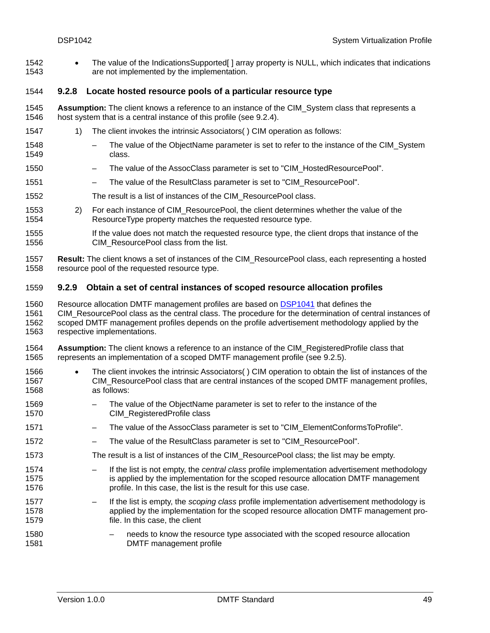• The value of the IndicationsSupported [] array property is NULL, which indicates that indications are not implemented by the implementation. 1542 1543

# <span id="page-48-0"></span>1544 **9.2.8 Locate hosted resource pools of a particular resource type**

- 1545 1546 **Assumption:** The client knows a reference to an instance of the CIM\_System class that represents a host system that is a central instance of this profile (see [9.2.4\)](#page-45-2).
- 1547 1) The client invokes the intrinsic Associators( ) CIM operation as follows:
- 1548 1549 The value of the ObjectName parameter is set to refer to the instance of the CIM\_System class.
- 1550 – The value of the AssocClass parameter is set to "CIM\_HostedResourcePool".
- 1551 – The value of the ResultClass parameter is set to "CIM\_ResourcePool".
- 1552 The result is a list of instances of the CIM\_ResourcePool class.
- 1553 1554 2) For each instance of CIM\_ResourcePool, the client determines whether the value of the ResourceType property matches the requested resource type.
- 1555 1556 If the value does not match the requested resource type, the client drops that instance of the CIM\_ResourcePool class from the list.
- 1557 1558 **Result:** The client knows a set of instances of the CIM\_ResourcePool class, each representing a hosted resource pool of the requested resource type.

# <span id="page-48-1"></span>1559 **9.2.9 Obtain a set of central instances of scoped resource allocation profiles**

- Resource allocation DMTF management profiles are based on [DSP1041](#page-8-0) that defines the CIM\_ResourcePool class as the central class. The procedure for the determination of central instances of scoped DMTF management profiles depends on the profile advertisement methodology applied by the 1560 1561 1562
- respective implementations. 1563
- 1564 1565 **Assumption:** The client knows a reference to an instance of the CIM\_RegisteredProfile class that represents an implementation of a scoped DMTF management profile (see [9.2.5\)](#page-46-0).
- 1566 1567 1568 • The client invokes the intrinsic Associators( ) CIM operation to obtain the list of instances of the CIM\_ResourcePool class that are central instances of the scoped DMTF management profiles, as follows:
- 1569 1570 – The value of the ObjectName parameter is set to refer to the instance of the CIM\_RegisteredProfile class
- 1571 – The value of the AssocClass parameter is set to "CIM\_ElementConformsToProfile".
- 1572 – The value of the ResultClass parameter is set to "CIM\_ResourcePool".
- 1573 The result is a list of instances of the CIM\_ResourcePool class; the list may be empty.
- 1574 1575 1576 – If the list is not empty, the *central class* profile implementation advertisement methodology is applied by the implementation for the scoped resource allocation DMTF management profile. In this case, the list is the result for this use case.
- 1577 1578 1579 – If the list is empty, the *scoping class* profile implementation advertisement methodology is applied by the implementation for the scoped resource allocation DMTF management profile. In this case, the client
- 1580 1581 – needs to know the resource type associated with the scoped resource allocation DMTF management profile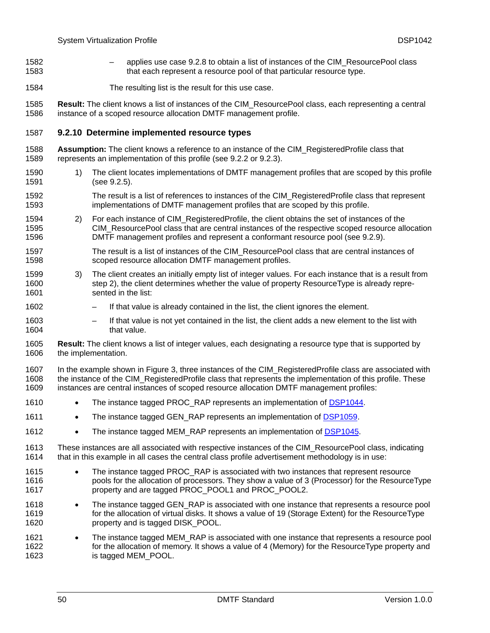- applies use case [9.2.8](#page-48-0) to obtain a list of instances of the CIM\_ResourcePool class that each represent a resource pool of that particular resource type. 1582 1583
- 1584 The resulting list is the result for this use case.

1585 1586 **Result:** The client knows a list of instances of the CIM\_ResourcePool class, each representing a central instance of a scoped resource allocation DMTF management profile.

### 1587 **9.2.10 Determine implemented resource types**

- 1588 1589 **Assumption:** The client knows a reference to an instance of the CIM\_RegisteredProfile class that represents an implementation of this profile (see [9.2.2](#page-45-0) or [9.2.3\)](#page-45-1).
- 1590 1591 1) The client locates implementations of DMTF management profiles that are scoped by this profile (see [9.2.5\)](#page-46-0).
- 1592 1593 The result is a list of references to instances of the CIM\_RegisteredProfile class that represent implementations of DMTF management profiles that are scoped by this profile.
- <span id="page-49-0"></span>1594 1595 1596 2) For each instance of CIM\_RegisteredProfile, the client obtains the set of instances of the CIM\_ResourcePool class that are central instances of the respective scoped resource allocation DMTF management profiles and represent a conformant resource pool (see [9.2.9](#page-48-1)).
- 1597 1598 The result is a list of instances of the CIM\_ResourcePool class that are central instances of scoped resource allocation DMTF management profiles.
- 1599 1600 1601 3) The client creates an initially empty list of integer values. For each instance that is a result from step [2\),](#page-49-0) the client determines whether the value of property ResourceType is already represented in the list:
- 1602 – If that value is already contained in the list, the client ignores the element.
- 1603 1604 If that value is not yet contained in the list, the client adds a new element to the list with that value.
- 1605 1606 **Result:** The client knows a list of integer values, each designating a resource type that is supported by the implementation.

1607 1608 1609 In the example shown in [Figure 3](#page-44-1), three instances of the CIM\_RegisteredProfile class are associated with the instance of the CIM\_RegisteredProfile class that represents the implementation of this profile. These instances are central instances of scoped resource allocation DMTF management profiles:

- 1610 The instance tagged PROC\_RAP represents an implementation of [DSP1044](#page-8-0).
- 1611 The instance tagged GEN\_RAP represents an implementation of [DSP1059.](#page-9-0)
- 1612 The instance tagged MEM\_RAP represents an implementation of [DSP1045.](#page-8-0)
- 1613 1614 These instances are all associated with respective instances of the CIM\_ResourcePool class, indicating that in this example in all cases the central class profile advertisement methodology is in use:
- 1615 1616 1617 • The instance tagged PROC RAP is associated with two instances that represent resource pools for the allocation of processors. They show a value of 3 (Processor) for the ResourceType property and are tagged PROC\_POOL1 and PROC\_POOL2.
- 1618 1619 1620 • The instance tagged GEN, RAP is associated with one instance that represents a resource pool for the allocation of virtual disks. It shows a value of 19 (Storage Extent) for the ResourceType property and is tagged DISK\_POOL.
- 1621 1622 1623 • The instance tagged MEM\_RAP is associated with one instance that represents a resource pool for the allocation of memory. It shows a value of 4 (Memory) for the ResourceType property and is tagged MEM\_POOL.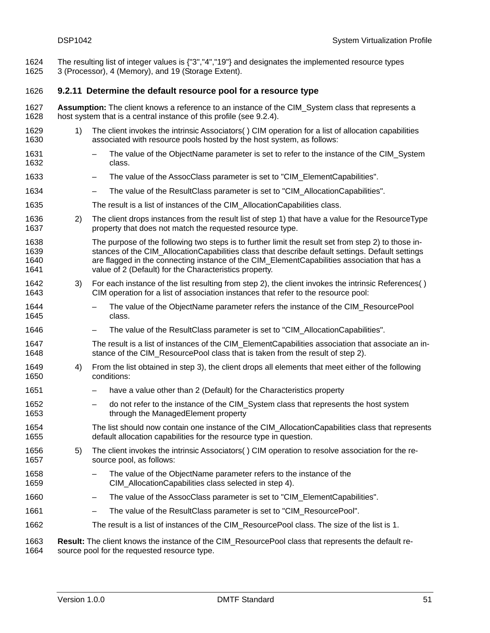The resulting list of integer values is {"3","4","19"} and designates the implemented resource types 3 (Processor), 4 (Memory), and 19 (Storage Extent). 1624 1625

### 1626 **9.2.11 Determine the default resource pool for a resource type**

- 1627 1628 **Assumption:** The client knows a reference to an instance of the CIM\_System class that represents a host system that is a central instance of this profile (see [9.2.4\)](#page-45-2).
- <span id="page-50-0"></span>1629 1630 1) The client invokes the intrinsic Associators( ) CIM operation for a list of allocation capabilities associated with resource pools hosted by the host system, as follows:
- 1631 1632 – The value of the ObjectName parameter is set to refer to the instance of the CIM\_System class.
- 1633 The value of the AssocClass parameter is set to "CIM\_ElementCapabilities".
- 1634 – The value of the ResultClass parameter is set to "CIM\_AllocationCapabilities".
- 1635 The result is a list of instances of the CIM\_AllocationCapabilities class.
- <span id="page-50-1"></span>1636 1637 2) The client drops instances from the result list of step [1\)](#page-50-0) that have a value for the ResourceType property that does not match the requested resource type.
- 1638 1639 1640 1641 The purpose of the following two steps is to further limit the result set from step [2\)](#page-50-1) to those instances of the CIM\_AllocationCapabilities class that describe default settings. Default settings are flagged in the connecting instance of the CIM\_ElementCapabilities association that has a value of 2 (Default) for the Characteristics property.
- <span id="page-50-2"></span>1642 1643 3) For each instance of the list resulting from step [2\)](#page-50-1), the client invokes the intrinsic References( ) CIM operation for a list of association instances that refer to the resource pool:
- 1644 1645 – The value of the ObjectName parameter refers the instance of the CIM\_ResourcePool class.
- 1646 – The value of the ResultClass parameter is set to "CIM\_AllocationCapabilities".
- 1647 1648 The result is a list of instances of the CIM ElementCapabilities association that associate an in-stance of the CIM ResourcePool class that is taken from the result of step [2\)](#page-50-1).
- <span id="page-50-3"></span>1649 1650 4) From the list obtained in step [3\)](#page-50-2), the client drops all elements that meet either of the following conditions:
	- have a value other than 2 (Default) for the Characteristics property
	- do not refer to the instance of the CIM\_System class that represents the host system through the ManagedElement property
- 1654 1655 The list should now contain one instance of the CIM\_AllocationCapabilities class that represents default allocation capabilities for the resource type in question.
- <span id="page-50-4"></span>1656 1657 5) The client invokes the intrinsic Associators( ) CIM operation to resolve association for the resource pool, as follows:
	- The value of the ObjectName parameter refers to the instance of the CIM\_AllocationCapabilities class selected in step [4\)](#page-50-3).
- 1660 – The value of the AssocClass parameter is set to "CIM\_ElementCapabilities".
- 1661 – The value of the ResultClass parameter is set to "CIM\_ResourcePool".
- 1662 The result is a list of instances of the CIM\_ResourcePool class. The size of the list is 1.

1663 1664 **Result:** The client knows the instance of the CIM\_ResourcePool class that represents the default resource pool for the requested resource type.

1651 1652 1653

1658 1659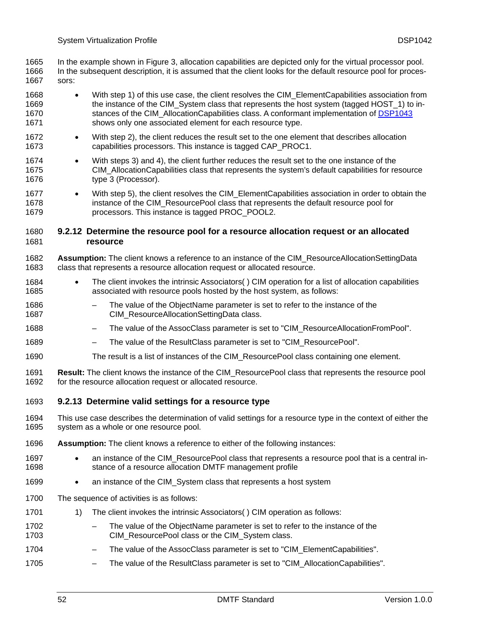In the example shown in [Figure 3](#page-44-1), allocation capabilities are depicted only for the virtual processor pool. In the subsequent description, it is assumed that the client looks for the default resource pool for processors: 1665 1666 1667

- 1668 1669 • With step [1\)](#page-50-0) of this use case, the client resolves the CIM ElementCapabilities association from the instance of the CIM\_System class that represents the host system (tagged HOST\_1) to instances of the CIM\_AllocationCapabilities class. A conformant implementation of [DSP1043](#page-8-0) shows only one associated element for each resource type. 1670 1671
- 1672 1673 • With step [2\),](#page-50-1) the client reduces the result set to the one element that describes allocation capabilities processors. This instance is tagged CAP\_PROC1.
- 1674 1675 1676 • With steps [3\)](#page-50-2) and [4\),](#page-50-3) the client further reduces the result set to the one instance of the CIM\_AllocationCapabilities class that represents the system's default capabilities for resource type 3 (Processor).
- 1677 1678 1679 With step [5\),](#page-50-4) the client resolves the CIM\_ElementCapabilities association in order to obtain the instance of the CIM\_ResourcePool class that represents the default resource pool for processors. This instance is tagged PROC\_POOL2.

#### 1681 1680 **9.2.12 Determine the resource pool for a resource allocation request or an allocated resource**

- 1682 1683 **Assumption:** The client knows a reference to an instance of the CIM\_ResourceAllocationSettingData class that represents a resource allocation request or allocated resource.
- 1684 1685 • The client invokes the intrinsic Associators( ) CIM operation for a list of allocation capabilities associated with resource pools hosted by the host system, as follows:
- 1686 1687 – The value of the ObjectName parameter is set to refer to the instance of the CIM\_ResourceAllocationSettingData class.
- 1688 – The value of the AssocClass parameter is set to "CIM\_ResourceAllocationFromPool".
- 1689 – The value of the ResultClass parameter is set to "CIM\_ResourcePool".
- 1690 The result is a list of instances of the CIM\_ResourcePool class containing one element.
- 1691 1692 **Result:** The client knows the instance of the CIM\_ResourcePool class that represents the resource pool for the resource allocation request or allocated resource.
- <span id="page-51-1"></span>1693 **9.2.13 Determine valid settings for a resource type**
- 1694 1695 This use case describes the determination of valid settings for a resource type in the context of either the system as a whole or one resource pool.
- 1696 Assumption: The client knows a reference to either of the following instances:
- 1697 1698 • an instance of the CIM\_ResourcePool class that represents a resource pool that is a central instance of a resource allocation DMTF management profile
- 1699 an instance of the CIM System class that represents a host system
- 1700 The sequence of activities is as follows:
- <span id="page-51-0"></span>1701 1) The client invokes the intrinsic Associators( ) CIM operation as follows:
- 1702 1703 The value of the ObjectName parameter is set to refer to the instance of the CIM\_ResourcePool class or the CIM\_System class.
- 1704 – The value of the AssocClass parameter is set to "CIM\_ElementCapabilities".
- 1705 – The value of the ResultClass parameter is set to "CIM\_AllocationCapabilities".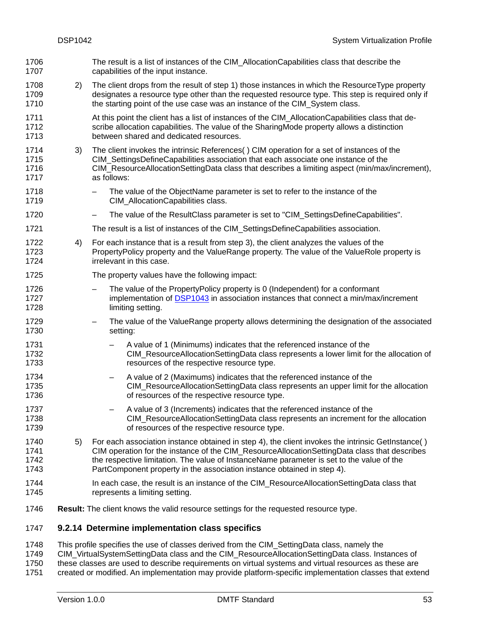<span id="page-52-1"></span><span id="page-52-0"></span>The result is a list of instances of the CIM\_AllocationCapabilities class that describe the capabilities of the input instance. 1706 1707 1708 1709 1710 1711 1712 1713 1714 1715 1716 1717 1718 1719 1720 1721 1722 1723 1724 1725 1726 2) The client drops from the result of step [1\)](#page-51-0) those instances in which the ResourceType property designates a resource type other than the requested resource type. This step is required only if the starting point of the use case was an instance of the CIM\_System class. At this point the client has a list of instances of the CIM\_AllocationCapabilities class that describe allocation capabilities. The value of the SharingMode property allows a distinction between shared and dedicated resources. 3) The client invokes the intrinsic References( ) CIM operation for a set of instances of the CIM\_SettingsDefineCapabilities association that each associate one instance of the CIM\_ResourceAllocationSettingData class that describes a limiting aspect (min/max/increment), as follows: – The value of the ObjectName parameter is set to refer to the instance of the CIM\_AllocationCapabilities class. The value of the ResultClass parameter is set to "CIM\_SettingsDefineCapabilities". The result is a list of instances of the CIM\_SettingsDefineCapabilities association. 4) For each instance that is a result from step [3\),](#page-52-0) the client analyzes the values of the PropertyPolicy property and the ValueRange property. The value of the ValueRole property is irrelevant in this case. The property values have the following impact: – The value of the PropertyPolicy property is 0 (Independent) for a conformant implementation of [DSP1043](#page-8-0) in association instances that connect a min/max/increment limiting setting. 1727 1728 1729 1730 1731 1732 1733 1734 1735 1736 1737 1738 1739 1740 1741 1742 1743 1744 1745 1746 – The value of the ValueRange property allows determining the designation of the associated setting: – A value of 1 (Minimums) indicates that the referenced instance of the CIM\_ResourceAllocationSettingData class represents a lower limit for the allocation of resources of the respective resource type. – A value of 2 (Maximums) indicates that the referenced instance of the CIM\_ResourceAllocationSettingData class represents an upper limit for the allocation of resources of the respective resource type. – A value of 3 (Increments) indicates that the referenced instance of the CIM\_ResourceAllocationSettingData class represents an increment for the allocation of resources of the respective resource type. 5) For each association instance obtained in step [4\)](#page-52-1), the client invokes the intrinsic GetInstance() CIM operation for the instance of the CIM\_ResourceAllocationSettingData class that describes the respective limitation. The value of InstanceName parameter is set to the value of the PartComponent property in the association instance obtained in step [4\).](#page-52-1) In each case, the result is an instance of the CIM\_ResourceAllocationSettingData class that represents a limiting setting. **Result:** The client knows the valid resource settings for the requested resource type.

# <span id="page-52-2"></span>1747 **9.2.14 Determine implementation class specifics**

1748 1749 1750 1751 This profile specifies the use of classes derived from the CIM\_SettingData class, namely the CIM\_VirtualSystemSettingData class and the CIM\_ResourceAllocationSettingData class. Instances of these classes are used to describe requirements on virtual systems and virtual resources as these are created or modified. An implementation may provide platform-specific implementation classes that extend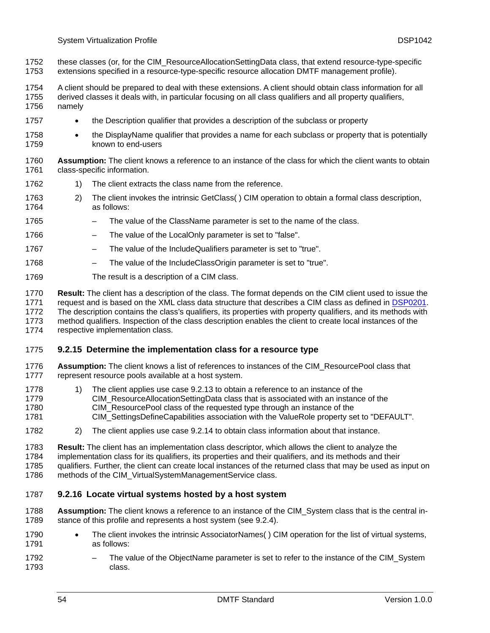- these classes (or, for the CIM\_ResourceAllocationSettingData class, that extend resource-type-specific extensions specified in a resource-type-specific resource allocation DMTF management profile). 1752 1753
- 1754 A client should be prepared to deal with these extensions. A client should obtain class information for all
- 1755 1756 derived classes it deals with, in particular focusing on all class qualifiers and all property qualifiers, namely
- 1757 • the Description qualifier that provides a description of the subclass or property
- 1758 1759 • the DisplayName qualifier that provides a name for each subclass or property that is potentially known to end-users
- 1760 1761 **Assumption:** The client knows a reference to an instance of the class for which the client wants to obtain class-specific information.
- 1762 1) The client extracts the class name from the reference.
- 1763 1764 2) The client invokes the intrinsic GetClass( ) CIM operation to obtain a formal class description, as follows:
- 1765 – The value of the ClassName parameter is set to the name of the class.
- 1766 – The value of the LocalOnly parameter is set to "false".
- 1767 – The value of the IncludeQualifiers parameter is set to "true".
- 1768 – The value of the IncludeClassOrigin parameter is set to "true".
- 1769 The result is a description of a CIM class.
- 1770 **Result:** The client has a description of the class. The format depends on the CIM client used to issue the
- request and is based on the XML class data structure that describes a CIM class as defined in [DSP0201.](#page-8-0) 1771
- The description contains the class's qualifiers, its properties with property qualifiers, and its methods with 1772
- method qualifiers. Inspection of the class description enables the client to create local instances of the 1773

respective implementation class. 1774

# <span id="page-53-0"></span>1775 **9.2.15 Determine the implementation class for a resource type**

- 1776 1777 **Assumption:** The client knows a list of references to instances of the CIM\_ResourcePool class that represent resource pools available at a host system.
- 1778 1779 1780 1) The client applies use case [9.2.13](#page-51-1) to obtain a reference to an instance of the CIM\_ResourceAllocationSettingData class that is associated with an instance of the CIM\_ResourcePool class of the requested type through an instance of the
- 1781 CIM\_SettingsDefineCapabilities association with the ValueRole property set to "DEFAULT".
- 1782 2) The client applies use case [9.2.14](#page-52-2) to obtain class information about that instance.
- 1783 **Result:** The client has an implementation class descriptor, which allows the client to analyze the
- 1784 implementation class for its qualifiers, its properties and their qualifiers, and its methods and their
- 1785 qualifiers. Further, the client can create local instances of the returned class that may be used as input on
- 1786 methods of the CIM\_VirtualSystemManagementService class.

# <span id="page-53-1"></span>1787 **9.2.16 Locate virtual systems hosted by a host system**

- 1788 1789 **Assumption:** The client knows a reference to an instance of the CIM\_System class that is the central instance of this profile and represents a host system (see [9.2.4\)](#page-45-2).
- 1790 1791 • The client invokes the intrinsic AssociatorNames( ) CIM operation for the list of virtual systems, as follows:
- 1792 1793 The value of the ObjectName parameter is set to refer to the instance of the CIM\_System class.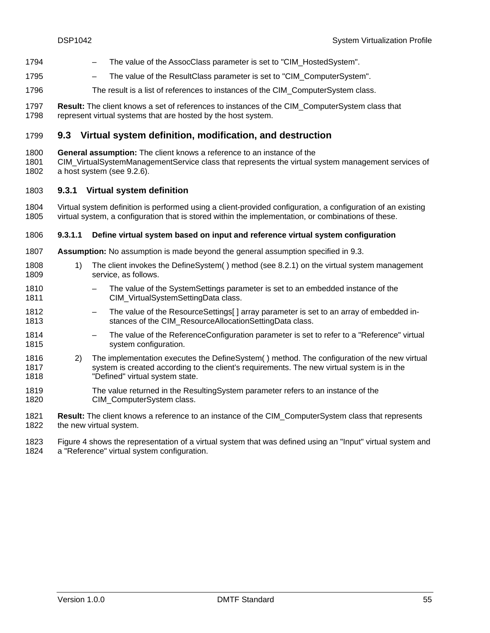- 1794 The value of the AssocClass parameter is set to "CIM\_HostedSystem".
- 1795 – The value of the ResultClass parameter is set to "CIM\_ComputerSystem".
- 1796 The result is a list of references to instances of the CIM\_ComputerSystem class.
- 1797 1798 **Result:** The client knows a set of references to instances of the CIM\_ComputerSystem class that represent virtual systems that are hosted by the host system.

# <span id="page-54-0"></span>1799 **9.3 Virtual system definition, modification, and destruction**

- 1800 **General assumption:** The client knows a reference to an instance of the
- 1801 1802 CIM\_VirtualSystemManagementService class that represents the virtual system management services of a host system (see [9.2.6\)](#page-46-1).

# 1803 **9.3.1 Virtual system definition**

1804 1805 Virtual system definition is performed using a client-provided configuration, a configuration of an existing virtual system, a configuration that is stored within the implementation, or combinations of these.

### <span id="page-54-1"></span>1806 **9.3.1.1 Define virtual system based on input and reference virtual system configuration**

- 1807 **Assumption:** No assumption is made beyond the general assumption specified in [9.3](#page-54-0).
- 1808 1809 1) The client invokes the DefineSystem( ) method (see [8.2.1\)](#page-28-1) on the virtual system management service, as follows.
- 1810 1811 – The value of the SystemSettings parameter is set to an embedded instance of the CIM\_VirtualSystemSettingData class.
- 1812 1813 – The value of the ResourceSettings[ ] array parameter is set to an array of embedded instances of the CIM\_ResourceAllocationSettingData class.
- 1814 1815 – The value of the ReferenceConfiguration parameter is set to refer to a "Reference" virtual system configuration.
- 1816 1817 1818 2) The implementation executes the DefineSystem( ) method. The configuration of the new virtual system is created according to the client's requirements. The new virtual system is in the "Defined" virtual system state.
- 1819 1820 The value returned in the ResultingSystem parameter refers to an instance of the CIM\_ComputerSystem class.

1821 1822 **Result:** The client knows a reference to an instance of the CIM\_ComputerSystem class that represents the new virtual system.

1823 1824 [Figure 4](#page-55-0) shows the representation of a virtual system that was defined using an "Input" virtual system and a "Reference" virtual system configuration.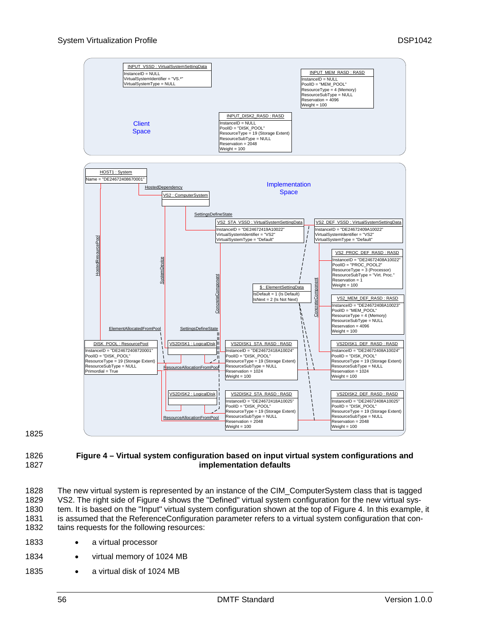

1825

#### <span id="page-55-0"></span>1826 1827 **Figure 4 – Virtual system configuration based on input virtual system configurations and implementation defaults**

1828 1829 1830 1831 1832 The new virtual system is represented by an instance of the CIM\_ComputerSystem class that is tagged VS2. The right side of [Figure 4](#page-55-0) shows the "Defined" virtual system configuration for the new virtual system. It is based on the "Input" virtual system configuration shown at the top of [Figure 4](#page-55-0). In this example, it is assumed that the ReferenceConfiguration parameter refers to a virtual system configuration that contains requests for the following resources:

- 1833 a virtual processor
- 1834 • virtual memory of 1024 MB
- 1835 • a virtual disk of 1024 MB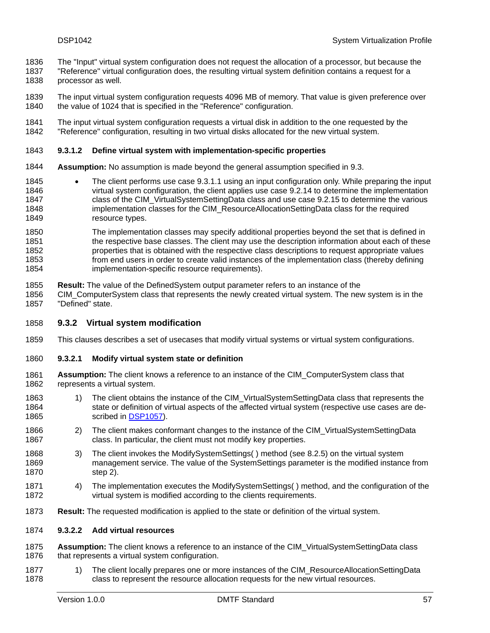- The "Input" virtual system configuration does not request the allocation of a processor, but because the 1836
- "Reference" virtual configuration does, the resulting virtual system definition contains a request for a processor as well. 1837 1838
- 1839 1840 The input virtual system configuration requests 4096 MB of memory. That value is given preference over the value of 1024 that is specified in the "Reference" configuration.
- 1841 1842 The input virtual system configuration requests a virtual disk in addition to the one requested by the "Reference" configuration, resulting in two virtual disks allocated for the new virtual system.

### 1843 **9.3.1.2 Define virtual system with implementation-specific properties**

- 1844 **Assumption:** No assumption is made beyond the general assumption specified in [9.3](#page-54-0).
- 1845 1846 1847 1848 1849 • The client performs use case [9.3.1.1](#page-54-1) using an input configuration only. While preparing the input virtual system configuration, the client applies use case [9.2.14](#page-52-2) to determine the implementation class of the CIM\_VirtualSystemSettingData class and use case [9.2.15](#page-53-0) to determine the various implementation classes for the CIM\_ResourceAllocationSettingData class for the required resource types.
- 1850 1851 1852 1853 1854 The implementation classes may specify additional properties beyond the set that is defined in the respective base classes. The client may use the description information about each of these properties that is obtained with the respective class descriptions to request appropriate values from end users in order to create valid instances of the implementation class (thereby defining implementation-specific resource requirements).
- 1855 **Result:** The value of the DefinedSystem output parameter refers to an instance of the
- 1856 1857 CIM\_ComputerSystem class that represents the newly created virtual system. The new system is in the "Defined" state.

### 1858 **9.3.2 Virtual system modification**

1859 This clauses describes a set of usecases that modify virtual systems or virtual system configurations.

### 1860 **9.3.2.1 Modify virtual system state or definition**

- 1861 1862 **Assumption:** The client knows a reference to an instance of the CIM\_ComputerSystem class that represents a virtual system.
- 1863 1864 1) The client obtains the instance of the CIM\_VirtualSystemSettingData class that represents the state or definition of virtual aspects of the affected virtual system (respective use cases are de-1865 scribed in [DSP1057\)](#page-9-0).
- <span id="page-56-0"></span>1866 1867 2) The client makes conformant changes to the instance of the CIM\_VirtualSystemSettingData class. In particular, the client must not modify key properties.
- 1868 1869 1870 3) The client invokes the ModifySystemSettings( ) method (see [8.2.5\)](#page-34-0) on the virtual system management service. The value of the SystemSettings parameter is the modified instance from step [2\).](#page-56-0)
- 1871 1872 4) The implementation executes the ModifySystemSettings( ) method, and the configuration of the virtual system is modified according to the clients requirements.
- 1873 **Result:** The requested modification is applied to the state or definition of the virtual system.

### 1874 **9.3.2.2 Add virtual resources**

- 1875 1876 **Assumption:** The client knows a reference to an instance of the CIM\_VirtualSystemSettingData class that represents a virtual system configuration.
- <span id="page-56-1"></span>1877 1878 1) The client locally prepares one or more instances of the CIM\_ResourceAllocationSettingData class to represent the resource allocation requests for the new virtual resources.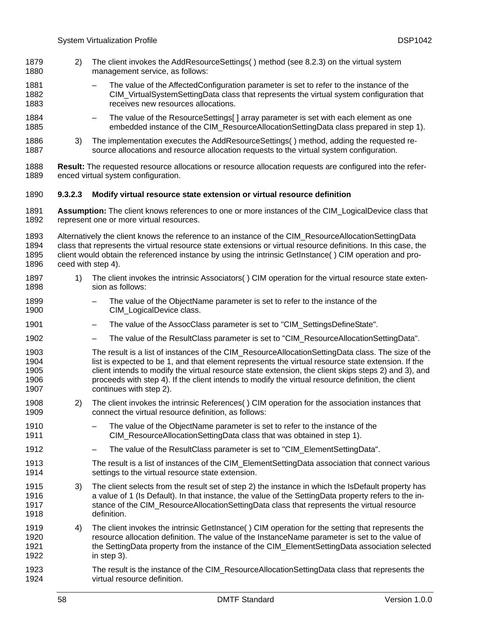- 2) The client invokes the AddResourceSettings( ) method (see [8.2.3\)](#page-31-0) on the virtual system management service, as follows: 1879 1880
- 1881 1882 1883 – The value of the AffectedConfiguration parameter is set to refer to the instance of the CIM\_VirtualSystemSettingData class that represents the virtual system configuration that receives new resources allocations.
- 1884 1885 – The value of the ResourceSettings[ ] array parameter is set with each element as one embedded instance of the CIM ResourceAllocationSettingData class prepared in step [1\).](#page-56-1)
- 1886 1887 3) The implementation executes the AddResourceSettings( ) method, adding the requested resource allocations and resource allocation requests to the virtual system configuration.

1888 1889 **Result:** The requested resource allocations or resource allocation requests are configured into the referenced virtual system configuration.

### 1890 **9.3.2.3 Modify virtual resource state extension or virtual resource definition**

1891 1892 **Assumption:** The client knows references to one or more instances of the CIM\_LogicalDevice class that represent one or more virtual resources.

1893 1894 1895 1896 Alternatively the client knows the reference to an instance of the CIM\_ResourceAllocationSettingData class that represents the virtual resource state extensions or virtual resource definitions. In this case, the client would obtain the referenced instance by using the intrinsic GetInstance( ) CIM operation and proceed with step [4\).](#page-57-0)

- <span id="page-57-3"></span>1897 1898 1) The client invokes the intrinsic Associators( ) CIM operation for the virtual resource state extension as follows:
- 1899 1900 – The value of the ObjectName parameter is set to refer to the instance of the CIM\_LogicalDevice class.
- 1901 – The value of the AssocClass parameter is set to "CIM\_SettingsDefineState".
- 1902 – The value of the ResultClass parameter is set to "CIM\_ResourceAllocationSettingData".
- 1903 1904 1905 1906 1907 The result is a list of instances of the CIM\_ResourceAllocationSettingData class. The size of the list is expected to be 1, and that element represents the virtual resource state extension. If the client intends to modify the virtual resource state extension, the client skips steps [2\)](#page-57-1) and [3\),](#page-57-2) and proceeds with step [4\)](#page-57-0). If the client intends to modify the virtual resource definition, the client continues with step [2\).](#page-57-1)
- <span id="page-57-1"></span>1908 1909 2) The client invokes the intrinsic References( ) CIM operation for the association instances that connect the virtual resource definition, as follows:
- 1910 1911 The value of the ObjectName parameter is set to refer to the instance of the CIM\_ResourceAllocationSettingData class that was obtained in step [1\)](#page-57-3).
- 1912 The value of the ResultClass parameter is set to "CIM\_ElementSettingData".
- 1913 1914 The result is a list of instances of the CIM\_ElementSettingData association that connect various settings to the virtual resource state extension.
- <span id="page-57-2"></span>1915 1916 1917 1918 3) The client selects from the result set of step [2\)](#page-57-1) the instance in which the IsDefault property has a value of 1 (Is Default). In that instance, the value of the SettingData property refers to the instance of the CIM\_ResourceAllocationSettingData class that represents the virtual resource definition.
- <span id="page-57-0"></span>1919 1920 1921 1922 4) The client invokes the intrinsic GetInstance( ) CIM operation for the setting that represents the resource allocation definition. The value of the InstanceName parameter is set to the value of the SettingData property from the instance of the CIM\_ElementSettingData association selected in step [3\)](#page-57-2).
- 1923 1924 The result is the instance of the CIM\_ResourceAllocationSettingData class that represents the virtual resource definition.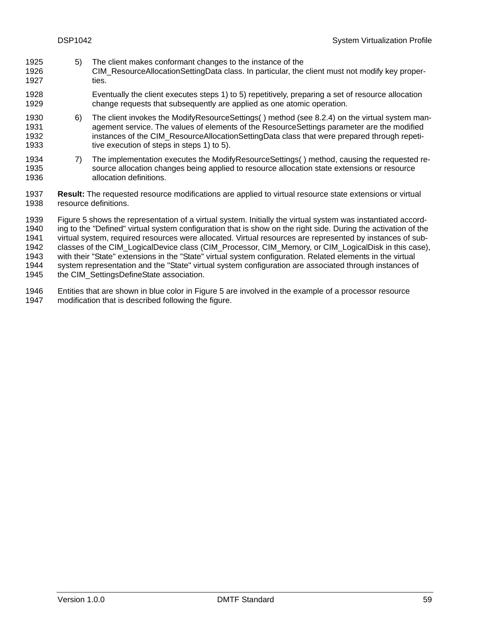- <span id="page-58-0"></span>5) The client makes conformant changes to the instance of the 1925
- CIM\_ResourceAllocationSettingData class. In particular, the client must not modify key properties. 1926 1927
- 1928 1929 Eventually the client executes steps [1\)](#page-57-3) to [5\)](#page-58-0) repetitively, preparing a set of resource allocation change requests that subsequently are applied as one atomic operation.
- 1930 1931 1932 1933 6) The client invokes the ModifyResourceSettings( ) method (see [8.2.4\)](#page-33-0) on the virtual system management service. The values of elements of the ResourceSettings parameter are the modified instances of the CIM\_ResourceAllocationSettingData class that were prepared through repetitive execution of steps in steps [1\)](#page-57-3) to [5\).](#page-58-0)
- 1934 1935 1936 7) The implementation executes the ModifyResourceSettings( ) method, causing the requested resource allocation changes being applied to resource allocation state extensions or resource allocation definitions.
- 1937 1938 **Result:** The requested resource modifications are applied to virtual resource state extensions or virtual resource definitions.

1939 1940 1941 1942 1943 1944 1945 [Figure 5](#page-59-0) shows the representation of a virtual system. Initially the virtual system was instantiated according to the "Defined" virtual system configuration that is show on the right side. During the activation of the virtual system, required resources were allocated. Virtual resources are represented by instances of subclasses of the CIM\_LogicalDevice class (CIM\_Processor, CIM\_Memory, or CIM\_LogicalDisk in this case), with their "State" extensions in the "State" virtual system configuration. Related elements in the virtual system representation and the "State" virtual system configuration are associated through instances of the CIM\_SettingsDefineState association.

1946 1947 Entities that are shown in blue color in [Figure 5](#page-59-0) are involved in the example of a processor resource modification that is described following the figure.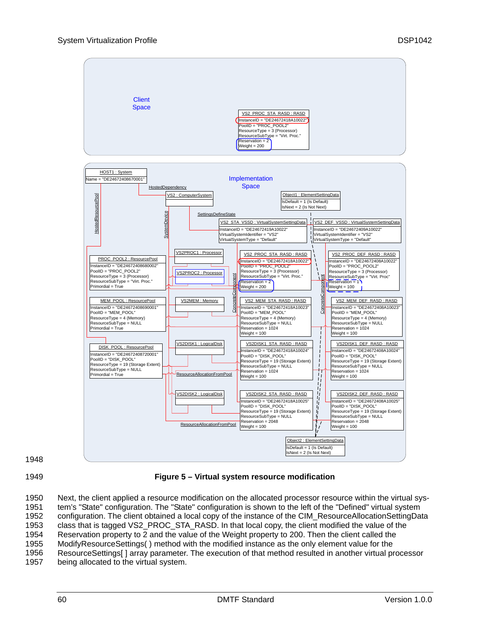

1948

<span id="page-59-0"></span>1949

**Figure 5 – Virtual system resource modification** 

1950 1951 1952 1953 1954 1955 1956 1957 Next, the client applied a resource modification on the allocated processor resource within the virtual system's "State" configuration. The "State" configuration is shown to the left of the "Defined" virtual system configuration. The client obtained a local copy of the instance of the CIM ResourceAllocationSettingData class that is tagged VS2\_PROC\_STA\_RASD. In that local copy, the client modified the value of the Reservation property to 2 and the value of the Weight property to 200. Then the client called the ModifyResourceSettings( ) method with the modified instance as the only element value for the ResourceSettings[ ] array parameter. The execution of that method resulted in another virtual processor being allocated to the virtual system.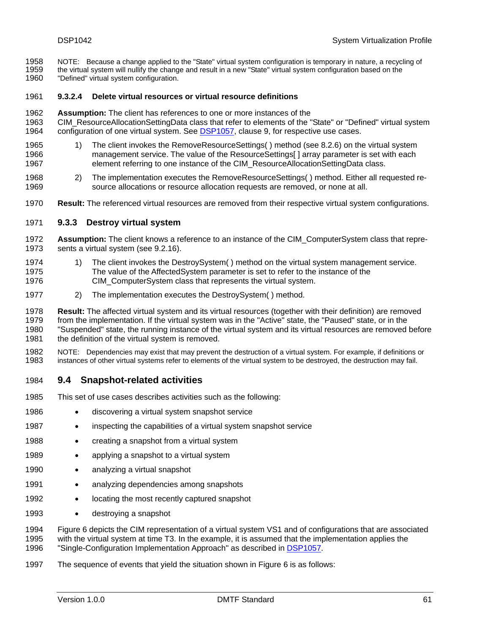- NOTE: Because a change applied to the "State" virtual system configuration is temporary in nature, a recycling of 1958
- the virtual system will nullify the change and result in a new "State" virtual system configuration based on the 1959
- "Defined" virtual system configuration. 1960

### 1961 **9.3.2.4 Delete virtual resources or virtual resource definitions**

- 1962 **Assumption:** The client has references to one or more instances of the
- 1963 CIM\_ResourceAllocationSettingData class that refer to elements of the "State" or "Defined" virtual system 1964 configuration of one virtual system. See [DSP1057,](#page-9-0) clause 9, for respective use cases.
- 1965 1966 1967 1) The client invokes the RemoveResourceSettings( ) method (see [8.2.6\)](#page-35-0) on the virtual system management service. The value of the ResourceSettings[ ] array parameter is set with each element referring to one instance of the CIM\_ResourceAllocationSettingData class.
- 1968 1969 2) The implementation executes the RemoveResourceSettings( ) method. Either all requested resource allocations or resource allocation requests are removed, or none at all.
- 1970 **Result:** The referenced virtual resources are removed from their respective virtual system configurations.

### 1971 **9.3.3 Destroy virtual system**

- 1972 1973 **Assumption:** The client knows a reference to an instance of the CIM\_ComputerSystem class that represents a virtual system (see [9.2.16\)](#page-53-1).
- 1974 1975 1976 1) The client invokes the DestroySystem( ) method on the virtual system management service. The value of the AffectedSystem parameter is set to refer to the instance of the CIM\_ComputerSystem class that represents the virtual system.
- 1977 2) The implementation executes the DestroySystem( ) method.

1978 1979 1980 1981 **Result:** The affected virtual system and its virtual resources (together with their definition) are removed from the implementation. If the virtual system was in the "Active" state, the "Paused" state, or in the "Suspended" state, the running instance of the virtual system and its virtual resources are removed before the definition of the virtual system is removed.

1982 1983 NOTE: Dependencies may exist that may prevent the destruction of a virtual system. For example, if definitions or instances of other virtual systems refer to elements of the virtual system to be destroyed, the destruction may fail.

# 1984 **9.4 Snapshot-related activities**

- 1985 This set of use cases describes activities such as the following:
- 1986 • discovering a virtual system snapshot service
- 1987 • inspecting the capabilities of a virtual system snapshot service
- 1988 • creating a snapshot from a virtual system
- 1989 • applying a snapshot to a virtual system
- 1990 • analyzing a virtual snapshot
- 1991 • analyzing dependencies among snapshots
- 1992 • locating the most recently captured snapshot
- 1993 • destroying a snapshot

1994 1995 [Figure 6](#page-62-0) depicts the CIM representation of a virtual system VS1 and of configurations that are associated with the virtual system at time T3. In the example, it is assumed that the implementation applies the 1996 "Single-Configuration Implementation Approach" as described in [DSP1057](#page-9-0).

1997 The sequence of events that yield the situation shown in [Figure 6](#page-62-0) is as follows: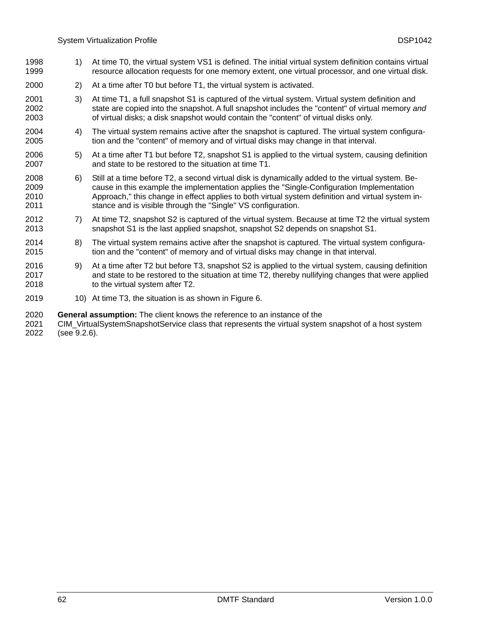- 1) At time T0, the virtual system VS1 is defined. The initial virtual system definition contains virtual resource allocation requests for one memory extent, one virtual processor, and one virtual disk. 1998 1999
- 2000 2) At a time after T0 but before T1, the virtual system is activated.
- 2001 2002 2003 3) At time T1, a full snapshot S1 is captured of the virtual system. Virtual system definition and state are copied into the snapshot. A full snapshot includes the "content" of virtual memory *and* of virtual disks; a disk snapshot would contain the "content" of virtual disks only.
- 2004 2005 4) The virtual system remains active after the snapshot is captured. The virtual system configuration and the "content" of memory and of virtual disks may change in that interval.
- 2006 2007 5) At a time after T1 but before T2, snapshot S1 is applied to the virtual system, causing definition and state to be restored to the situation at time T1.
- 2008 2009 2010 2011 6) Still at a time before T2, a second virtual disk is dynamically added to the virtual system. Because in this example the implementation applies the "Single-Configuration Implementation Approach," this change in effect applies to both virtual system definition and virtual system instance and is visible through the "Single" VS configuration.
- 2012 2013 7) At time T2, snapshot S2 is captured of the virtual system. Because at time T2 the virtual system snapshot S1 is the last applied snapshot, snapshot S2 depends on snapshot S1.
- 2014 2015 8) The virtual system remains active after the snapshot is captured. The virtual system configuration and the "content" of memory and of virtual disks may change in that interval.
- 2016 2017 2018 9) At a time after T2 but before T3, snapshot S2 is applied to the virtual system, causing definition and state to be restored to the situation at time T2, thereby nullifying changes that were applied to the virtual system after T2.
- 2019 10) At time T3, the situation is as shown in [Figure 6](#page-62-0).
- 2020 **General assumption:** The client knows the reference to an instance of the
- 2021 2022 CIM\_VirtualSystemSnapshotService class that represents the virtual system snapshot of a host system (see [9.2.6](#page-46-1)).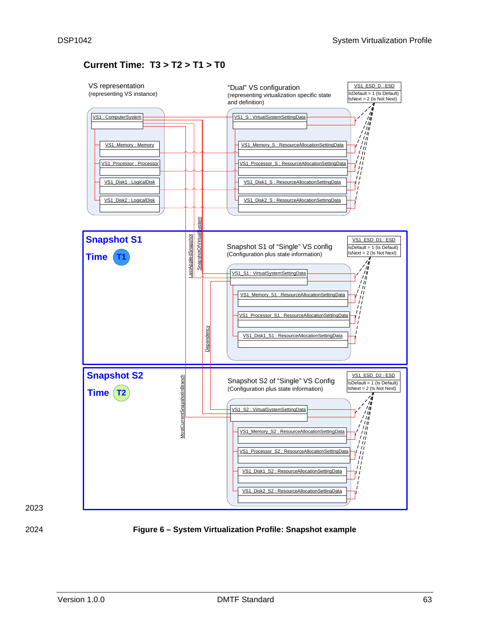# **Current Time: T3 > T2 > T1 > T0**



<span id="page-62-0"></span>

2023

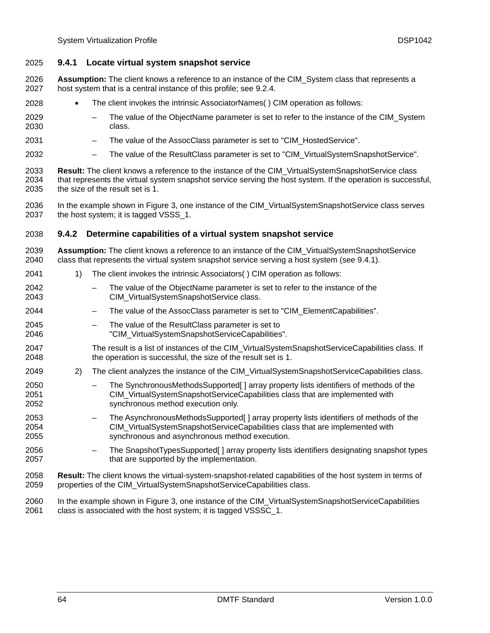### <span id="page-63-0"></span>2025 **9.4.1 Locate virtual system snapshot service**

- **Assumption:** The client knows a reference to an instance of the CIM\_System class that represents a host system that is a central instance of this profile; see [9.2.4.](#page-45-2) 2026 2027
- 2028 • The client invokes the intrinsic AssociatorNames( ) CIM operation as follows:
- 2029 2030 The value of the ObjectName parameter is set to refer to the instance of the CIM System class.
- 2031 – The value of the AssocClass parameter is set to "CIM\_HostedService".
- 2032 The value of the ResultClass parameter is set to "CIM\_VirtualSystemSnapshotService".
- 2033 2034 2035 **Result:** The client knows a reference to the instance of the CIM\_VirtualSystemSnapshotService class that represents the virtual system snapshot service serving the host system. If the operation is successful, the size of the result set is 1.
- 2036 2037 In the example shown in [Figure 3](#page-44-1), one instance of the CIM\_VirtualSystemSnapshotService class serves the host system; it is tagged VSSS\_1.

### 2038 **9.4.2 Determine capabilities of a virtual system snapshot service**

- 2039 2040 **Assumption:** The client knows a reference to an instance of the CIM\_VirtualSystemSnapshotService class that represents the virtual system snapshot service serving a host system (see [9.4.1](#page-63-0)).
- 2041 1) The client invokes the intrinsic Associators( ) CIM operation as follows:
- 2042 2043 The value of the ObjectName parameter is set to refer to the instance of the CIM\_VirtualSystemSnapshotService class.
- 2044 – The value of the AssocClass parameter is set to "CIM\_ElementCapabilities".
- 2045 2046 The value of the ResultClass parameter is set to "CIM\_VirtualSystemSnapshotServiceCapabilities".
- 2047 2048 The result is a list of instances of the CIM\_VirtualSystemSnapshotServiceCapabilities class. If the operation is successful, the size of the result set is 1.
- 2049 2) The client analyzes the instance of the CIM\_VirtualSystemSnapshotServiceCapabilities class.
- 2050 2051 2052 – The SynchronousMethodsSupported[ ] array property lists identifiers of methods of the CIM\_VirtualSystemSnapshotServiceCapabilities class that are implemented with synchronous method execution only.
- 2053 2054 2055 – The AsynchronousMethodsSupported[ ] array property lists identifiers of methods of the CIM\_VirtualSystemSnapshotServiceCapabilities class that are implemented with synchronous and asynchronous method execution.
- 2056 2057 – The SnapshotTypesSupported[ ] array property lists identifiers designating snapshot types that are supported by the implementation.
- 2058 2059 **Result:** The client knows the virtual-system-snapshot-related capabilities of the host system in terms of properties of the CIM\_VirtualSystemSnapshotServiceCapabilities class.
- 2060 2061 In the example shown in [Figure 3](#page-44-1), one instance of the CIM\_VirtualSystemSnapshotServiceCapabilities class is associated with the host system; it is tagged VSSSC\_1.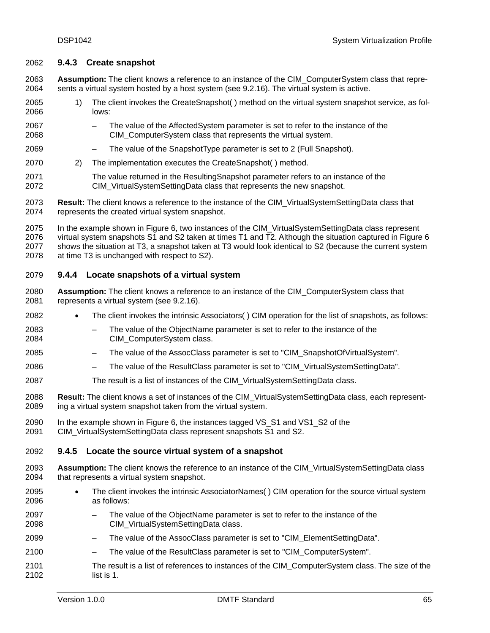# <span id="page-64-1"></span>2062 **9.4.3 Create snapshot**

**Assumption:** The client knows a reference to an instance of the CIM\_ComputerSystem class that represents a virtual system hosted by a host system (see [9.2.16](#page-53-1)). The virtual system is active. 2063 2064

- 2065 2066 1) The client invokes the CreateSnapshot( ) method on the virtual system snapshot service, as follows:
- 2067 2068 – The value of the AffectedSystem parameter is set to refer to the instance of the CIM\_ComputerSystem class that represents the virtual system.
- 2069 – The value of the SnapshotType parameter is set to 2 (Full Snapshot).
- 2070 2) The implementation executes the CreateSnapshot( ) method.
- 2071 2072 The value returned in the ResultingSnapshot parameter refers to an instance of the CIM\_VirtualSystemSettingData class that represents the new snapshot.
- 2073 2074 **Result:** The client knows a reference to the instance of the CIM\_VirtualSystemSettingData class that represents the created virtual system snapshot.
- 2075 2076 2077 2078 In the example shown in [Figure 6](#page-62-0), two instances of the CIM\_VirtualSystemSettingData class represent virtual system snapshots S1 and S2 taken at times T1 and T2. Although the situation captured in [Figure 6](#page-62-0) shows the situation at T3, a snapshot taken at T3 would look identical to S2 (because the current system at time T3 is unchanged with respect to S2).

# <span id="page-64-0"></span>2079 **9.4.4 Locate snapshots of a virtual system**

- 2080 2081 **Assumption:** The client knows a reference to an instance of the CIM\_ComputerSystem class that represents a virtual system (see [9.2.16](#page-53-1)).
- 2082 • The client invokes the intrinsic Associators( ) CIM operation for the list of snapshots, as follows:
- 2083 2084 The value of the ObjectName parameter is set to refer to the instance of the CIM\_ComputerSystem class.
- 2085 – The value of the AssocClass parameter is set to "CIM\_SnapshotOfVirtualSystem".
- 2086 The value of the ResultClass parameter is set to "CIM\_VirtualSystemSettingData".
- 2087 The result is a list of instances of the CIM\_VirtualSystemSettingData class.
- 2088 2089 **Result:** The client knows a set of instances of the CIM\_VirtualSystemSettingData class, each representing a virtual system snapshot taken from the virtual system.
- 2090 2091 In the example shown in [Figure 6](#page-62-0), the instances tagged VS\_S1 and VS1\_S2 of the CIM\_VirtualSystemSettingData class represent snapshots S1 and S2.

# <span id="page-64-2"></span>2092 **9.4.5 Locate the source virtual system of a snapshot**

- 2093 2094 **Assumption:** The client knows the reference to an instance of the CIM\_VirtualSystemSettingData class that represents a virtual system snapshot.
- 2095 2096 • The client invokes the intrinsic AssociatorNames( ) CIM operation for the source virtual system as follows:
- 2097 2098 – The value of the ObjectName parameter is set to refer to the instance of the CIM\_VirtualSystemSettingData class.
- 2099 The value of the AssocClass parameter is set to "CIM\_ElementSettingData".
- 2100 – The value of the ResultClass parameter is set to "CIM\_ComputerSystem".
- 2101 2102 The result is a list of references to instances of the CIM\_ComputerSystem class. The size of the list is 1.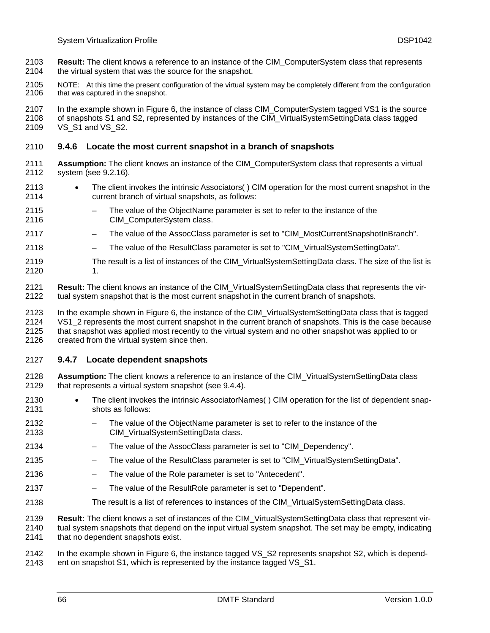- **Result:** The client knows a reference to an instance of the CIM\_ComputerSystem class that represents the virtual system that was the source for the snapshot. 2103 2104
- 2105 2106 NOTE: At this time the present configuration of the virtual system may be completely different from the configuration that was captured in the snapshot.

2107 2108 2109 In the example shown in [Figure 6](#page-62-0), the instance of class CIM\_ComputerSystem tagged VS1 is the source of snapshots S1 and S2, represented by instances of the CIM\_VirtualSystemSettingData class tagged VS S1 and VS S2.

### 2110 **9.4.6 Locate the most current snapshot in a branch of snapshots**

- 2111 2112 **Assumption:** The client knows an instance of the CIM\_ComputerSystem class that represents a virtual system (see [9.2.16\)](#page-53-1).
- 2113 2114 • The client invokes the intrinsic Associators( ) CIM operation for the most current snapshot in the current branch of virtual snapshots, as follows:
- 2115 2116 The value of the ObjectName parameter is set to refer to the instance of the CIM\_ComputerSystem class.
- 2117 – The value of the AssocClass parameter is set to "CIM\_MostCurrentSnapshotInBranch".
- 2118 – The value of the ResultClass parameter is set to "CIM\_VirtualSystemSettingData".
- 2119 2120 The result is a list of instances of the CIM VirtualSystemSettingData class. The size of the list is 1.
- 2121 2122 **Result:** The client knows an instance of the CIM\_VirtualSystemSettingData class that represents the virtual system snapshot that is the most current snapshot in the current branch of snapshots.

2123 2124 2125 2126 In the example shown in [Figure 6](#page-62-0), the instance of the CIM\_VirtualSystemSettingData class that is tagged VS1\_2 represents the most current snapshot in the current branch of snapshots. This is the case because that snapshot was applied most recently to the virtual system and no other snapshot was applied to or created from the virtual system since then.

### 2127 **9.4.7 Locate dependent snapshots**

- 2128 2129 **Assumption:** The client knows a reference to an instance of the CIM\_VirtualSystemSettingData class that represents a virtual system snapshot (see [9.4.4](#page-64-0)).
- 2130 2131 The client invokes the intrinsic AssociatorNames() CIM operation for the list of dependent snapshots as follows:
- 2132 2133 The value of the ObjectName parameter is set to refer to the instance of the CIM\_VirtualSystemSettingData class.
- 2134 The value of the AssocClass parameter is set to "CIM\_Dependency".
- 2135 – The value of the ResultClass parameter is set to "CIM\_VirtualSystemSettingData".
- 2136 – The value of the Role parameter is set to "Antecedent".
- 2137 – The value of the ResultRole parameter is set to "Dependent".
- 2138 The result is a list of references to instances of the CIM\_VirtualSystemSettingData class.

2139 2140 2141 **Result:** The client knows a set of instances of the CIM\_VirtualSystemSettingData class that represent virtual system snapshots that depend on the input virtual system snapshot. The set may be empty, indicating that no dependent snapshots exist.

2142 In the example shown in [Figure 6](#page-62-0), the instance tagged VS\_S2 represents snapshot S2, which is depend-

2143 ent on snapshot S1, which is represented by the instance tagged VS\_S1.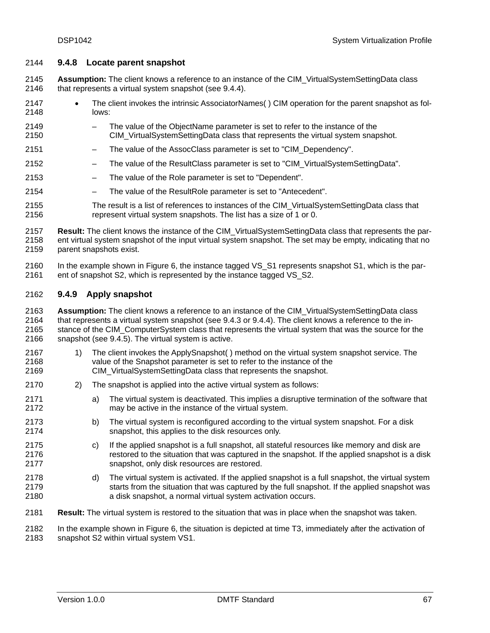### 2144 **9.4.8 Locate parent snapshot**

**Assumption:** The client knows a reference to an instance of the CIM\_VirtualSystemSettingData class that represents a virtual system snapshot (see [9.4.4](#page-64-0)). 2145 2146

- 2147 2148 • The client invokes the intrinsic AssociatorNames( ) CIM operation for the parent snapshot as follows:
- 2149 2150 – The value of the ObjectName parameter is set to refer to the instance of the CIM\_VirtualSystemSettingData class that represents the virtual system snapshot.
- 2151 The value of the AssocClass parameter is set to "CIM\_Dependency".
- 2152 The value of the ResultClass parameter is set to "CIM\_VirtualSystemSettingData".
- 2153 – The value of the Role parameter is set to "Dependent".
- 2154 – The value of the ResultRole parameter is set to "Antecedent".
- 2155 2156 The result is a list of references to instances of the CIM\_VirtualSystemSettingData class that represent virtual system snapshots. The list has a size of 1 or 0.

2157 2158 2159 **Result:** The client knows the instance of the CIM\_VirtualSystemSettingData class that represents the parent virtual system snapshot of the input virtual system snapshot. The set may be empty, indicating that no parent snapshots exist.

2160 2161 In the example shown in [Figure 6](#page-62-0), the instance tagged VS S1 represents snapshot S1, which is the parent of snapshot S2, which is represented by the instance tagged VS S2.

# 2162 **9.4.9 Apply snapshot**

2171 2172

2163 2164 2165 2166 **Assumption:** The client knows a reference to an instance of the CIM\_VirtualSystemSettingData class that represents a virtual system snapshot (see [9.4.3](#page-64-1) or [9.4.4\)](#page-64-0). The client knows a reference to the instance of the CIM\_ComputerSystem class that represents the virtual system that was the source for the snapshot (see [9.4.5\)](#page-64-2). The virtual system is active.

- 2167 2168 1) The client invokes the ApplySnapshot( ) method on the virtual system snapshot service. The value of the Snapshot parameter is set to refer to the instance of the
- 2169 CIM\_VirtualSystemSettingData class that represents the snapshot.
- 2170 2) The snapshot is applied into the active virtual system as follows:
	- a) The virtual system is deactivated. This implies a disruptive termination of the software that may be active in the instance of the virtual system.
- 2173 2174 b) The virtual system is reconfigured according to the virtual system snapshot. For a disk snapshot, this applies to the disk resources only.
- 2175 2176 2177 c) If the applied snapshot is a full snapshot, all stateful resources like memory and disk are restored to the situation that was captured in the snapshot. If the applied snapshot is a disk snapshot, only disk resources are restored.
- 2178 2179 2180 d) The virtual system is activated. If the applied snapshot is a full snapshot, the virtual system starts from the situation that was captured by the full snapshot. If the applied snapshot was a disk snapshot, a normal virtual system activation occurs.
- 2181 **Result:** The virtual system is restored to the situation that was in place when the snapshot was taken.

2182 2183 In the example shown in [Figure 6](#page-62-0), the situation is depicted at time T3, immediately after the activation of snapshot S2 within virtual system VS1.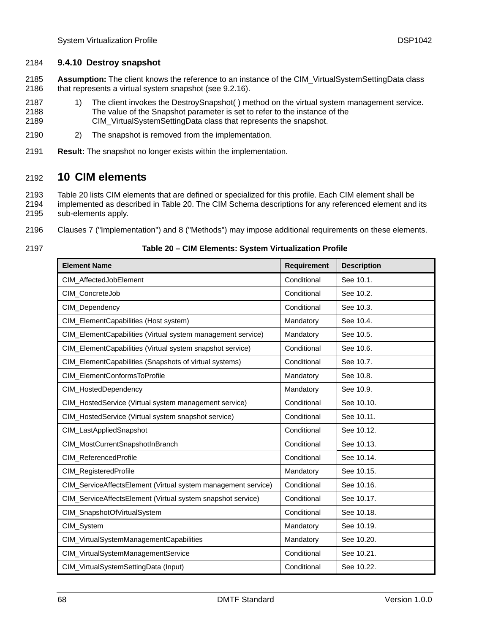# 2184 **9.4.10 Destroy snapshot**

**Assumption:** The client knows the reference to an instance of the CIM\_VirtualSystemSettingData class that represents a virtual system snapshot (see [9.2.16\)](#page-53-1). 2185 2186

- 2187 2188 2189 1) The client invokes the DestroySnapshot( ) method on the virtual system management service. The value of the Snapshot parameter is set to refer to the instance of the CIM\_VirtualSystemSettingData class that represents the snapshot.
- 2190 2) The snapshot is removed from the implementation.
- 2191 **Result:** The snapshot no longer exists within the implementation.

# 2192 **10 CIM elements**

2193 2194 2195 [Table 20](#page-67-0) lists CIM elements that are defined or specialized for this profile. Each CIM element shall be implemented as described in [Table 20.](#page-67-0) The CIM Schema descriptions for any referenced element and its sub-elements apply.

- 2196 Clauses [7](#page-18-0) (["Implementation](#page-18-0)") and [8](#page-26-0) ("[Methods"](#page-26-0)) may impose additional requirements on these elements.
- <span id="page-67-0"></span>2197

# **Table 20 – CIM Elements: System Virtualization Profile**

| <b>Element Name</b>                                           | <b>Requirement</b> | <b>Description</b> |
|---------------------------------------------------------------|--------------------|--------------------|
| CIM_AffectedJobElement                                        | Conditional        | See 10.1.          |
| CIM_ConcreteJob                                               | Conditional        | See 10.2.          |
| CIM_Dependency                                                | Conditional        | See 10.3.          |
| CIM_ElementCapabilities (Host system)                         | Mandatory          | See 10.4.          |
| CIM_ElementCapabilities (Virtual system management service)   | Mandatory          | See 10.5.          |
| CIM_ElementCapabilities (Virtual system snapshot service)     | Conditional        | See 10.6.          |
| CIM_ElementCapabilities (Snapshots of virtual systems)        | Conditional        | See 10.7.          |
| CIM_ElementConformsToProfile                                  | Mandatory          | See 10.8.          |
| CIM_HostedDependency                                          | Mandatory          | See 10.9.          |
| CIM_HostedService (Virtual system management service)         | Conditional        | See 10.10.         |
| CIM_HostedService (Virtual system snapshot service)           | Conditional        | See 10.11.         |
| CIM_LastAppliedSnapshot                                       | Conditional        | See 10.12.         |
| CIM_MostCurrentSnapshotInBranch                               | Conditional        | See 10.13.         |
| CIM_ReferencedProfile                                         | Conditional        | See 10.14.         |
| CIM_RegisteredProfile                                         | Mandatory          | See 10.15.         |
| CIM_ServiceAffectsElement (Virtual system management service) | Conditional        | See 10.16.         |
| CIM_ServiceAffectsElement (Virtual system snapshot service)   | Conditional        | See 10.17.         |
| CIM_SnapshotOfVirtualSystem                                   | Conditional        | See 10.18.         |
| CIM_System                                                    | Mandatory          | See 10.19.         |
| CIM_VirtualSystemManagementCapabilities                       | Mandatory          | See 10.20.         |
| CIM_VirtualSystemManagementService                            | Conditional        | See 10.21.         |
| CIM_VirtualSystemSettingData (Input)                          | Conditional        | See 10.22.         |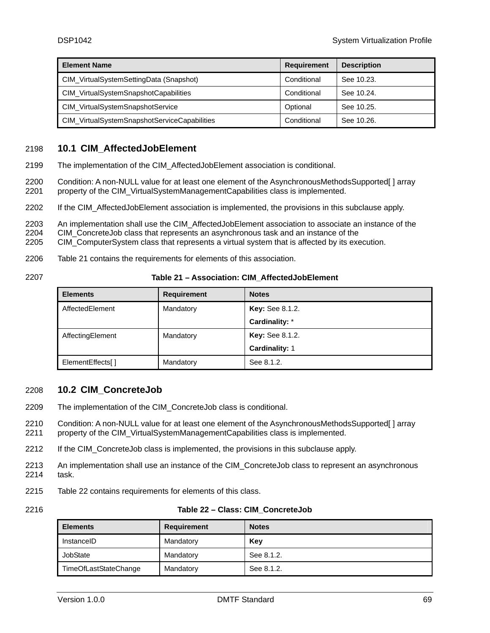| <b>Element Name</b>                          | <b>Requirement</b> | <b>Description</b> |
|----------------------------------------------|--------------------|--------------------|
| CIM_VirtualSystemSettingData (Snapshot)      | Conditional        | See 10.23.         |
| CIM_VirtualSystemSnapshotCapabilities        | Conditional        | See 10.24.         |
| CIM_VirtualSystemSnapshotService             | Optional           | See 10.25.         |
| CIM_VirtualSystemSnapshotServiceCapabilities | Conditional        | See 10.26.         |

# <span id="page-68-0"></span>2198 **10.1 CIM\_AffectedJobElement**

2199 The implementation of the CIM\_AffectedJobElement association is conditional.

2200 2201 Condition: A non-NULL value for at least one element of the AsynchronousMethodsSupported[ ] array property of the CIM\_VirtualSystemManagementCapabilities class is implemented.

2202 If the CIM\_AffectedJobElement association is implemented, the provisions in this subclause apply.

2203 An implementation shall use the CIM\_AffectedJobElement association to associate an instance of the

2204 CIM\_ConcreteJob class that represents an asynchronous task and an instance of the

2205 CIM\_ComputerSystem class that represents a virtual system that is affected by its execution.

- 2206 [Table 21](#page-68-2) contains the requirements for elements of this association.
- <span id="page-68-2"></span>2207

### **Table 21 – Association: CIM\_AffectedJobElement**

| <b>Elements</b>   | <b>Requirement</b> | <b>Notes</b>           |
|-------------------|--------------------|------------------------|
| AffectedElement   | Mandatory          | <b>Key:</b> See 8.1.2. |
|                   |                    | Cardinality: *         |
| AffectingElement  | Mandatory          | <b>Key:</b> See 8.1.2. |
|                   |                    | <b>Cardinality: 1</b>  |
| ElementEffects[1] | Mandatory          | See 8.1.2.             |

# <span id="page-68-1"></span>2208 **10.2 CIM\_ConcreteJob**

- 2209 The implementation of the CIM\_ConcreteJob class is conditional.
- 2210 2211 Condition: A non-NULL value for at least one element of the AsynchronousMethodsSupported[ ] array property of the CIM\_VirtualSystemManagementCapabilities class is implemented.
- 2212 If the CIM ConcreteJob class is implemented, the provisions in this subclause apply.
- 2213 2214 An implementation shall use an instance of the CIM\_ConcreteJob class to represent an asynchronous task.
- 2215 [Table 22](#page-68-3) contains requirements for elements of this class.
- <span id="page-68-3"></span>2216

|  |  |  |  | Table 22 – Class: CIM ConcreteJob |
|--|--|--|--|-----------------------------------|
|--|--|--|--|-----------------------------------|

| <b>Elements</b>       | <b>Requirement</b> | <b>Notes</b> |
|-----------------------|--------------------|--------------|
| InstanceID            | Mandatory          | Key          |
| JobState              | Mandatory          | See 8.1.2.   |
| TimeOfLastStateChange | Mandatory          | See 8.1.2.   |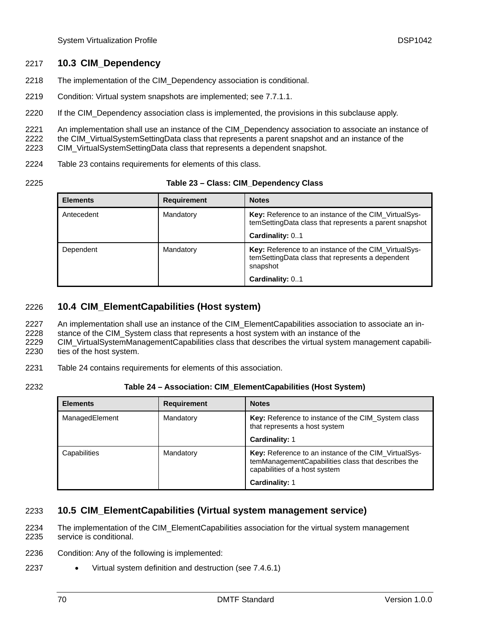# <span id="page-69-0"></span>2217 **10.3 CIM\_Dependency**

- 2218 The implementation of the CIM\_Dependency association is conditional.
- 2219 Condition: Virtual system snapshots are implemented; see [7.7.1.1.](#page-24-0)
- 2220 If the CIM\_Dependency association class is implemented, the provisions in this subclause apply.

2221 An implementation shall use an instance of the CIM\_Dependency association to associate an instance of

2222 2223 the CIM\_VirtualSystemSettingData class that represents a parent snapshot and an instance of the CIM\_VirtualSystemSettingData class that represents a dependent snapshot.

- 2224 [Table 23](#page-69-3) contains requirements for elements of this class.
- <span id="page-69-3"></span>2225

### **Table 23 – Class: CIM\_Dependency Class**

| <b>Elements</b> | <b>Requirement</b> | <b>Notes</b>                                                                                                          |
|-----------------|--------------------|-----------------------------------------------------------------------------------------------------------------------|
| Antecedent      | Mandatory          | <b>Key:</b> Reference to an instance of the CIM VirtualSys-<br>temSettingData class that represents a parent snapshot |
|                 |                    | Cardinality: 01                                                                                                       |
| Dependent       | Mandatory          | Key: Reference to an instance of the CIM_VirtualSys-<br>temSettingData class that represents a dependent<br>snapshot  |
|                 |                    | Cardinality: 01                                                                                                       |

# <span id="page-69-1"></span>2226 **10.4 CIM\_ElementCapabilities (Host system)**

- An implementation shall use an instance of the CIM\_ElementCapabilities association to associate an in-2227
- stance of the CIM\_System class that represents a host system with an instance of the 2228
- CIM\_VirtualSystemManagementCapabilities class that describes the virtual system management capabilities of the host system. 2229 2230
- 2231 [Table 24](#page-69-4) contains requirements for elements of this association.
- <span id="page-69-4"></span>2232

# **Table 24 – Association: CIM\_ElementCapabilities (Host System)**

| <b>Elements</b> | <b>Requirement</b> | <b>Notes</b>                                                                                                                                |
|-----------------|--------------------|---------------------------------------------------------------------------------------------------------------------------------------------|
| ManagedElement  | Mandatory          | Key: Reference to instance of the CIM_System class<br>that represents a host system                                                         |
|                 |                    | <b>Cardinality: 1</b>                                                                                                                       |
| Capabilities    | Mandatory          | Key: Reference to an instance of the CIM_VirtualSys-<br>temManagementCapabilities class that describes the<br>capabilities of a host system |
|                 |                    | Cardinality: 1                                                                                                                              |

# <span id="page-69-2"></span>2233 **10.5 CIM\_ElementCapabilities (Virtual system management service)**

The implementation of the CIM\_ElementCapabilities association for the virtual system management service is conditional. 2234 2235

- 2236 Condition: Any of the following is implemented:
- 2237 Virtual system definition and destruction (see [7.4.6.1](#page-21-0))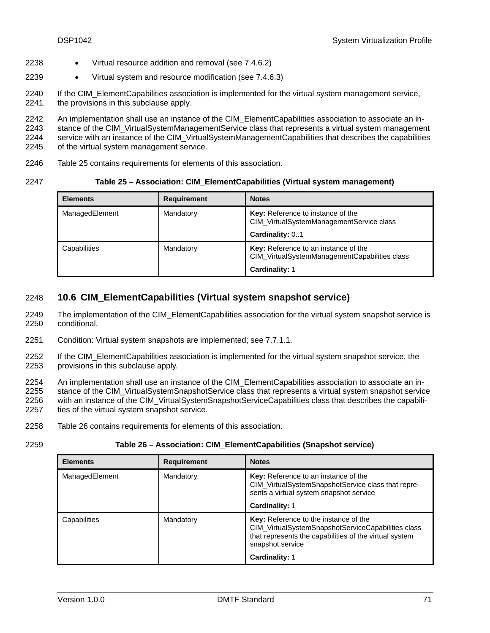- 2238 Virtual resource addition and removal (see [7.4.6.2](#page-21-1))
- 2239 • Virtual system and resource modification (see [7.4.6.3\)](#page-22-0)
- 2240 2241 If the CIM\_ElementCapabilities association is implemented for the virtual system management service, the provisions in this subclause apply.

2242 2243 2244 2245 An implementation shall use an instance of the CIM\_ElementCapabilities association to associate an instance of the CIM\_VirtualSystemManagementService class that represents a virtual system management service with an instance of the CIM VirtualSystemManagementCapabilities that describes the capabilities of the virtual system management service.

2246 [Table 25](#page-70-1) contains requirements for elements of this association.

<span id="page-70-1"></span>2247

### **Table 25 – Association: CIM\_ElementCapabilities (Virtual system management)**

| <b>Elements</b> | <b>Requirement</b> | <b>Notes</b>                                                                                     |
|-----------------|--------------------|--------------------------------------------------------------------------------------------------|
| ManagedElement  | Mandatory          | Key: Reference to instance of the<br>CIM_VirtualSystemManagementService class<br>Cardinality: 01 |
|                 |                    |                                                                                                  |
| Capabilities    | Mandatory          | Key: Reference to an instance of the<br>CIM_VirtualSystemManagementCapabilities class            |
|                 |                    | <b>Cardinality: 1</b>                                                                            |

# <span id="page-70-0"></span>2248 **10.6 CIM\_ElementCapabilities (Virtual system snapshot service)**

- The implementation of the CIM\_ElementCapabilities association for the virtual system snapshot service is conditional. 2249 2250
- 2251 Condition: Virtual system snapshots are implemented; see [7.7.1.1.](#page-24-0)
- 2252 2253 If the CIM\_ElementCapabilities association is implemented for the virtual system snapshot service, the provisions in this subclause apply.
- 2254 2255 2256 2257 An implementation shall use an instance of the CIM\_ElementCapabilities association to associate an instance of the CIM\_VirtualSystemSnapshotService class that represents a virtual system snapshot service with an instance of the CIM\_VirtualSystemSnapshotServiceCapabilities class that describes the capabilities of the virtual system snapshot service.
- 2258 [Table 26](#page-70-2) contains requirements for elements of this association.

<span id="page-70-2"></span>2259

### **Table 26 – Association: CIM\_ElementCapabilities (Snapshot service)**

| <b>Elements</b> | <b>Requirement</b> | <b>Notes</b>                                                                                                                                                                     |
|-----------------|--------------------|----------------------------------------------------------------------------------------------------------------------------------------------------------------------------------|
| ManagedElement  | Mandatory          | Key: Reference to an instance of the<br>CIM_VirtualSystemSnapshotService class that repre-<br>sents a virtual system snapshot service                                            |
|                 |                    | <b>Cardinality: 1</b>                                                                                                                                                            |
| Capabilities    | Mandatory          | <b>Key:</b> Reference to the instance of the<br>CIM VirtualSystemSnapshotServiceCapabilities class<br>that represents the capabilities of the virtual system<br>snapshot service |
|                 |                    | <b>Cardinality: 1</b>                                                                                                                                                            |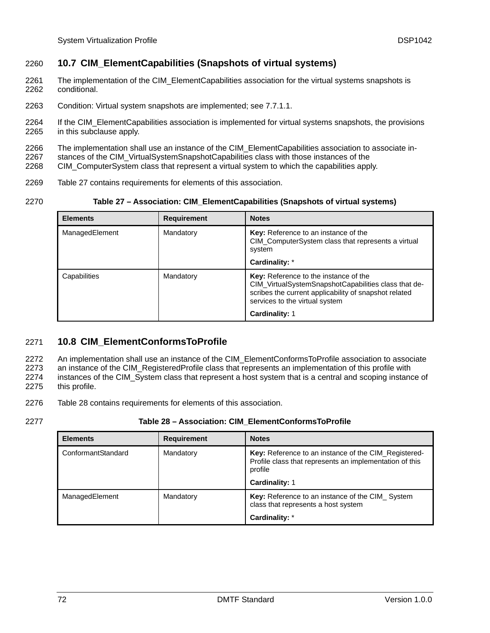# <span id="page-71-0"></span>2260 **10.7 CIM\_ElementCapabilities (Snapshots of virtual systems)**

- The implementation of the CIM\_ElementCapabilities association for the virtual systems snapshots is conditional. 2261 2262
- 2263 Condition: Virtual system snapshots are implemented; see [7.7.1.1.](#page-24-0)
- 2264 2265 If the CIM\_ElementCapabilities association is implemented for virtual systems snapshots, the provisions in this subclause apply.
- 2266 The implementation shall use an instance of the CIM\_ElementCapabilities association to associate in-
- 2267 stances of the CIM\_VirtualSystemSnapshotCapabilities class with those instances of the
- 2268 CIM\_ComputerSystem class that represent a virtual system to which the capabilities apply.
- 2269 [Table 27](#page-71-2) contains requirements for elements of this association.
- <span id="page-71-2"></span>2270

|  | Table 27 - Association: CIM_ElementCapabilities (Snapshots of virtual systems) |  |  |  |
|--|--------------------------------------------------------------------------------|--|--|--|
|--|--------------------------------------------------------------------------------|--|--|--|

| <b>Elements</b> | <b>Requirement</b> | <b>Notes</b>                                                                                                                                                                                    |
|-----------------|--------------------|-------------------------------------------------------------------------------------------------------------------------------------------------------------------------------------------------|
| ManagedElement  | Mandatory          | Key: Reference to an instance of the<br>CIM_ComputerSystem class that represents a virtual<br>system                                                                                            |
|                 |                    | Cardinality: *                                                                                                                                                                                  |
| Capabilities    | Mandatory          | <b>Key:</b> Reference to the instance of the<br>CIM_VirtualSystemSnapshotCapabilities class that de-<br>scribes the current applicability of snapshot related<br>services to the virtual system |
|                 |                    | Cardinality: 1                                                                                                                                                                                  |

# <span id="page-71-1"></span>2271 **10.8 CIM\_ElementConformsToProfile**

An implementation shall use an instance of the CIM\_ElementConformsToProfile association to associate 2272

an instance of the CIM\_RegisteredProfile class that represents an implementation of this profile with instances of the CIM\_System class that represent a host system that is a central and scoping instance of 2273 2274

- this profile. 2275
- 2276 [Table 28](#page-71-3) contains requirements for elements of this association.
- <span id="page-71-3"></span>2277

# **Table 28 – Association: CIM\_ElementConformsToProfile**

| <b>Elements</b>    | <b>Requirement</b> | <b>Notes</b>                                                                                                                                        |
|--------------------|--------------------|-----------------------------------------------------------------------------------------------------------------------------------------------------|
| ConformantStandard | Mandatory          | Key: Reference to an instance of the CIM_Registered-<br>Profile class that represents an implementation of this<br>profile<br><b>Cardinality: 1</b> |
| ManagedElement     | Mandatory          | Key: Reference to an instance of the CIM_System<br>class that represents a host system<br>Cardinality: *                                            |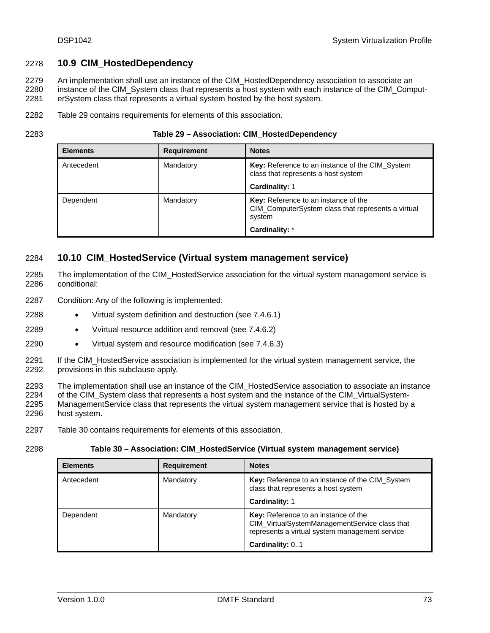## 2278 **10.9 CIM\_HostedDependency**

An implementation shall use an instance of the CIM\_HostedDependency association to associate an instance of the CIM\_System class that represents a host system with each instance of the CIM\_ComputerSystem class that represents a virtual system hosted by the host system. 2279 2280 2281

2282 [Table 29](#page-72-0) contains requirements for elements of this association.

<span id="page-72-0"></span>2283

| <b>Elements</b> | <b>Requirement</b> | <b>Notes</b>                                                                                         |  |
|-----------------|--------------------|------------------------------------------------------------------------------------------------------|--|
| Antecedent      | Mandatory          | Key: Reference to an instance of the CIM_System<br>class that represents a host system               |  |
|                 |                    | <b>Cardinality: 1</b>                                                                                |  |
| Dependent       | Mandatory          | Key: Reference to an instance of the<br>CIM_ComputerSystem class that represents a virtual<br>system |  |
|                 |                    | Cardinality: *                                                                                       |  |

## 2284 **10.10 CIM\_HostedService (Virtual system management service)**

- The implementation of the CIM\_HostedService association for the virtual system management service is conditional: 2285 2286
- 2287 Condition: Any of the following is implemented:
- 2288 • Virtual system definition and destruction (see [7.4.6.1](#page-21-0))
- 2289 • Vvirtual resource addition and removal (see [7.4.6.2](#page-21-1))
- 2290 • Virtual system and resource modification (see [7.4.6.3\)](#page-22-0)
- 2291 2292 If the CIM\_HostedService association is implemented for the virtual system management service, the provisions in this subclause apply.
- 2293 2294 2295 2296 The implementation shall use an instance of the CIM\_HostedService association to associate an instance of the CIM\_System class that represents a host system and the instance of the CIM\_VirtualSystem-ManagementService class that represents the virtual system management service that is hosted by a host system.
- 2297 [Table 30](#page-72-1) contains requirements for elements of this association.
- <span id="page-72-1"></span>2298

**Table 30 – Association: CIM\_HostedService (Virtual system management service)** 

| <b>Elements</b> | <b>Requirement</b> | <b>Notes</b>                                                                                                                                               |  |
|-----------------|--------------------|------------------------------------------------------------------------------------------------------------------------------------------------------------|--|
| Antecedent      | Mandatory          | Key: Reference to an instance of the CIM_System<br>class that represents a host system                                                                     |  |
|                 |                    | <b>Cardinality: 1</b>                                                                                                                                      |  |
| Dependent       | Mandatory          | Key: Reference to an instance of the<br>CIM_VirtualSystemManagementService class that<br>represents a virtual system management service<br>Cardinality: 01 |  |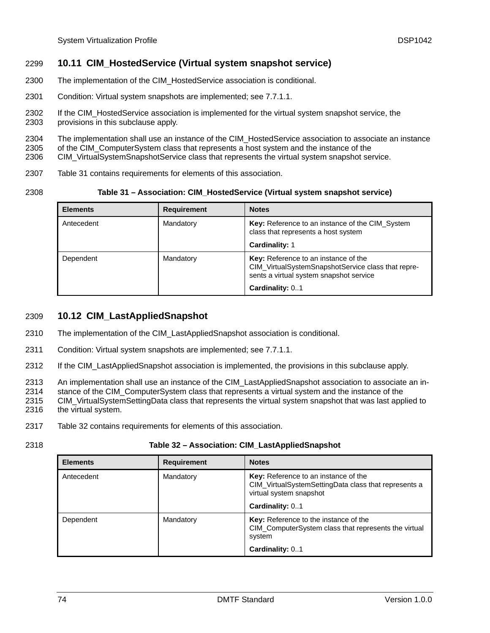## 2299 **10.11 CIM\_HostedService (Virtual system snapshot service)**

- 2300 The implementation of the CIM\_HostedService association is conditional.
- 2301 Condition: Virtual system snapshots are implemented; see [7.7.1.1.](#page-24-0)
- 2302 If the CIM\_HostedService association is implemented for the virtual system snapshot service, the
- 2303 provisions in this subclause apply.

2304 The implementation shall use an instance of the CIM\_HostedService association to associate an instance

2305 of the CIM\_ComputerSystem class that represents a host system and the instance of the

2306 CIM\_VirtualSystemSnapshotService class that represents the virtual system snapshot service.

- 2307 [Table 31](#page-73-0) contains requirements for elements of this association.
- <span id="page-73-0"></span>2308

**Table 31 – Association: CIM\_HostedService (Virtual system snapshot service)** 

| <b>Elements</b> | <b>Requirement</b> | <b>Notes</b>                                                                                                                          |  |
|-----------------|--------------------|---------------------------------------------------------------------------------------------------------------------------------------|--|
| Antecedent      | Mandatory          | Key: Reference to an instance of the CIM_System<br>class that represents a host system                                                |  |
|                 |                    | <b>Cardinality: 1</b>                                                                                                                 |  |
| Dependent       | Mandatory          | Key: Reference to an instance of the<br>CIM_VirtualSystemSnapshotService class that repre-<br>sents a virtual system snapshot service |  |
|                 |                    | Cardinality: 01                                                                                                                       |  |

## 2309 **10.12 CIM\_LastAppliedSnapshot**

- 2310 The implementation of the CIM\_LastAppliedSnapshot association is conditional.
- 2311 Condition: Virtual system snapshots are implemented; see [7.7.1.1.](#page-24-0)
- 2312 If the CIM\_LastAppliedSnapshot association is implemented, the provisions in this subclause apply.

2313 An implementation shall use an instance of the CIM\_LastAppliedSnapshot association to associate an in-

2314 stance of the CIM\_ComputerSystem class that represents a virtual system and the instance of the

- 2315 2316 CIM\_VirtualSystemSettingData class that represents the virtual system snapshot that was last applied to the virtual system.
- 
- 2317 [Table 32](#page-73-1) contains requirements for elements of this association.
- <span id="page-73-1"></span>2318

#### **Table 32 – Association: CIM\_LastAppliedSnapshot**

| <b>Elements</b> | <b>Requirement</b> | <b>Notes</b>                                                                                                                                      |
|-----------------|--------------------|---------------------------------------------------------------------------------------------------------------------------------------------------|
| Antecedent      | Mandatory          | <b>Key:</b> Reference to an instance of the<br>CIM_VirtualSystemSettingData class that represents a<br>virtual system snapshot<br>Cardinality: 01 |
| Dependent       | Mandatory          | Key: Reference to the instance of the<br>CIM_ComputerSystem class that represents the virtual<br>system                                           |
|                 |                    | Cardinality: 01                                                                                                                                   |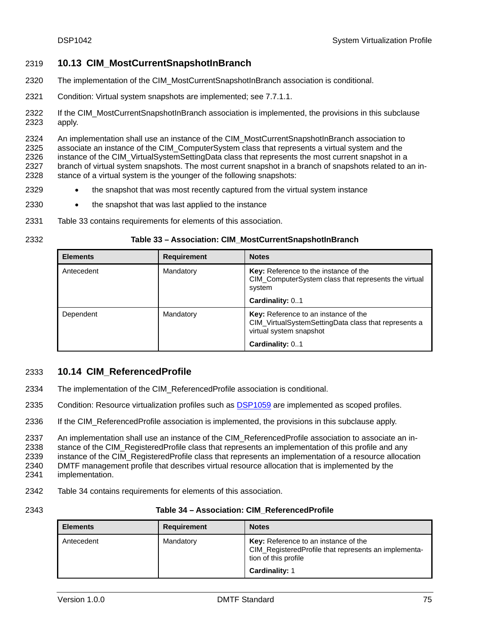## 2319 **10.13 CIM\_MostCurrentSnapshotInBranch**

- 2320 The implementation of the CIM\_MostCurrentSnapshotInBranch association is conditional.
- 2321 Condition: Virtual system snapshots are implemented; see [7.7.1.1.](#page-24-0)
- 2322 2323 If the CIM\_MostCurrentSnapshotInBranch association is implemented, the provisions in this subclause apply.

2324 2325 2326 2327 2328 An implementation shall use an instance of the CIM\_MostCurrentSnapshotInBranch association to associate an instance of the CIM\_ComputerSystem class that represents a virtual system and the instance of the CIM VirtualSystemSettingData class that represents the most current snapshot in a branch of virtual system snapshots. The most current snapshot in a branch of snapshots related to an instance of a virtual system is the younger of the following snapshots:

- 2329 • the snapshot that was most recently captured from the virtual system instance
- 2330 • the snapshot that was last applied to the instance
- 2331 [Table 33](#page-74-0) contains requirements for elements of this association.
- <span id="page-74-0"></span>2332

#### **Table 33 – Association: CIM\_MostCurrentSnapshotInBranch**

| <b>Elements</b> | <b>Requirement</b> | <b>Notes</b>                                                                                                            |
|-----------------|--------------------|-------------------------------------------------------------------------------------------------------------------------|
| Antecedent      | Mandatory          | Key: Reference to the instance of the<br>CIM ComputerSystem class that represents the virtual<br>system                 |
|                 |                    | Cardinality: 01                                                                                                         |
| Dependent       | Mandatory          | Key: Reference to an instance of the<br>CIM_VirtualSystemSettingData class that represents a<br>virtual system snapshot |
|                 |                    | Cardinality: 01                                                                                                         |

## 2333 **10.14 CIM\_ReferencedProfile**

- 2334 The implementation of the CIM\_ReferencedProfile association is conditional.
- 2335 Condition: Resource virtualization profiles such as [DSP1059](#page-9-0) are implemented as scoped profiles.
- 2336 If the CIM\_ReferencedProfile association is implemented, the provisions in this subclause apply.

2337 2338 2339 2340 2341 An implementation shall use an instance of the CIM\_ReferencedProfile association to associate an instance of the CIM\_RegisteredProfile class that represents an implementation of this profile and any instance of the CIM RegisteredProfile class that represents an implementation of a resource allocation DMTF management profile that describes virtual resource allocation that is implemented by the implementation.

- 2342 [Table 34](#page-74-1) contains requirements for elements of this association.
- <span id="page-74-1"></span>2343

#### **Table 34 – Association: CIM\_ReferencedProfile**

| <b>Elements</b> | <b>Requirement</b> | <b>Notes</b>                                                                                                                 |
|-----------------|--------------------|------------------------------------------------------------------------------------------------------------------------------|
| Antecedent      | Mandatory          | <b>Key:</b> Reference to an instance of the<br>CIM Registered Profile that represents an implementa-<br>tion of this profile |
|                 |                    | <b>Cardinality: 1</b>                                                                                                        |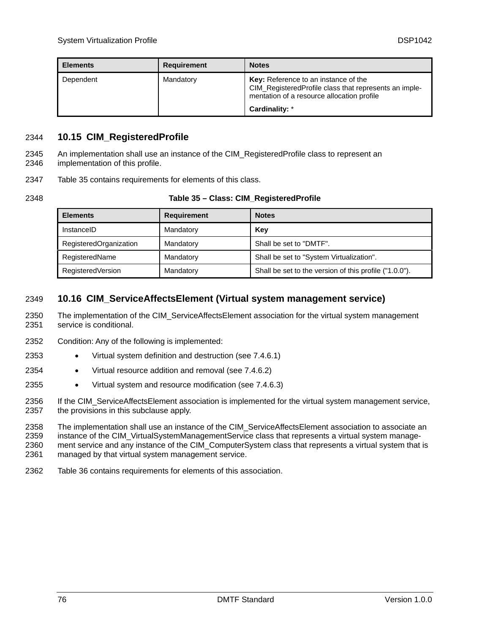| <b>Elements</b> | <b>Requirement</b> | <b>Notes</b>                                                                                                                                       |  |  |
|-----------------|--------------------|----------------------------------------------------------------------------------------------------------------------------------------------------|--|--|
| Dependent       | Mandatory          | <b>Key:</b> Reference to an instance of the<br>CIM_RegisteredProfile class that represents an imple-<br>mentation of a resource allocation profile |  |  |
|                 |                    | Cardinality: *                                                                                                                                     |  |  |

## 2344 **10.15 CIM\_RegisteredProfile**

An implementation shall use an instance of the CIM\_RegisteredProfile class to represent an implementation of this profile. 2345 2346

2347 [Table 35](#page-75-0) contains requirements for elements of this class.

<span id="page-75-0"></span>2348

| Table 35 – Class: CIM_RegisteredProfile |  |
|-----------------------------------------|--|
|-----------------------------------------|--|

| <b>Elements</b>        | <b>Requirement</b> | <b>Notes</b>                                           |
|------------------------|--------------------|--------------------------------------------------------|
| InstanceID             | Mandatory          | Key                                                    |
| RegisteredOrganization | Mandatory          | Shall be set to "DMTF".                                |
| RegisteredName         | Mandatory          | Shall be set to "System Virtualization".               |
| RegisteredVersion      | Mandatory          | Shall be set to the version of this profile ("1.0.0"). |

# 2349 **10.16 CIM\_ServiceAffectsElement (Virtual system management service)**

The implementation of the CIM\_ServiceAffectsElement association for the virtual system management service is conditional. 2350 2351

- 2352 Condition: Any of the following is implemented:
- 2353 • Virtual system definition and destruction (see [7.4.6.1](#page-21-0))
- 2354 • Virtual resource addition and removal (see [7.4.6.2](#page-21-1))
- 2355 • Virtual system and resource modification (see [7.4.6.3\)](#page-22-0)

2356 2357 If the CIM\_ServiceAffectsElement association is implemented for the virtual system management service, the provisions in this subclause apply.

2358 2359 2360 The implementation shall use an instance of the CIM\_ServiceAffectsElement association to associate an instance of the CIM\_VirtualSystemManagementService class that represents a virtual system management service and any instance of the CIM\_ComputerSystem class that represents a virtual system that is

2361 managed by that virtual system management service.

2362 [Table 36](#page-76-0) contains requirements for elements of this association.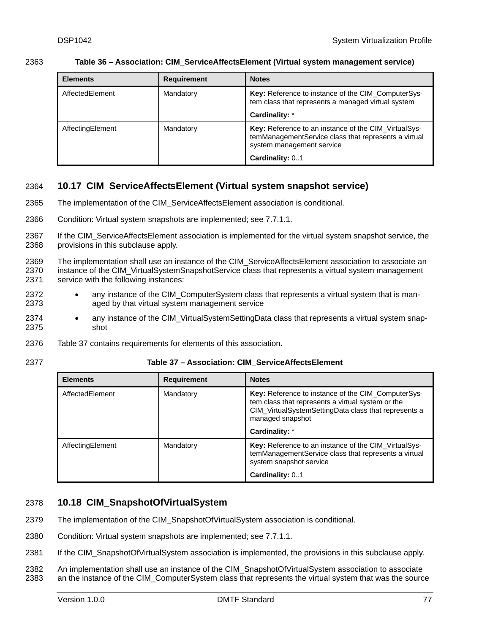<span id="page-76-0"></span>

|      | Table 36 - Association: CIM_ServiceAffectsElement (Virtual system management service) |  |  |  |
|------|---------------------------------------------------------------------------------------|--|--|--|
| 2363 |                                                                                       |  |  |  |
|      |                                                                                       |  |  |  |

| <b>Elements</b>  | <b>Requirement</b> | <b>Notes</b>                                                                                                                              |
|------------------|--------------------|-------------------------------------------------------------------------------------------------------------------------------------------|
| AffectedElement  | Mandatory          | Key: Reference to instance of the CIM_ComputerSys-<br>tem class that represents a managed virtual system                                  |
|                  |                    | Cardinality: *                                                                                                                            |
| AffectingElement | Mandatory          | Key: Reference to an instance of the CIM_VirtualSys-<br>temManagementService class that represents a virtual<br>system management service |
|                  |                    | Cardinality: 01                                                                                                                           |

# 2364 **10.17 CIM\_ServiceAffectsElement (Virtual system snapshot service)**

- 2365 The implementation of the CIM\_ServiceAffectsElement association is conditional.
- 2366 Condition: Virtual system snapshots are implemented; see [7.7.1.1.](#page-24-0)
- 2367 2368 If the CIM\_ServiceAffectsElement association is implemented for the virtual system snapshot service, the provisions in this subclause apply.
- 2369 2370 2371 The implementation shall use an instance of the CIM\_ServiceAffectsElement association to associate an instance of the CIM VirtualSystemSnapshotService class that represents a virtual system management service with the following instances:
- 2372 2373 • any instance of the CIM\_ComputerSystem class that represents a virtual system that is managed by that virtual system management service
- 2374 2375 any instance of the CIM VirtualSystemSettingData class that represents a virtual system snapshot
- 2376 [Table 37](#page-76-1) contains requirements for elements of this association.
- <span id="page-76-1"></span>2377

#### **Table 37 – Association: CIM\_ServiceAffectsElement**

| <b>Elements</b>  | <b>Requirement</b> | <b>Notes</b>                                                                                                                                                                        |
|------------------|--------------------|-------------------------------------------------------------------------------------------------------------------------------------------------------------------------------------|
| AffectedElement  | Mandatory          | Key: Reference to instance of the CIM_ComputerSys-<br>tem class that represents a virtual system or the<br>CIM_VirtualSystemSettingData class that represents a<br>managed snapshot |
|                  |                    | Cardinality: *                                                                                                                                                                      |
| AffectingElement | Mandatory          | <b>Key:</b> Reference to an instance of the CIM VirtualSys-<br>temManagementService class that represents a virtual<br>system snapshot service                                      |
|                  |                    | Cardinality: 01                                                                                                                                                                     |

# 2378 **10.18 CIM\_SnapshotOfVirtualSystem**

- 2379 The implementation of the CIM\_SnapshotOfVirtualSystem association is conditional.
- 2380 Condition: Virtual system snapshots are implemented; see [7.7.1.1.](#page-24-0)
- 2381 If the CIM\_SnapshotOfVirtualSystem association is implemented, the provisions in this subclause apply.
- 2382 2383 An implementation shall use an instance of the CIM\_SnapshotOfVirtualSystem association to associate an the instance of the CIM ComputerSystem class that represents the virtual system that was the source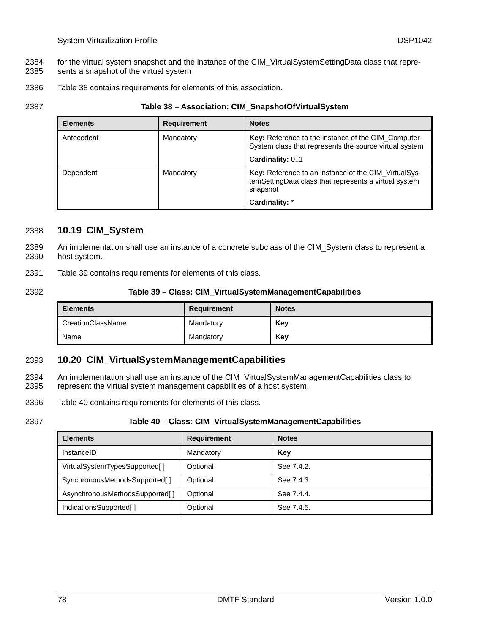- for the virtual system snapshot and the instance of the CIM\_VirtualSystemSettingData class that repre-2384
- sents a snapshot of the virtual system 2385
- 2386 [Table 38](#page-77-0) contains requirements for elements of this association.
- <span id="page-77-0"></span>2387

**Table 38 – Association: CIM\_SnapshotOfVirtualSystem** 

| <b>Elements</b> | <b>Requirement</b> | <b>Notes</b>                                                                                                              |
|-----------------|--------------------|---------------------------------------------------------------------------------------------------------------------------|
| Antecedent      | Mandatory          | Key: Reference to the instance of the CIM_Computer-<br>System class that represents the source virtual system             |
|                 |                    | Cardinality: 01                                                                                                           |
| Dependent       | Mandatory          | Key: Reference to an instance of the CIM_VirtualSys-<br>temSettingData class that represents a virtual system<br>snapshot |
|                 |                    | Cardinality: *                                                                                                            |

## 2388 **10.19 CIM\_System**

- An implementation shall use an instance of a concrete subclass of the CIM\_System class to represent a host system. 2389 2390
- 2391 [Table 39](#page-77-1) contains requirements for elements of this class.
- <span id="page-77-1"></span>2392

#### **Table 39 – Class: CIM\_VirtualSystemManagementCapabilities**

| <b>Elements</b>   | Requirement | <b>Notes</b> |
|-------------------|-------------|--------------|
| CreationClassName | Mandatory   | Kev          |
| Name              | Mandatory   | Kev          |

## 2393 **10.20 CIM\_VirtualSystemManagementCapabilities**

An implementation shall use an instance of the CIM\_VirtualSystemManagementCapabilities class to represent the virtual system management capabilities of a host system. 2394 2395

- 2396 [Table 40](#page-77-2) contains requirements for elements of this class.
- <span id="page-77-2"></span>2397

#### **Table 40 – Class: CIM\_VirtualSystemManagementCapabilities**

| <b>Elements</b>                | <b>Requirement</b> | <b>Notes</b> |
|--------------------------------|--------------------|--------------|
| InstanceID                     | Mandatory          | Key          |
| VirtualSystemTypesSupported[]  | Optional           | See 7.4.2.   |
| SynchronousMethodsSupported[]  | Optional           | See 7.4.3.   |
| AsynchronousMethodsSupported[] | Optional           | See 7.4.4.   |
| IndicationsSupported[]         | Optional           | See 7.4.5.   |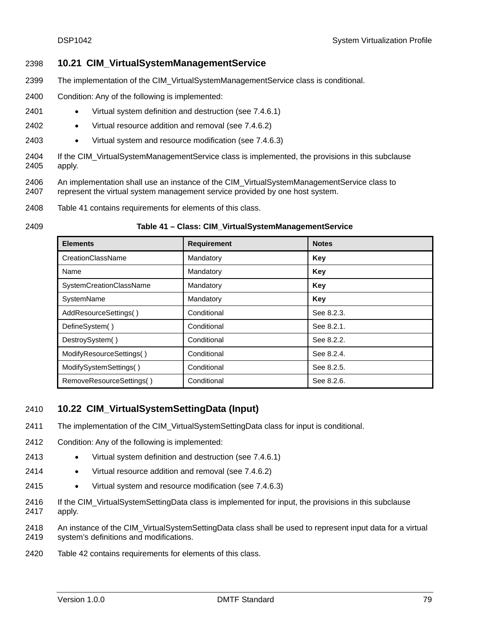## 2398 **10.21 CIM\_VirtualSystemManagementService**

- 2399 The implementation of the CIM\_VirtualSystemManagementService class is conditional.
- 2400 Condition: Any of the following is implemented:
- 2401 • Virtual system definition and destruction (see [7.4.6.1](#page-21-0))
- 2402 • Virtual resource addition and removal (see [7.4.6.2](#page-21-1))
- 2403 • Virtual system and resource modification (see [7.4.6.3\)](#page-22-0)
- 2404 2405 If the CIM\_VirtualSystemManagementService class is implemented, the provisions in this subclause apply.
- 2406 2407 An implementation shall use an instance of the CIM\_VirtualSystemManagementService class to represent the virtual system management service provided by one host system.
- 2408 [Table 41](#page-78-0) contains requirements for elements of this class.

#### **Table 41 – Class: CIM\_VirtualSystemManagementService**

| <b>Elements</b>          | <b>Requirement</b> | <b>Notes</b> |
|--------------------------|--------------------|--------------|
| CreationClassName        | Mandatory          | Key          |
| Name                     | Mandatory          | Key          |
| SystemCreationClassName  | Mandatory          | Key          |
| SystemName               | Mandatory          | Key          |
| AddResourceSettings()    | Conditional        | See 8.2.3.   |
| DefineSystem()           | Conditional        | See 8.2.1.   |
| DestroySystem()          | Conditional        | See 8.2.2.   |
| ModifyResourceSettings() | Conditional        | See 8.2.4.   |
| ModifySystemSettings()   | Conditional        | See 8.2.5.   |
| RemoveResourceSettings() | Conditional        | See 8.2.6.   |

## 2410 **10.22 CIM\_VirtualSystemSettingData (Input)**

- 2411 The implementation of the CIM\_VirtualSystemSettingData class for input is conditional.
- 2412 Condition: Any of the following is implemented:
- 2413 • Virtual system definition and destruction (see [7.4.6.1](#page-21-0))
- 2414 • Virtual resource addition and removal (see [7.4.6.2](#page-21-1))
- 2415 • Virtual system and resource modification (see [7.4.6.3\)](#page-22-0)
- 2416 2417 If the CIM\_VirtualSystemSettingData class is implemented for input, the provisions in this subclause apply.
- 2418 2419 An instance of the CIM\_VirtualSystemSettingData class shall be used to represent input data for a virtual system's definitions and modifications.
- 2420 [Table 42](#page-79-0) contains requirements for elements of this class.

<span id="page-78-0"></span><sup>2409</sup>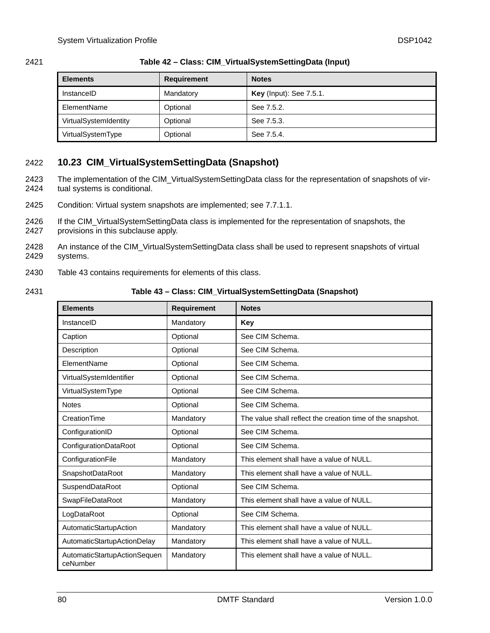<span id="page-79-0"></span>

| 2421 | Table 42 - Class: CIM_VirtualSystemSettingData (Input) |  |
|------|--------------------------------------------------------|--|
|      |                                                        |  |

| <b>Elements</b>       | <b>Requirement</b> | <b>Notes</b>                   |
|-----------------------|--------------------|--------------------------------|
| InstanceID            | Mandatory          | <b>Key</b> (Input): See 7.5.1. |
| ElementName           | Optional           | See 7.5.2.                     |
| VirtualSystemIdentity | Optional           | See 7.5.3.                     |
| VirtualSystemType     | Optional           | See 7.5.4.                     |

- 2422 **10.23 CIM\_VirtualSystemSettingData (Snapshot)**
- The implementation of the CIM\_VirtualSystemSettingData class for the representation of snapshots of virtual systems is conditional. 2423 2424
- 2425 Condition: Virtual system snapshots are implemented; see [7.7.1.1.](#page-24-0)
- 2426 2427 If the CIM\_VirtualSystemSettingData class is implemented for the representation of snapshots, the provisions in this subclause apply.
- 2428 2429 An instance of the CIM\_VirtualSystemSettingData class shall be used to represent snapshots of virtual systems.
- 2430 [Table 43](#page-79-1) contains requirements for elements of this class.
- <span id="page-79-1"></span>2431

**Table 43 – Class: CIM\_VirtualSystemSettingData (Snapshot)** 

| <b>Elements</b>                          | <b>Requirement</b> | <b>Notes</b>                                               |
|------------------------------------------|--------------------|------------------------------------------------------------|
| InstanceID                               | Mandatory          | Key                                                        |
| Caption                                  | Optional           | See CIM Schema.                                            |
| Description                              | Optional           | See CIM Schema.                                            |
| ElementName                              | Optional           | See CIM Schema.                                            |
| VirtualSystemIdentifier                  | Optional           | See CIM Schema.                                            |
| VirtualSystemType                        | Optional           | See CIM Schema.                                            |
| <b>Notes</b>                             | Optional           | See CIM Schema.                                            |
| CreationTime                             | Mandatory          | The value shall reflect the creation time of the snapshot. |
| ConfigurationID                          | Optional           | See CIM Schema.                                            |
| ConfigurationDataRoot                    | Optional           | See CIM Schema.                                            |
| ConfigurationFile                        | Mandatory          | This element shall have a value of NULL.                   |
| SnapshotDataRoot                         | Mandatory          | This element shall have a value of NULL.                   |
| SuspendDataRoot                          | Optional           | See CIM Schema.                                            |
| SwapFileDataRoot                         | Mandatory          | This element shall have a value of NULL.                   |
| LogDataRoot                              | Optional           | See CIM Schema.                                            |
| AutomaticStartupAction                   | Mandatory          | This element shall have a value of NULL.                   |
| AutomaticStartupActionDelay              | Mandatory          | This element shall have a value of NULL.                   |
| AutomaticStartupActionSequen<br>ceNumber | Mandatory          | This element shall have a value of NULL.                   |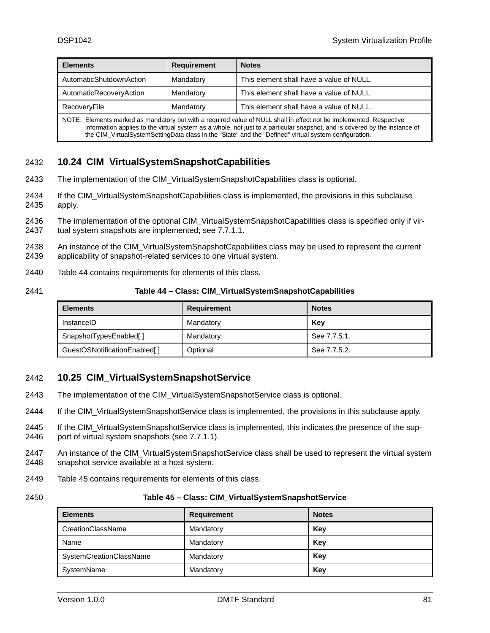| <b>Elements</b>                                                                                                                                                                                                                                                                                                                                            | <b>Requirement</b> | <b>Notes</b>                             |
|------------------------------------------------------------------------------------------------------------------------------------------------------------------------------------------------------------------------------------------------------------------------------------------------------------------------------------------------------------|--------------------|------------------------------------------|
| AutomaticShutdownAction                                                                                                                                                                                                                                                                                                                                    | Mandatory          | This element shall have a value of NULL. |
| AutomaticRecoveryAction                                                                                                                                                                                                                                                                                                                                    | Mandatory          | This element shall have a value of NULL. |
| This element shall have a value of NULL.<br>Mandatory<br>RecoveryFile                                                                                                                                                                                                                                                                                      |                    |                                          |
| NOTE: Elements marked as mandatory but with a required value of NULL shall in effect not be implemented. Respective<br>information applies to the virtual system as a whole, not just to a particular snapshot, and is covered by the instance of<br>the CIM VirtualSystemSettingData class in the "State" and the "Defined" virtual system configuration. |                    |                                          |

# 2432 **10.24 CIM\_VirtualSystemSnapshotCapabilities**

- 2433 The implementation of the CIM\_VirtualSystemSnapshotCapabilities class is optional.
- 2434 2435 If the CIM\_VirtualSystemSnapshotCapabilities class is implemented, the provisions in this subclause apply.
- 2436 2437 The implementation of the optional CIM\_VirtualSystemSnapshotCapabilities class is specified only if virtual system snapshots are implemented; see [7.7.1.1.](#page-24-0)
- 2438 2439 An instance of the CIM\_VirtualSystemSnapshotCapabilities class may be used to represent the current applicability of snapshot-related services to one virtual system.
- 2440 [Table 44](#page-80-0) contains requirements for elements of this class.
- <span id="page-80-0"></span>2441

**Table 44 – Class: CIM\_VirtualSystemSnapshotCapabilities** 

| <b>Elements</b>              | Requirement | <b>Notes</b> |
|------------------------------|-------------|--------------|
| InstanceID                   | Mandatory   | Key          |
| SnapshotTypesEnabled[]       | Mandatory   | See 7.7.5.1. |
| GuestOSNotificationEnabled[] | Optional    | See 7.7.5.2. |

## 2442 **10.25 CIM\_VirtualSystemSnapshotService**

- 2443 The implementation of the CIM\_VirtualSystemSnapshotService class is optional.
- 2444 If the CIM\_VirtualSystemSnapshotService class is implemented, the provisions in this subclause apply.
- 2445 2446 If the CIM VirtualSystemSnapshotService class is implemented, this indicates the presence of the support of virtual system snapshots (see [7.7.1.1\)](#page-24-0).
- 2447 2448 An instance of the CIM\_VirtualSystemSnapshotService class shall be used to represent the virtual system snapshot service available at a host system.
- 2449 [Table 45](#page-80-1) contains requirements for elements of this class.
- <span id="page-80-1"></span>2450

#### **Table 45 – Class: CIM\_VirtualSystemSnapshotService**

| <b>Elements</b>         | Requirement | <b>Notes</b> |
|-------------------------|-------------|--------------|
| CreationClassName       | Mandatory   | Key          |
| Name                    | Mandatory   | Key          |
| SystemCreationClassName | Mandatory   | Key          |
| SystemName              | Mandatory   | Key          |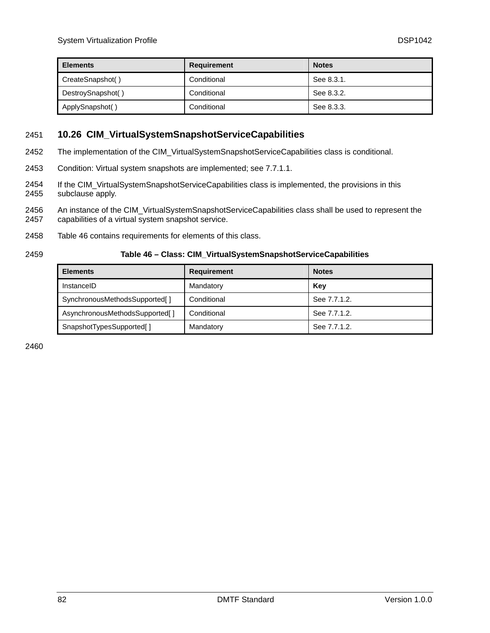| <b>Elements</b>   | Requirement | <b>Notes</b> |
|-------------------|-------------|--------------|
| CreateSnapshot()  | Conditional | See 8.3.1.   |
| DestroySnapshot() | Conditional | See 8.3.2.   |
| ApplySnapshot()   | Conditional | See 8.3.3.   |

## 2451 **10.26 CIM\_VirtualSystemSnapshotServiceCapabilities**

- 2452 The implementation of the CIM\_VirtualSystemSnapshotServiceCapabilities class is conditional.
- 2453 Condition: Virtual system snapshots are implemented; see [7.7.1.1.](#page-24-0)
- 2454 2455 If the CIM\_VirtualSystemSnapshotServiceCapabilities class is implemented, the provisions in this subclause apply.
- 2456 2457 An instance of the CIM\_VirtualSystemSnapshotServiceCapabilities class shall be used to represent the capabilities of a virtual system snapshot service.
- 2458 [Table 46](#page-81-0) contains requirements for elements of this class.

<span id="page-81-0"></span>2459

#### **Table 46 – Class: CIM\_VirtualSystemSnapshotServiceCapabilities**

| <b>Elements</b>                | <b>Requirement</b> | <b>Notes</b> |  |
|--------------------------------|--------------------|--------------|--|
| InstanceID                     | Mandatory          | Key          |  |
| SynchronousMethodsSupported[]  | Conditional        | See 7.7.1.2. |  |
| AsynchronousMethodsSupported[] | Conditional        | See 7.7.1.2. |  |
| SnapshotTypesSupported[]       | Mandatory          | See 7.7.1.2. |  |

2460